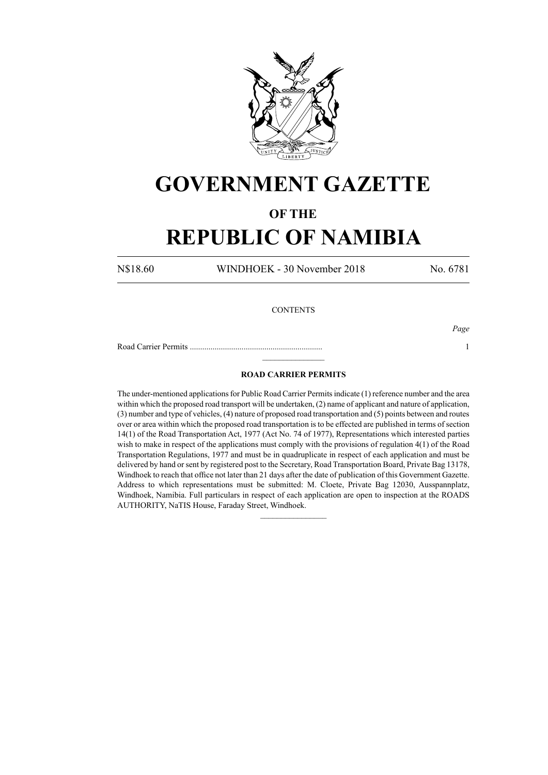

## **GOVERNMENT GAZETTE**

### **OF THE**

# **REPUBLIC OF NAMIBIA**

N\$18.60 WINDHOEK - 30 November 2018 No. 6781

#### **CONTENTS**

*Page*

Road Carrier Permits ................................................................ 1  $\frac{1}{2}$ 

### **ROAD CARRIER PERMITS**

The under-mentioned applications for Public Road Carrier Permits indicate (1) reference number and the area within which the proposed road transport will be undertaken, (2) name of applicant and nature of application, (3) number and type of vehicles, (4) nature of proposed road transportation and (5) points between and routes over or area within which the proposed road transportation is to be effected are published in terms of section 14(1) of the Road Transportation Act, 1977 (Act No. 74 of 1977), Representations which interested parties wish to make in respect of the applications must comply with the provisions of regulation 4(1) of the Road Transportation Regulations, 1977 and must be in quadruplicate in respect of each application and must be delivered by hand or sent by registered post to the Secretary, Road Transportation Board, Private Bag 13178, Windhoek to reach that office not later than 21 days after the date of publication of this Government Gazette. Address to which representations must be submitted: M. Cloete, Private Bag 12030, Ausspannplatz, Windhoek, Namibia. Full particulars in respect of each application are open to inspection at the ROADS AUTHORITY, NaTIS House, Faraday Street, Windhoek.

 $\frac{1}{2}$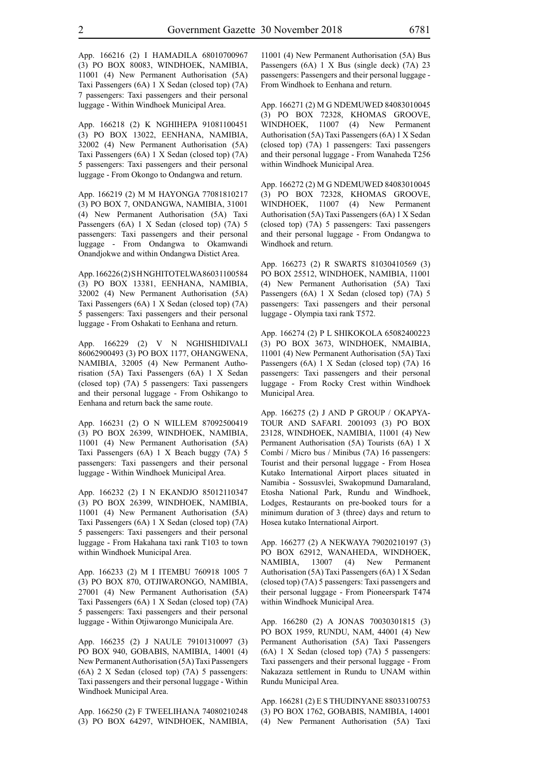App. 166216 (2) I HAMADILA 68010700967 (3) PO BOX 80083, WINDHOEK, NAMIBIA, 11001 (4) New Permanent Authorisation (5A) Taxi Passengers (6A) 1 X Sedan (closed top) (7A) 7 passengers: Taxi passengers and their personal luggage - Within Windhoek Municipal Area.

App. 166218 (2) K NGHIHEPA 91081100451 (3) PO BOX 13022, EENHANA, NAMIBIA, 32002 (4) New Permanent Authorisation (5A) Taxi Passengers (6A) 1 X Sedan (closed top) (7A) 5 passengers: Taxi passengers and their personal luggage - From Okongo to Ondangwa and return.

App. 166219 (2) M M HAYONGA 77081810217 (3) PO BOX 7, ONDANGWA, NAMIBIA, 31001 (4) New Permanent Authorisation (5A) Taxi Passengers (6A) 1 X Sedan (closed top) (7A) 5 passengers: Taxi passengers and their personal luggage - From Ondangwa to Okamwandi Onandjokwe and within Ondangwa Distict Area.

App. 166226 (2) S H NGHITOTELWA 86031100584 (3) PO BOX 13381, EENHANA, NAMIBIA, 32002 (4) New Permanent Authorisation (5A) Taxi Passengers (6A) 1 X Sedan (closed top) (7A) 5 passengers: Taxi passengers and their personal luggage - From Oshakati to Eenhana and return.

App. 166229 (2) V N NGHISHIDIVALI 86062900493 (3) PO BOX 1177, OHANGWENA, NAMIBIA, 32005 (4) New Permanent Authorisation (5A) Taxi Passengers (6A) 1 X Sedan (closed top) (7A) 5 passengers: Taxi passengers and their personal luggage - From Oshikango to Eenhana and return back the same route.

App. 166231 (2) O N WILLEM 87092500419 (3) PO BOX 26399, WINDHOEK, NAMIBIA, 11001 (4) New Permanent Authorisation (5A) Taxi Passengers (6A) 1 X Beach buggy (7A) 5 passengers: Taxi passengers and their personal luggage - Within Windhoek Municipal Area.

App. 166232 (2) I N EKANDJO 85012110347 (3) PO BOX 26399, WINDHOEK, NAMIBIA, 11001 (4) New Permanent Authorisation (5A) Taxi Passengers (6A) 1 X Sedan (closed top) (7A) 5 passengers: Taxi passengers and their personal luggage - From Hakahana taxi rank T103 to town within Windhoek Municipal Area.

App. 166233 (2) M I ITEMBU 760918 1005 7 (3) PO BOX 870, OTJIWARONGO, NAMIBIA, 27001 (4) New Permanent Authorisation (5A) Taxi Passengers (6A) 1 X Sedan (closed top) (7A) 5 passengers: Taxi passengers and their personal luggage - Within Otjiwarongo Municipala Are.

App. 166235 (2) J NAULE 79101310097 (3) PO BOX 940, GOBABIS, NAMIBIA, 14001 (4) New Permanent Authorisation (5A) Taxi Passengers (6A) 2 X Sedan (closed top) (7A) 5 passengers: Taxi passengers and their personal luggage - Within Windhoek Municipal Area.

App. 166250 (2) F TWEELIHANA 74080210248 (3) PO BOX 64297, WINDHOEK, NAMIBIA, 11001 (4) New Permanent Authorisation (5A) Bus Passengers (6A) 1 X Bus (single deck) (7A) 23 passengers: Passengers and their personal luggage - From Windhoek to Eenhana and return.

App. 166271 (2) M G NDEMUWED 84083010045 (3) PO BOX 72328, KHOMAS GROOVE, WINDHOEK, 11007 (4) New Permanent Authorisation (5A) Taxi Passengers (6A) 1 X Sedan (closed top) (7A) 1 passengers: Taxi passengers and their personal luggage - From Wanaheda T256 within Windhoek Municipal Area.

App. 166272 (2) M G NDEMUWED 84083010045 (3) PO BOX 72328, KHOMAS GROOVE, WINDHOEK, 11007 (4) New Permanent Authorisation (5A) Taxi Passengers (6A) 1 X Sedan (closed top) (7A) 5 passengers: Taxi passengers and their personal luggage - From Ondangwa to Windhoek and return.

App. 166273 (2) R SWARTS 81030410569 (3) PO BOX 25512, WINDHOEK, NAMIBIA, 11001 (4) New Permanent Authorisation (5A) Taxi Passengers (6A) 1 X Sedan (closed top) (7A) 5 passengers: Taxi passengers and their personal luggage - Olympia taxi rank T572.

App. 166274 (2) P L SHIKOKOLA 65082400223 (3) PO BOX 3673, WINDHOEK, NMAIBIA, 11001 (4) New Permanent Authorisation (5A) Taxi Passengers (6A) 1 X Sedan (closed top) (7A) 16 passengers: Taxi passengers and their personal luggage - From Rocky Crest within Windhoek Municipal Area.

App. 166275 (2) J AND P GROUP / OKAPYA-TOUR AND SAFARI. 2001093 (3) PO BOX 23128, WINDHOEK, NAMIBIA, 11001 (4) New Permanent Authorisation (5A) Tourists (6A) 1 X Combi / Micro bus / Minibus (7A) 16 passengers: Tourist and their personal luggage - From Hosea Kutako International Airport places situated in Namibia - Sossusvlei, Swakopmund Damaraland, Etosha National Park, Rundu and Windhoek, Lodges, Restaurants on pre-booked tours for a minimum duration of 3 (three) days and return to Hosea kutako International Airport.

App. 166277 (2) A NEKWAYA 79020210197 (3) PO BOX 62912, WANAHEDA, WINDHOEK, NAMIBIA, 13007 (4) New Permanent Authorisation (5A) Taxi Passengers (6A) 1 X Sedan (closed top) (7A) 5 passengers: Taxi passengers and their personal luggage - From Pioneerspark T474 within Windhoek Municipal Area.

App. 166280 (2) A JONAS 70030301815 (3) PO BOX 1959, RUNDU, NAM, 44001 (4) New Permanent Authorisation (5A) Taxi Passengers (6A) 1 X Sedan (closed top) (7A) 5 passengers: Taxi passengers and their personal luggage - From Nakazaza settlement in Rundu to UNAM within Rundu Municipal Area.

App. 166281 (2) E S THUDINYANE 88033100753 (3) PO BOX 1762, GOBABIS, NAMIBIA, 14001 (4) New Permanent Authorisation (5A) Taxi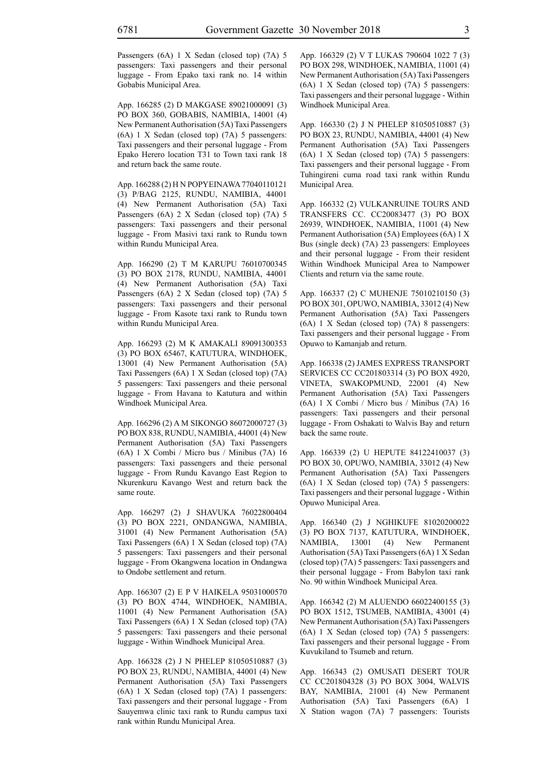Passengers (6A) 1 X Sedan (closed top) (7A) 5 passengers: Taxi passengers and their personal luggage - From Epako taxi rank no. 14 within Gobabis Municipal Area.

App. 166285 (2) D MAKGASE 89021000091 (3) PO BOX 360, GOBABIS, NAMIBIA, 14001 (4) New Permanent Authorisation (5A) Taxi Passengers (6A) 1 X Sedan (closed top) (7A) 5 passengers: Taxi passengers and their personal luggage - From Epako Herero location T31 to Town taxi rank 18 and return back the same route.

App. 166288 (2) H N POPYEINAWA 77040110121 (3) P/BAG 2125, RUNDU, NAMIBIA, 44001 (4) New Permanent Authorisation (5A) Taxi Passengers (6A) 2 X Sedan (closed top) (7A) 5 passengers: Taxi passengers and their personal luggage - From Masivi taxi rank to Rundu town within Rundu Municipal Area.

App. 166290 (2) T M KARUPU 76010700345 (3) PO BOX 2178, RUNDU, NAMIBIA, 44001 (4) New Permanent Authorisation (5A) Taxi Passengers (6A) 2 X Sedan (closed top) (7A) 5 passengers: Taxi passengers and their personal luggage - From Kasote taxi rank to Rundu town within Rundu Municipal Area.

App. 166293 (2) M K AMAKALI 89091300353 (3) PO BOX 65467, KATUTURA, WINDHOEK, 13001 (4) New Permanent Authorisation (5A) Taxi Passengers (6A) 1 X Sedan (closed top) (7A) 5 passengers: Taxi passengers and theie personal luggage - From Havana to Katutura and within Windhoek Municipal Area.

App. 166296 (2) A M SIKONGO 86072000727 (3) PO BOX 838, RUNDU, NAMIBIA, 44001 (4) New Permanent Authorisation (5A) Taxi Passengers (6A) 1 X Combi / Micro bus / Minibus (7A) 16 passengers: Taxi passengers and theie personal luggage - From Rundu Kavango East Region to Nkurenkuru Kavango West and return back the same route.

App. 166297 (2) J SHAVUKA 76022800404 (3) PO BOX 2221, ONDANGWA, NAMIBIA, 31001 (4) New Permanent Authorisation (5A) Taxi Passengers (6A) 1 X Sedan (closed top) (7A) 5 passengers: Taxi passengers and their personal luggage - From Okangwena location in Ondangwa to Ondobe settlement and return.

App. 166307 (2) E P V HAIKELA 95031000570 (3) PO BOX 4744, WINDHOEK, NAMIBIA, 11001 (4) New Permanent Authorisation (5A) Taxi Passengers (6A) 1 X Sedan (closed top) (7A) 5 passengers: Taxi passengers and theie personal luggage - Within Windhoek Municipal Area.

App. 166328 (2) J N PHELEP 81050510887 (3) PO BOX 23, RUNDU, NAMIBIA, 44001 (4) New Permanent Authorisation (5A) Taxi Passengers (6A) 1 X Sedan (closed top) (7A) 1 passengers: Taxi passengers and their personal luggage - From Sauyemwa clinic taxi rank to Rundu campus taxi rank within Rundu Municipal Area.

App. 166329 (2) V T LUKAS 790604 1022 7 (3) PO BOX 298, WINDHOEK, NAMIBIA, 11001 (4) New Permanent Authorisation (5A) Taxi Passengers (6A) 1 X Sedan (closed top) (7A) 5 passengers: Taxi passengers and their personal luggage - Within Windhoek Municipal Area.

App. 166330 (2) J N PHELEP 81050510887 (3) PO BOX 23, RUNDU, NAMIBIA, 44001 (4) New Permanent Authorisation (5A) Taxi Passengers (6A) 1 X Sedan (closed top) (7A) 5 passengers: Taxi passengers and their personal luggage - From Tuhingireni cuma road taxi rank within Rundu Municipal Area.

App. 166332 (2) VULKANRUINE TOURS AND TRANSFERS CC. CC20083477 (3) PO BOX 26939, WINDHOEK, NAMIBIA, 11001 (4) New Permanent Authorisation (5A) Employees (6A) 1 X Bus (single deck) (7A) 23 passengers: Employees and their personal luggage - From their resident Within Windhoek Municipal Area to Nampower Clients and return via the same route.

App. 166337 (2) C MUHENJE 75010210150 (3) PO BOX 301, OPUWO, NAMIBIA, 33012 (4) New Permanent Authorisation (5A) Taxi Passengers (6A) 1 X Sedan (closed top) (7A) 8 passengers: Taxi passengers and their personal luggage - From Opuwo to Kamanjab and return.

App. 166338 (2) JAMES EXPRESS TRANSPORT SERVICES CC CC201803314 (3) PO BOX 4920, VINETA, SWAKOPMUND, 22001 (4) New Permanent Authorisation (5A) Taxi Passengers (6A) 1 X Combi / Micro bus / Minibus (7A) 16 passengers: Taxi passengers and their personal luggage - From Oshakati to Walvis Bay and return back the same route.

App. 166339 (2) U HEPUTE 84122410037 (3) PO BOX 30, OPUWO, NAMIBIA, 33012 (4) New Permanent Authorisation (5A) Taxi Passengers (6A) 1 X Sedan (closed top) (7A) 5 passengers: Taxi passengers and their personal luggage - Within Opuwo Municipal Area.

App. 166340 (2) J NGHIKUFE 81020200022 (3) PO BOX 7137, KATUTURA, WINDHOEK, NAMIBIA, 13001 (4) New Permanent Authorisation (5A) Taxi Passengers (6A) 1 X Sedan (closed top) (7A) 5 passengers: Taxi passengers and their personal luggage - From Babylon taxi rank No. 90 within Windhoek Municipal Area.

App. 166342 (2) M ALUENDO 66022400155 (3) PO BOX 1512, TSUMEB, NAMIBIA, 43001 (4) New Permanent Authorisation (5A) Taxi Passengers (6A) 1 X Sedan (closed top) (7A) 5 passengers: Taxi passengers and their personal luggage - From Kuvukiland to Tsumeb and return.

App. 166343 (2) OMUSATI DESERT TOUR CC CC201804328 (3) PO BOX 3004, WALVIS BAY, NAMIBIA, 21001 (4) New Permanent Authorisation (5A) Taxi Passengers (6A) 1 X Station wagon (7A) 7 passengers: Tourists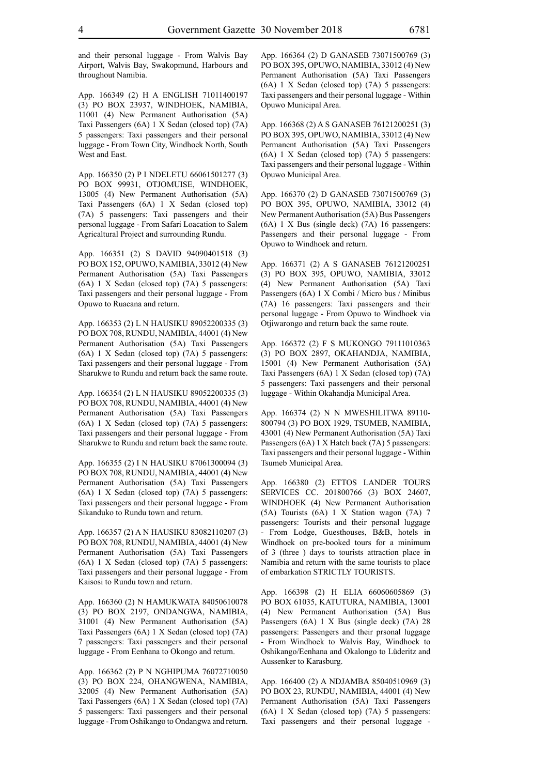and their personal luggage - From Walvis Bay Airport, Walvis Bay, Swakopmund, Harbours and throughout Namibia.

App. 166349 (2) H A ENGLISH 71011400197 (3) PO BOX 23937, WINDHOEK, NAMIBIA, 11001 (4) New Permanent Authorisation (5A) Taxi Passengers (6A) 1 X Sedan (closed top) (7A) 5 passengers: Taxi passengers and their personal luggage - From Town City, Windhoek North, South West and East.

App. 166350 (2) P I NDELETU 66061501277 (3) PO BOX 99931, OTJOMUISE, WINDHOEK, 13005 (4) New Permanent Authorisation (5A) Taxi Passengers (6A) 1 X Sedan (closed top) (7A) 5 passengers: Taxi passengers and their personal luggage - From Safari Loacation to Salem Agricaltural Project and surrounding Rundu.

App. 166351 (2) S DAVID 94090401518 (3) PO BOX 152, OPUWO, NAMIBIA, 33012 (4) New Permanent Authorisation (5A) Taxi Passengers (6A) 1 X Sedan (closed top) (7A) 5 passengers: Taxi passengers and their personal luggage - From Opuwo to Ruacana and return.

App. 166353 (2) L N HAUSIKU 89052200335 (3) PO BOX 708, RUNDU, NAMIBIA, 44001 (4) New Permanent Authorisation (5A) Taxi Passengers (6A) 1 X Sedan (closed top) (7A) 5 passengers: Taxi passengers and their personal luggage - From Sharukwe to Rundu and return back the same route.

App. 166354 (2) L N HAUSIKU 89052200335 (3) PO BOX 708, RUNDU, NAMIBIA, 44001 (4) New Permanent Authorisation (5A) Taxi Passengers (6A) 1 X Sedan (closed top) (7A) 5 passengers: Taxi passengers and their personal luggage - From Sharukwe to Rundu and return back the same route.

App. 166355 (2) I N HAUSIKU 87061300094 (3) PO BOX 708, RUNDU, NAMIBIA, 44001 (4) New Permanent Authorisation (5A) Taxi Passengers (6A) 1 X Sedan (closed top) (7A) 5 passengers: Taxi passengers and their personal luggage - From Sikanduko to Rundu town and return.

App. 166357 (2) A N HAUSIKU 83082110207 (3) PO BOX 708, RUNDU, NAMIBIA, 44001 (4) New Permanent Authorisation (5A) Taxi Passengers (6A) 1 X Sedan (closed top) (7A) 5 passengers: Taxi passengers and their personal luggage - From Kaisosi to Rundu town and return.

App. 166360 (2) N HAMUKWATA 84050610078 (3) PO BOX 2197, ONDANGWA, NAMIBIA, 31001 (4) New Permanent Authorisation (5A) Taxi Passengers (6A) 1 X Sedan (closed top) (7A) 7 passengers: Taxi passengers and their personal luggage - From Eenhana to Okongo and return.

App. 166362 (2) P N NGHIPUMA 76072710050 (3) PO BOX 224, OHANGWENA, NAMIBIA, 32005 (4) New Permanent Authorisation (5A) Taxi Passengers (6A) 1 X Sedan (closed top) (7A) 5 passengers: Taxi passengers and their personal luggage - From Oshikango to Ondangwa and return. App. 166364 (2) D GANASEB 73071500769 (3) PO BOX 395, OPUWO, NAMIBIA, 33012 (4) New Permanent Authorisation (5A) Taxi Passengers (6A) 1 X Sedan (closed top) (7A) 5 passengers: Taxi passengers and their personal luggage - Within Opuwo Municipal Area.

App. 166368 (2) A S GANASEB 76121200251 (3) PO BOX 395, OPUWO, NAMIBIA, 33012 (4) New Permanent Authorisation (5A) Taxi Passengers (6A) 1 X Sedan (closed top) (7A) 5 passengers: Taxi passengers and their personal luggage - Within Opuwo Municipal Area.

App. 166370 (2) D GANASEB 73071500769 (3) PO BOX 395, OPUWO, NAMIBIA, 33012 (4) New Permanent Authorisation (5A) Bus Passengers (6A) 1 X Bus (single deck) (7A) 16 passengers: Passengers and their personal luggage - From Opuwo to Windhoek and return.

App. 166371 (2) A S GANASEB 76121200251 (3) PO BOX 395, OPUWO, NAMIBIA, 33012 (4) New Permanent Authorisation (5A) Taxi Passengers (6A) 1 X Combi / Micro bus / Minibus (7A) 16 passengers: Taxi passengers and their personal luggage - From Opuwo to Windhoek via Otjiwarongo and return back the same route.

App. 166372 (2) F S MUKONGO 79111010363 (3) PO BOX 2897, OKAHANDJA, NAMIBIA, 15001 (4) New Permanent Authorisation (5A) Taxi Passengers (6A) 1 X Sedan (closed top) (7A) 5 passengers: Taxi passengers and their personal luggage - Within Okahandja Municipal Area.

App. 166374 (2) N N MWESHILITWA 89110- 800794 (3) PO BOX 1929, TSUMEB, NAMIBIA, 43001 (4) New Permanent Authorisation (5A) Taxi Passengers (6A) 1 X Hatch back (7A) 5 passengers: Taxi passengers and their personal luggage - Within Tsumeb Municipal Area.

App. 166380 (2) ETTOS LANDER TOURS SERVICES CC. 201800766 (3) BOX 24607, WINDHOEK (4) New Permanent Authorisation (5A) Tourists (6A) 1 X Station wagon (7A) 7 passengers: Tourists and their personal luggage - From Lodge, Guesthouses, B&B, hotels in Windhoek on pre-booked tours for a minimum of 3 (three ) days to tourists attraction place in Namibia and return with the same tourists to place of embarkation STRICTLY TOURISTS.

App. 166398 (2) H ELIA 66060605869 (3) PO BOX 61035, KATUTURA, NAMIBIA, 13001 (4) New Permanent Authorisation (5A) Bus Passengers (6A) 1 X Bus (single deck) (7A) 28 passengers: Passengers and their prsonal luggage - From Windhoek to Walvis Bay, Windhoek to Oshikango/Eenhana and Okalongo to Lüderitz and Aussenker to Karasburg.

App. 166400 (2) A NDJAMBA 85040510969 (3) PO BOX 23, RUNDU, NAMIBIA, 44001 (4) New Permanent Authorisation (5A) Taxi Passengers (6A) 1 X Sedan (closed top) (7A) 5 passengers: Taxi passengers and their personal luggage -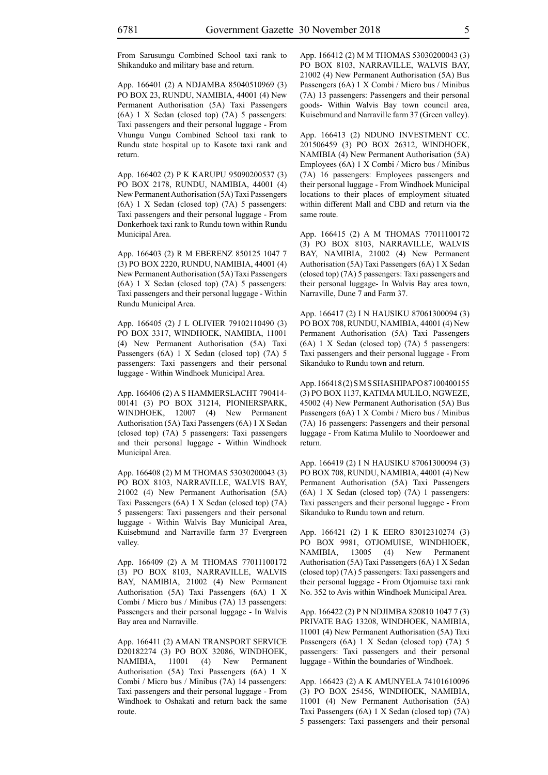From Sarusungu Combined School taxi rank to Shikanduko and military base and return.

App. 166401 (2) A NDJAMBA 85040510969 (3) PO BOX 23, RUNDU, NAMIBIA, 44001 (4) New Permanent Authorisation (5A) Taxi Passengers (6A) 1 X Sedan (closed top) (7A) 5 passengers: Taxi passengers and their personal luggage - From Vhungu Vungu Combined School taxi rank to Rundu state hospital up to Kasote taxi rank and return.

App. 166402 (2) P K KARUPU 95090200537 (3) PO BOX 2178, RUNDU, NAMIBIA, 44001 (4) New Permanent Authorisation (5A) Taxi Passengers (6A) 1 X Sedan (closed top) (7A) 5 passengers: Taxi passengers and their personal luggage - From Donkerhoek taxi rank to Rundu town within Rundu Municipal Area.

App. 166403 (2) R M EBERENZ 850125 1047 7 (3) PO BOX 2220, RUNDU, NAMIBIA, 44001 (4) New Permanent Authorisation (5A) Taxi Passengers (6A) 1 X Sedan (closed top) (7A) 5 passengers: Taxi passengers and their personal luggage - Within Rundu Municipal Area.

App. 166405 (2) J L OLIVIER 79102110490 (3) PO BOX 3317, WINDHOEK, NAMIBIA, 11001 (4) New Permanent Authorisation (5A) Taxi Passengers (6A) 1 X Sedan (closed top) (7A) 5 passengers: Taxi passengers and their personal luggage - Within Windhoek Municipal Area.

App. 166406 (2) A S HAMMERSLACHT 790414- 00141 (3) PO BOX 31214, PIONIERSPARK, WINDHOEK, 12007 (4) New Permanent Authorisation (5A) Taxi Passengers (6A) 1 X Sedan (closed top) (7A) 5 passengers: Taxi passengers and their personal luggage - Within Windhoek Municipal Area.

App. 166408 (2) M M THOMAS 53030200043 (3) PO BOX 8103, NARRAVILLE, WALVIS BAY, 21002 (4) New Permanent Authorisation (5A) Taxi Passengers (6A) 1 X Sedan (closed top) (7A) 5 passengers: Taxi passengers and their personal luggage - Within Walvis Bay Municipal Area, Kuisebmund and Narraville farm 37 Evergreen valley.

App. 166409 (2) A M THOMAS 77011100172 (3) PO BOX 8103, NARRAVILLE, WALVIS BAY, NAMIBIA, 21002 (4) New Permanent Authorisation (5A) Taxi Passengers (6A) 1 X Combi / Micro bus / Minibus (7A) 13 passengers: Passengers and their personal luggage - In Walvis Bay area and Narraville.

App. 166411 (2) AMAN TRANSPORT SERVICE D20182274 (3) PO BOX 32086, WINDHOEK, NAMIBIA, 11001 (4) New Permanent Authorisation (5A) Taxi Passengers (6A) 1 X Combi / Micro bus / Minibus (7A) 14 passengers: Taxi passengers and their personal luggage - From Windhoek to Oshakati and return back the same route.

App. 166412 (2) M M THOMAS 53030200043 (3) PO BOX 8103, NARRAVILLE, WALVIS BAY, 21002 (4) New Permanent Authorisation (5A) Bus Passengers (6A) 1 X Combi / Micro bus / Minibus (7A) 13 passengers: Passengers and their personal goods- Within Walvis Bay town council area, Kuisebmund and Narraville farm 37 (Green valley).

App. 166413 (2) NDUNO INVESTMENT CC. 201506459 (3) PO BOX 26312, WINDHOEK, NAMIBIA (4) New Permanent Authorisation (5A) Employees (6A) 1 X Combi / Micro bus / Minibus (7A) 16 passengers: Employees passengers and their personal luggage - From Windhoek Municipal locations to their places of employment situated within different Mall and CBD and return via the same route.

App. 166415 (2) A M THOMAS 77011100172 (3) PO BOX 8103, NARRAVILLE, WALVIS BAY, NAMIBIA, 21002 (4) New Permanent Authorisation (5A) Taxi Passengers (6A) 1 X Sedan (closed top) (7A) 5 passengers: Taxi passengers and their personal luggage- In Walvis Bay area town, Narraville, Dune 7 and Farm 37.

App. 166417 (2) I N HAUSIKU 87061300094 (3) PO BOX 708, RUNDU, NAMIBIA, 44001 (4) New Permanent Authorisation (5A) Taxi Passengers (6A) 1 X Sedan (closed top) (7A) 5 passengers: Taxi passengers and their personal luggage - From Sikanduko to Rundu town and return.

App. 166418 (2) S M S SHASHIPAPO 87100400155 (3) PO BOX 1137, KATIMA MULILO, NGWEZE, 45002 (4) New Permanent Authorisation (5A) Bus Passengers (6A) 1 X Combi / Micro bus / Minibus (7A) 16 passengers: Passengers and their personal luggage - From Katima Mulilo to Noordoewer and return.

App. 166419 (2) I N HAUSIKU 87061300094 (3) PO BOX 708, RUNDU, NAMIBIA, 44001 (4) New Permanent Authorisation (5A) Taxi Passengers (6A) 1 X Sedan (closed top) (7A) 1 passengers: Taxi passengers and their personal luggage - From Sikanduko to Rundu town and return.

App. 166421 (2) I K EERO 83012310274 (3) PO BOX 9981, OTJOMUISE, WINDHIOEK, NAMIBIA, 13005 (4) New Permanent Authorisation (5A) Taxi Passengers (6A) 1 X Sedan (closed top) (7A) 5 passengers: Taxi passengers and their personal luggage - From Otjomuise taxi rank No. 352 to Avis within Windhoek Municipal Area.

App. 166422 (2) P N NDJIMBA 820810 1047 7 (3) PRIVATE BAG 13208, WINDHOEK, NAMIBIA, 11001 (4) New Permanent Authorisation (5A) Taxi Passengers (6A) 1 X Sedan (closed top) (7A) 5 passengers: Taxi passengers and their personal luggage - Within the boundaries of Windhoek.

App. 166423 (2) A K AMUNYELA 74101610096 (3) PO BOX 25456, WINDHOEK, NAMIBIA, 11001 (4) New Permanent Authorisation (5A) Taxi Passengers (6A) 1 X Sedan (closed top) (7A) 5 passengers: Taxi passengers and their personal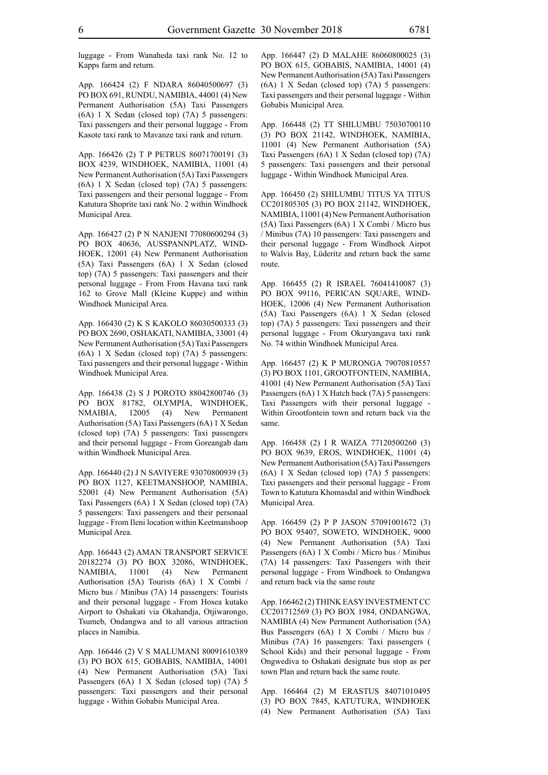luggage - From Wanaheda taxi rank No. 12 to Kapps farm and return.

App. 166424 (2) F NDARA 86040500697 (3) PO BOX 691, RUNDU, NAMIBIA, 44001 (4) New Permanent Authorisation (5A) Taxi Passengers (6A) 1 X Sedan (closed top) (7A) 5 passengers: Taxi passengers and their personal luggage - From Kasote taxi rank to Mavanze taxi rank and return.

App. 166426 (2) T P PETRUS 86071700191 (3) BOX 4239, WINDHOEK, NAMIBIA, 11001 (4) New Permanent Authorisation (5A) Taxi Passengers (6A) 1 X Sedan (closed top) (7A) 5 passengers: Taxi passengers and their personal luggage - From Katutura Shoprite taxi rank No. 2 within Windhoek Municipal Area.

App. 166427 (2) P N NANJENI 77080600294 (3) PO BOX 40636, AUSSPANNPLATZ, WIND-HOEK, 12001 (4) New Permanent Authorisation (5A) Taxi Passengers (6A) 1 X Sedan (closed top) (7A) 5 passengers: Taxi passengers and their personal luggage - From From Havana taxi rank 162 to Grove Mall (Kleine Kuppe) and within Windhoek Municipal Area.

App. 166430 (2) K S KAKOLO 86030500333 (3) PO BOX 2690, OSHAKATI, NAMIBIA, 33001 (4) New Permanent Authorisation (5A) Taxi Passengers (6A) 1 X Sedan (closed top) (7A) 5 passengers: Taxi passengers and their personal luggage - Within Windhoek Municipal Area.

App. 166438 (2) S J POROTO 88042800746 (3) PO BOX 81782, OLYMPIA, WINDHOEK, NMAIBIA, 12005 (4) New Permanent Authorisation (5A) Taxi Passengers (6A) 1 X Sedan (closed top) (7A) 5 passengers: Taxi passengers and their personal luggage - From Goreangab dam within Windhoek Municipal Area.

App. 166440 (2) J N SAVIYERE 93070800939 (3) PO BOX 1127, KEETMANSHOOP, NAMIBIA, 52001 (4) New Permanent Authorisation (5A) Taxi Passengers (6A) 1 X Sedan (closed top) (7A) 5 passengers: Taxi passengers and their personaal luggage - From Ileni location within Keetmanshoop Municipal Area.

App. 166443 (2) AMAN TRANSPORT SERVICE 20182274 (3) PO BOX 32086, WINDHOEK, NAMIBIA, 11001 (4) New Permanent Authorisation (5A) Tourists (6A) 1 X Combi / Micro bus / Minibus (7A) 14 passengers: Tourists and their personal luggage - From Hosea kutako Airport to Oshakati via Okahandja, Otjiwarongo, Tsumeb, Ondangwa and to all various attraction places in Namibia.

App. 166446 (2) V S MALUMANI 80091610389 (3) PO BOX 615, GOBABIS, NAMIBIA, 14001 (4) New Permanent Authorisation (5A) Taxi Passengers (6A) 1 X Sedan (closed top) (7A) 5 passengers: Taxi passengers and their personal luggage - Within Gobabis Municipal Area.

App. 166447 (2) D MALAHE 86060800025 (3) PO BOX 615, GOBABIS, NAMIBIA, 14001 (4) New Permanent Authorisation (5A) Taxi Passengers (6A) 1 X Sedan (closed top) (7A) 5 passengers: Taxi passengers and their personal luggage - Within Gobabis Municipal Area.

App. 166448 (2) TT SHILUMBU 75030700110 (3) PO BOX 21142, WINDHOEK, NAMIBIA, 11001 (4) New Permanent Authorisation (5A) Taxi Passengers (6A) 1 X Sedan (closed top) (7A) 5 passengers: Taxi passengers and their personal luggage - Within Windhoek Municipal Area.

App. 166450 (2) SHILUMBU TITUS YA TITUS CC201805305 (3) PO BOX 21142, WINDHOEK, NAMIBIA, 11001 (4) New Permanent Authorisation (5A) Taxi Passengers (6A) 1 X Combi / Micro bus / Minibus (7A) 10 passengers: Taxi passengers and their personal luggage - From Windhoek Airpot to Walvis Bay, Lüderitz and return back the same route.

App. 166455 (2) R ISRAEL 76041410087 (3) PO BOX 99116, PERICAN SQUARE, WIND-HOEK, 12006 (4) New Permanent Authorisation (5A) Taxi Passengers (6A) 1 X Sedan (closed top) (7A) 5 passengers: Taxi passengers and their personal luggage - From Okuryangava taxi rank No. 74 within Windhoek Municipal Area.

App. 166457 (2) K P MURONGA 79070810557 (3) PO BOX 1101, GROOTFONTEIN, NAMIBIA, 41001 (4) New Permanent Authorisation (5A) Taxi Passengers (6A) 1 X Hatch back (7A) 5 passengers: Taxi Passengers with their personal luggage - Within Grootfontein town and return back via the same.

App. 166458 (2) I R WAIZA 77120500260 (3) PO BOX 9639, EROS, WINDHOEK, 11001 (4) New Permanent Authorisation (5A) Taxi Passengers (6A) 1 X Sedan (closed top) (7A) 5 passengers: Taxi passengers and their personal luggage - From Town to Katutura Khomasdal and within Windhoek Municipal Area.

App. 166459 (2) P P JASON 57091001672 (3) PO BOX 95407, SOWETO, WINDHOEK, 9000 (4) New Permanent Authorisation (5A) Taxi Passengers (6A) 1 X Combi / Micro bus / Minibus (7A) 14 passengers: Taxi Passengers with their personal luggage - From Windhoek to Ondangwa and return back via the same route

App. 166462 (2) THINK EASY INVESTMENT CC CC201712569 (3) PO BOX 1984, ONDANGWA, NAMIBIA (4) New Permanent Authorisation (5A) Bus Passengers (6A) 1 X Combi / Micro bus / Minibus (7A) 16 passengers: Taxi passengers ( School Kids) and their personal luggage - From Ongwediva to Oshakati designate bus stop as per town Plan and return back the same route.

App. 166464 (2) M ERASTUS 84071010495 (3) PO BOX 7845, KATUTURA, WINDHOEK (4) New Permanent Authorisation (5A) Taxi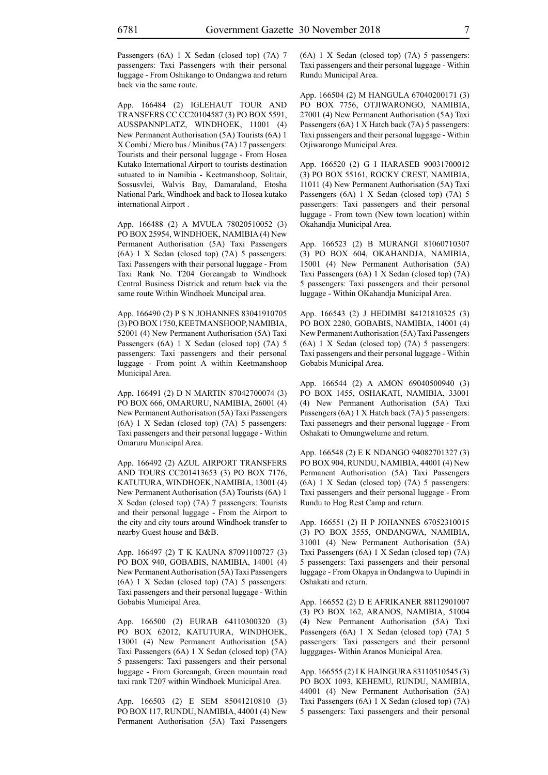Passengers (6A) 1 X Sedan (closed top) (7A) 7 passengers: Taxi Passengers with their personal luggage - From Oshikango to Ondangwa and return back via the same route.

App. 166484 (2) IGLEHAUT TOUR AND TRANSFERS CC CC20104587 (3) PO BOX 5591, AUSSPANNPLATZ, WINDHOEK, 11001 (4) New Permanent Authorisation (5A) Tourists (6A) 1 X Combi / Micro bus / Minibus (7A) 17 passengers: Tourists and their personal luggage - From Hosea Kutako International Airport to tourists destination sutuated to in Namibia - Keetmanshoop, Solitair, Sossusvlei, Walvis Bay, Damaraland, Etosha National Park, Windhoek and back to Hosea kutako international Airport .

App. 166488 (2) A MVULA 78020510052 (3) PO BOX 25954, WINDHOEK, NAMIBIA (4) New Permanent Authorisation (5A) Taxi Passengers (6A) 1 X Sedan (closed top) (7A) 5 passengers: Taxi Passengers with their personal luggage - From Taxi Rank No. T204 Goreangab to Windhoek Central Business Districk and return back via the same route Within Windhoek Muncipal area.

App. 166490 (2) P S N JOHANNES 83041910705 (3) PO BOX 1750, KEETMANSHOOP, NAMIBIA, 52001 (4) New Permanent Authorisation (5A) Taxi Passengers (6A) 1 X Sedan (closed top) (7A) 5 passengers: Taxi passengers and their personal luggage - From point A within Keetmanshoop Municipal Area.

App. 166491 (2) D N MARTIN 87042700074 (3) PO BOX 666, OMARURU, NAMIBIA, 26001 (4) New Permanent Authorisation (5A) Taxi Passengers (6A) 1 X Sedan (closed top) (7A) 5 passengers: Taxi passengers and their personal luggage - Within Omaruru Municipal Area.

App. 166492 (2) AZUL AIRPORT TRANSFERS AND TOURS CC201413653 (3) PO BOX 7176, KATUTURA, WINDHOEK, NAMIBIA, 13001 (4) New Permanent Authorisation (5A) Tourists (6A) 1 X Sedan (closed top) (7A) 7 passengers: Tourists and their personal luggage - From the Airport to the city and city tours around Windhoek transfer to nearby Guest house and B&B.

App. 166497 (2) T K KAUNA 87091100727 (3) PO BOX 940, GOBABIS, NAMIBIA, 14001 (4) New Permanent Authorisation (5A) Taxi Passengers (6A) 1 X Sedan (closed top) (7A) 5 passengers: Taxi passengers and their personal luggage - Within Gobabis Municipal Area.

App. 166500 (2) EURAB 64110300320 (3) PO BOX 62012, KATUTURA, WINDHOEK, 13001 (4) New Permanent Authorisation (5A) Taxi Passengers (6A) 1 X Sedan (closed top) (7A) 5 passengers: Taxi passengers and their personal luggage - From Goreangab, Green mountain road taxi rank T207 within Windhoek Municipal Area.

App. 166503 (2) E SEM 85041210810 (3) PO BOX 117, RUNDU, NAMIBIA, 44001 (4) New Permanent Authorisation (5A) Taxi Passengers (6A) 1 X Sedan (closed top) (7A) 5 passengers: Taxi passengers and their personal luggage - Within Rundu Municipal Area.

App. 166504 (2) M HANGULA 67040200171 (3) PO BOX 7756, OTJIWARONGO, NAMIBIA, 27001 (4) New Permanent Authorisation (5A) Taxi Passengers (6A) 1 X Hatch back (7A) 5 passengers: Taxi passengers and their personal luggage - Within Otjiwarongo Municipal Area.

App. 166520 (2) G I HARASEB 90031700012 (3) PO BOX 55161, ROCKY CREST, NAMIBIA, 11011 (4) New Permanent Authorisation (5A) Taxi Passengers (6A) 1 X Sedan (closed top) (7A) 5 passengers: Taxi passengers and their personal luggage - From town (New town location) within Okahandja Municipal Area.

App. 166523 (2) B MURANGI 81060710307 (3) PO BOX 604, OKAHANDJA, NAMIBIA, 15001 (4) New Permanent Authorisation (5A) Taxi Passengers (6A) 1 X Sedan (closed top) (7A) 5 passengers: Taxi passengers and their personal luggage - Within OKahandja Municipal Area.

App. 166543 (2) J HEDIMBI 84121810325 (3) PO BOX 2280, GOBABIS, NAMIBIA, 14001 (4) New Permanent Authorisation (5A) Taxi Passengers (6A) 1 X Sedan (closed top) (7A) 5 passengers: Taxi passengers and their personal luggage - Within Gobabis Municipal Area.

App. 166544 (2) A AMON 69040500940 (3) PO BOX 1455, OSHAKATI, NAMIBIA, 33001 (4) New Permanent Authorisation (5A) Taxi Passengers (6A) 1 X Hatch back (7A) 5 passengers: Taxi passenegrs and their personal luggage - From Oshakati to Omungwelume and return.

App. 166548 (2) E K NDANGO 94082701327 (3) PO BOX 904, RUNDU, NAMIBIA, 44001 (4) New Permanent Authorisation (5A) Taxi Passengers (6A) 1 X Sedan (closed top) (7A) 5 passengers: Taxi passengers and their personal luggage - From Rundu to Hog Rest Camp and return.

App. 166551 (2) H P JOHANNES 67052310015 (3) PO BOX 3555, ONDANGWA, NAMIBIA, 31001 (4) New Permanent Authorisation (5A) Taxi Passengers (6A) 1 X Sedan (closed top) (7A) 5 passengers: Taxi passengers and their personal luggage - From Okapya in Ondangwa to Uupindi in Oshakati and return.

App. 166552 (2) D E AFRIKANER 88112901007 (3) PO BOX 162, ARANOS, NAMIBIA, 51004 (4) New Permanent Authorisation (5A) Taxi Passengers (6A) 1 X Sedan (closed top) (7A) 5 passengers: Taxi passengers and their personal lugggages- Within Aranos Municipal Area.

App. 166555 (2) I K HAINGURA 83110510545 (3) PO BOX 1093, KEHEMU, RUNDU, NAMIBIA, 44001 (4) New Permanent Authorisation (5A) Taxi Passengers (6A) 1 X Sedan (closed top) (7A) 5 passengers: Taxi passengers and their personal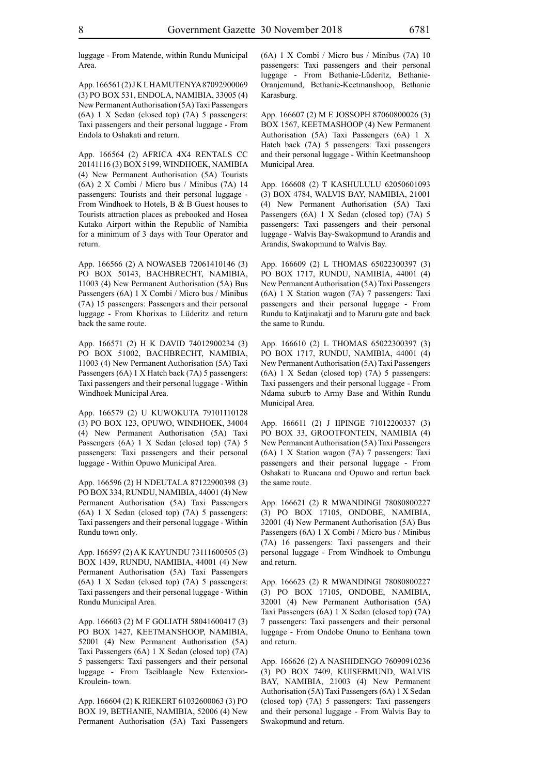luggage - From Matende, within Rundu Municipal Area.

App. 166561 (2) J K L HAMUTENYA 87092900069 (3) PO BOX 531, ENDOLA, NAMIBIA, 33005 (4) New Permanent Authorisation (5A) Taxi Passengers (6A) 1 X Sedan (closed top) (7A) 5 passengers: Taxi passengers and their personal luggage - From Endola to Oshakati and return.

App. 166564 (2) AFRICA 4X4 RENTALS CC 20141116 (3) BOX 5199, WINDHOEK, NAMIBIA (4) New Permanent Authorisation (5A) Tourists (6A) 2 X Combi / Micro bus / Minibus (7A) 14 passengers: Tourists and their personal luggage - From Windhoek to Hotels, B & B Guest houses to Tourists attraction places as prebooked and Hosea Kutako Airport within the Republic of Namibia for a minimum of 3 days with Tour Operator and return.

App. 166566 (2) A NOWASEB 72061410146 (3) PO BOX 50143, BACHBRECHT, NAMIBIA, 11003 (4) New Permanent Authorisation (5A) Bus Passengers (6A) 1 X Combi / Micro bus / Minibus (7A) 15 passengers: Passengers and their personal luggage - From Khorixas to Lüderitz and return back the same route.

App. 166571 (2) H K DAVID 74012900234 (3) PO BOX 51002, BACHBRECHT, NAMIBIA, 11003 (4) New Permanent Authorisation (5A) Taxi Passengers (6A) 1 X Hatch back (7A) 5 passengers: Taxi passengers and their personal luggage - Within Windhoek Municipal Area.

App. 166579 (2) U KUWOKUTA 79101110128 (3) PO BOX 123, OPUWO, WINDHOEK, 34004 (4) New Permanent Authorisation (5A) Taxi Passengers (6A) 1 X Sedan (closed top) (7A) 5 passengers: Taxi passengers and their personal luggage - Within Opuwo Municipal Area.

App. 166596 (2) H NDEUTALA 87122900398 (3) PO BOX 334, RUNDU, NAMIBIA, 44001 (4) New Permanent Authorisation (5A) Taxi Passengers (6A) 1 X Sedan (closed top) (7A) 5 passengers: Taxi passengers and their personal luggage - Within Rundu town only.

App. 166597 (2) A K KAYUNDU 73111600505 (3) BOX 1439, RUNDU, NAMIBIA, 44001 (4) New Permanent Authorisation (5A) Taxi Passengers (6A) 1 X Sedan (closed top) (7A) 5 passengers: Taxi passengers and their personal luggage - Within Rundu Municipal Area.

App. 166603 (2) M F GOLIATH 58041600417 (3) PO BOX 1427, KEETMANSHOOP, NAMIBIA, 52001 (4) New Permanent Authorisation (5A) Taxi Passengers (6A) 1 X Sedan (closed top) (7A) 5 passengers: Taxi passengers and their personal luggage - From Tseiblaagle New Extenxion-Kroulein- town.

App. 166604 (2) K RIEKERT 61032600063 (3) PO BOX 19, BETHANIE, NAMIBIA, 52006 (4) New Permanent Authorisation (5A) Taxi Passengers (6A) 1 X Combi / Micro bus / Minibus (7A) 10 passengers: Taxi passengers and their personal luggage - From Bethanie-Lüderitz, Bethanie-Oranjemund, Bethanie-Keetmanshoop, Bethanie Karasburg.

App. 166607 (2) M E JOSSOPH 87060800026 (3) BOX 1567, KEETMASHOOP (4) New Permanent Authorisation (5A) Taxi Passengers (6A) 1 X Hatch back (7A) 5 passengers: Taxi passengers and their personal luggage - Within Keetmanshoop Municipal Area.

App. 166608 (2) T KASHULULU 62050601093 (3) BOX 4784, WALVIS BAY, NAMIBIA, 21001 (4) New Permanent Authorisation (5A) Taxi Passengers (6A) 1 X Sedan (closed top) (7A) 5 passengers: Taxi passengers and their personal luggage - Walvis Bay-Swakopmund to Arandis and Arandis, Swakopmund to Walvis Bay.

App. 166609 (2) L THOMAS 65022300397 (3) PO BOX 1717, RUNDU, NAMIBIA, 44001 (4) New Permanent Authorisation (5A) Taxi Passengers (6A) 1 X Station wagon (7A) 7 passengers: Taxi passengers and their personal luggage - From Rundu to Katjinakatji and to Maruru gate and back the same to Rundu.

App. 166610 (2) L THOMAS 65022300397 (3) PO BOX 1717, RUNDU, NAMIBIA, 44001 (4) New Permanent Authorisation (5A) Taxi Passengers (6A) 1 X Sedan (closed top) (7A) 5 passengers: Taxi passengers and their personal luggage - From Ndama suburb to Army Base and Within Rundu Municipal Area.

App. 166611 (2) J IIPINGE 71012200337 (3) PO BOX 33, GROOTFONTEIN, NAMIBIA (4) New Permanent Authorisation (5A) Taxi Passengers (6A) 1 X Station wagon (7A) 7 passengers: Taxi passengers and their personal luggage - From Oshakati to Ruacana and Opuwo and rertun back the same route.

App. 166621 (2) R MWANDINGI 78080800227 (3) PO BOX 17105, ONDOBE, NAMIBIA, 32001 (4) New Permanent Authorisation (5A) Bus Passengers (6A) 1 X Combi / Micro bus / Minibus (7A) 16 passengers: Taxi passengers and their personal luggage - From Windhoek to Ombungu and return.

App. 166623 (2) R MWANDINGI 78080800227 (3) PO BOX 17105, ONDOBE, NAMIBIA, 32001 (4) New Permanent Authorisation (5A) Taxi Passengers (6A) 1 X Sedan (closed top) (7A) 7 passengers: Taxi passengers and their personal luggage - From Ondobe Onuno to Eenhana town and return.

App. 166626 (2) A NASHIDENGO 76090910236 (3) PO BOX 7409, KUISEBMUND, WALVIS BAY, NAMIBIA, 21003 (4) New Permanent Authorisation (5A) Taxi Passengers (6A) 1 X Sedan (closed top) (7A) 5 passengers: Taxi passengers and their personal luggage - From Walvis Bay to Swakopmund and return.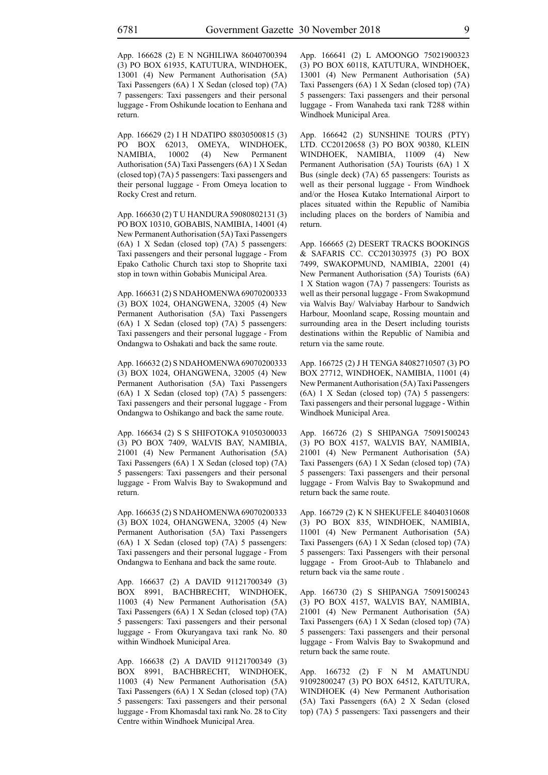App. 166628 (2) E N NGHILIWA 86040700394 (3) PO BOX 61935, KATUTURA, WINDHOEK, 13001 (4) New Permanent Authorisation (5A) Taxi Passengers (6A) 1 X Sedan (closed top) (7A) 7 passengers: Taxi passengers and their personal luggage - From Oshikunde location to Eenhana and return.

App. 166629 (2) I H NDATIPO 88030500815 (3) PO BOX 62013, OMEYA, WINDHOEK, NAMIBIA, 10002 (4) New Permanent Authorisation (5A) Taxi Passengers (6A) 1 X Sedan (closed top) (7A) 5 passengers: Taxi passengers and their personal luggage - From Omeya location to Rocky Crest and return.

App. 166630 (2) T U HANDURA 59080802131 (3) PO BOX 10310, GOBABIS, NAMIBIA, 14001 (4) New Permanent Authorisation (5A) Taxi Passengers (6A) 1 X Sedan (closed top) (7A) 5 passengers: Taxi passengers and their personal luggage - From Epako Catholic Church taxi stop to Shoprite taxi stop in town within Gobabis Municipal Area.

App. 166631 (2) S NDAHOMENWA 69070200333 (3) BOX 1024, OHANGWENA, 32005 (4) New Permanent Authorisation (5A) Taxi Passengers (6A) 1 X Sedan (closed top) (7A) 5 passengers: Taxi passengers and their personal luggage - From Ondangwa to Oshakati and back the same route.

App. 166632 (2) S NDAHOMENWA 69070200333 (3) BOX 1024, OHANGWENA, 32005 (4) New Permanent Authorisation (5A) Taxi Passengers (6A) 1 X Sedan (closed top) (7A) 5 passengers: Taxi passengers and their personal luggage - From Ondangwa to Oshikango and back the same route.

App. 166634 (2) S S SHIFOTOKA 91050300033 (3) PO BOX 7409, WALVIS BAY, NAMIBIA, 21001 (4) New Permanent Authorisation (5A) Taxi Passengers (6A) 1 X Sedan (closed top) (7A) 5 passengers: Taxi passengers and their personal luggage - From Walvis Bay to Swakopmund and return.

App. 166635 (2) S NDAHOMENWA 69070200333 (3) BOX 1024, OHANGWENA, 32005 (4) New Permanent Authorisation (5A) Taxi Passengers (6A) 1 X Sedan (closed top) (7A) 5 passengers: Taxi passengers and their personal luggage - From Ondangwa to Eenhana and back the same route.

App. 166637 (2) A DAVID 91121700349 (3) BOX 8991, BACHBRECHT, WINDHOEK, 11003 (4) New Permanent Authorisation (5A) Taxi Passengers (6A) 1 X Sedan (closed top) (7A) 5 passengers: Taxi passengers and their personal luggage - From Okuryangava taxi rank No. 80 within Windhoek Municipal Area.

App. 166638 (2) A DAVID 91121700349 (3) BOX 8991, BACHBRECHT, WINDHOEK, 11003 (4) New Permanent Authorisation (5A) Taxi Passengers (6A) 1 X Sedan (closed top) (7A) 5 passengers: Taxi passengers and their personal luggage - From Khomasdal taxi rank No. 28 to City Centre within Windhoek Municipal Area.

App. 166641 (2) L AMOONGO 75021900323 (3) PO BOX 60118, KATUTURA, WINDHOEK, 13001 (4) New Permanent Authorisation (5A) Taxi Passengers (6A) 1 X Sedan (closed top) (7A) 5 passengers: Taxi passengers and their personal luggage - From Wanaheda taxi rank T288 within Windhoek Municipal Area.

App. 166642 (2) SUNSHINE TOURS (PTY) LTD. CC20120658 (3) PO BOX 90380, KLEIN WINDHOEK, NAMIBIA, 11009 (4) New Permanent Authorisation (5A) Tourists (6A) 1 X Bus (single deck) (7A) 65 passengers: Tourists as well as their personal luggage - From Windhoek and/or the Hosea Kutako International Airport to places situated within the Republic of Namibia including places on the borders of Namibia and return.

App. 166665 (2) DESERT TRACKS BOOKINGS & SAFARIS CC. CC201303975 (3) PO BOX 7499, SWAKOPMUND, NAMIBIA, 22001 (4) New Permanent Authorisation (5A) Tourists (6A) 1 X Station wagon (7A) 7 passengers: Tourists as well as their personal luggage - From Swakopmund via Walvis Bay/ Walviabay Harbour to Sandwich Harbour, Moonland scape, Rossing mountain and surrounding area in the Desert including tourists destinations within the Republic of Namibia and return via the same route.

App. 166725 (2) J H TENGA 84082710507 (3) PO BOX 27712, WINDHOEK, NAMIBIA, 11001 (4) New Permanent Authorisation (5A) Taxi Passengers (6A) 1 X Sedan (closed top) (7A) 5 passengers: Taxi passengers and their personal luggage - Within Windhoek Municipal Area.

App. 166726 (2) S SHIPANGA 75091500243 (3) PO BOX 4157, WALVIS BAY, NAMIBIA, 21001 (4) New Permanent Authorisation (5A) Taxi Passengers (6A) 1 X Sedan (closed top) (7A) 5 passengers: Taxi passengers and their personal luggage - From Walvis Bay to Swakopmund and return back the same route.

App. 166729 (2) K N SHEKUFELE 84040310608 (3) PO BOX 835, WINDHOEK, NAMIBIA, 11001 (4) New Permanent Authorisation (5A) Taxi Passengers (6A) 1 X Sedan (closed top) (7A) 5 passengers: Taxi Passengers with their personal luggage - From Groot-Aub to Thlabanelo and return back via the same route .

App. 166730 (2) S SHIPANGA 75091500243 (3) PO BOX 4157, WALVIS BAY, NAMIBIA, 21001 (4) New Permanent Authorisation (5A) Taxi Passengers (6A) 1 X Sedan (closed top) (7A) 5 passengers: Taxi passengers and their personal luggage - From Walvis Bay to Swakopmund and return back the same route.

App. 166732 (2) F N M AMATUNDU 91092800247 (3) PO BOX 64512, KATUTURA, WINDHOEK (4) New Permanent Authorisation (5A) Taxi Passengers (6A) 2 X Sedan (closed top) (7A) 5 passengers: Taxi passengers and their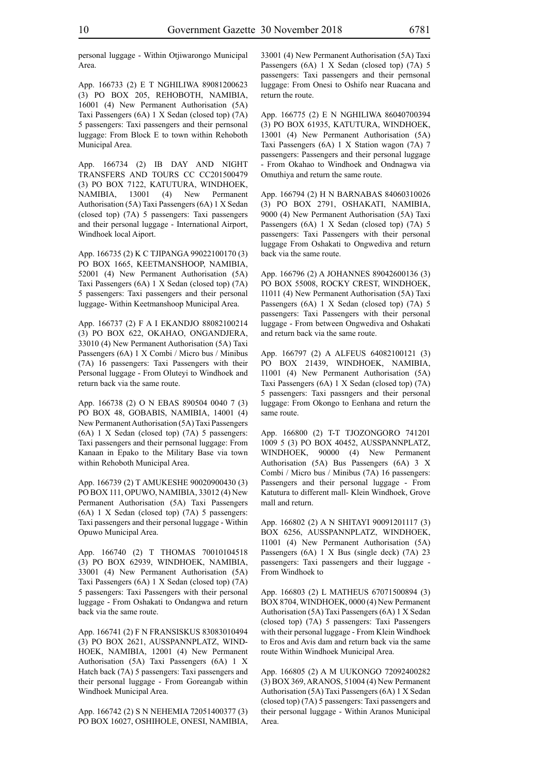personal luggage - Within Otjiwarongo Municipal Area.

App. 166733 (2) E T NGHILIWA 89081200623 (3) PO BOX 205, REHOBOTH, NAMIBIA, 16001 (4) New Permanent Authorisation (5A) Taxi Passengers (6A) 1 X Sedan (closed top) (7A) 5 passengers: Taxi passengers and their pernsonal luggage: From Block E to town within Rehoboth Municipal Area.

App. 166734 (2) IB DAY AND NIGHT TRANSFERS AND TOURS CC CC201500479 (3) PO BOX 7122, KATUTURA, WINDHOEK, NAMIBIA, 13001 (4) New Permanent Authorisation (5A) Taxi Passengers (6A) 1 X Sedan (closed top) (7A) 5 passengers: Taxi passengers and their personal luggage - International Airport, Windhoek local Aiport.

App. 166735 (2) K C TJIPANGA 99022100170 (3) PO BOX 1665, KEETMANSHOOP, NAMIBIA, 52001 (4) New Permanent Authorisation (5A) Taxi Passengers (6A) 1 X Sedan (closed top) (7A) 5 passengers: Taxi passengers and their personal luggage- Within Keetmanshoop Municipal Area.

App. 166737 (2) F A I EKANDJO 88082100214 (3) PO BOX 622, OKAHAO, ONGANDJERA, 33010 (4) New Permanent Authorisation (5A) Taxi Passengers (6A) 1 X Combi / Micro bus / Minibus (7A) 16 passengers: Taxi Passengers with their Personal luggage - From Oluteyi to Windhoek and return back via the same route.

App. 166738 (2) O N EBAS 890504 0040 7 (3) PO BOX 48, GOBABIS, NAMIBIA, 14001 (4) New Permanent Authorisation (5A) Taxi Passengers (6A) 1 X Sedan (closed top) (7A) 5 passengers: Taxi passengers and their pernsonal luggage: From Kanaan in Epako to the Military Base via town within Rehoboth Municipal Area.

App. 166739 (2) T AMUKESHE 90020900430 (3) PO BOX 111, OPUWO, NAMIBIA, 33012 (4) New Permanent Authorisation (5A) Taxi Passengers (6A) 1 X Sedan (closed top) (7A) 5 passengers: Taxi passengers and their personal luggage - Within Opuwo Municipal Area.

App. 166740 (2) T THOMAS 70010104518 (3) PO BOX 62939, WINDHOEK, NAMIBIA, 33001 (4) New Permanent Authorisation (5A) Taxi Passengers (6A) 1 X Sedan (closed top) (7A) 5 passengers: Taxi Passengers with their personal luggage - From Oshakati to Ondangwa and return back via the same route.

App. 166741 (2) F N FRANSISKUS 83083010494 (3) PO BOX 2621, AUSSPANNPLATZ, WIND-HOEK, NAMIBIA, 12001 (4) New Permanent Authorisation (5A) Taxi Passengers (6A) 1 X Hatch back (7A) 5 passengers: Taxi passengers and their personal luggage - From Goreangab within Windhoek Municipal Area.

App. 166742 (2) S N NEHEMIA 72051400377 (3) PO BOX 16027, OSHIHOLE, ONESI, NAMIBIA, 33001 (4) New Permanent Authorisation (5A) Taxi Passengers (6A) 1 X Sedan (closed top) (7A) 5 passengers: Taxi passengers and their pernsonal luggage: From Onesi to Oshifo near Ruacana and return the route.

App. 166775 (2) E N NGHILIWA 86040700394 (3) PO BOX 61935, KATUTURA, WINDHOEK, 13001 (4) New Permanent Authorisation (5A) Taxi Passengers (6A) 1 X Station wagon (7A) 7 passengers: Passengers and their personal luggage - From Okahao to Windhoek and Ondnagwa via Omuthiya and return the same route.

App. 166794 (2) H N BARNABAS 84060310026 (3) PO BOX 2791, OSHAKATI, NAMIBIA, 9000 (4) New Permanent Authorisation (5A) Taxi Passengers (6A) 1 X Sedan (closed top) (7A) 5 passengers: Taxi Passengers with their personal luggage From Oshakati to Ongwediva and return back via the same route.

App. 166796 (2) A JOHANNES 89042600136 (3) PO BOX 55008, ROCKY CREST, WINDHOEK, 11011 (4) New Permanent Authorisation (5A) Taxi Passengers (6A) 1 X Sedan (closed top) (7A) 5 passengers: Taxi Passengers with their personal luggage - From between Ongwediva and Oshakati and return back via the same route.

App. 166797 (2) A ALFEUS 64082100121 (3) PO BOX 21439, WINDHOEK, NAMIBIA, 11001 (4) New Permanent Authorisation (5A) Taxi Passengers (6A) 1 X Sedan (closed top) (7A) 5 passengers: Taxi passngers and their personal luggage: From Okongo to Eenhana and return the same route.

App. 166800 (2) T-T TJOZONGORO 741201 1009 5 (3) PO BOX 40452, AUSSPANNPLATZ, WINDHOEK, 90000 (4) New Permanent Authorisation (5A) Bus Passengers (6A) 3 X Combi / Micro bus / Minibus (7A) 16 passengers: Passengers and their personal luggage - From Katutura to different mall- Klein Windhoek, Grove mall and return.

App. 166802 (2) A N SHITAYI 90091201117 (3) BOX 6256, AUSSPANNPLATZ, WINDHOEK, 11001 (4) New Permanent Authorisation (5A) Passengers (6A) 1 X Bus (single deck) (7A) 23 passengers: Taxi passengers and their luggage - From Windhoek to

App. 166803 (2) L MATHEUS 67071500894 (3) BOX 8704, WINDHOEK, 0000 (4) New Permanent Authorisation (5A) Taxi Passengers (6A) 1 X Sedan (closed top) (7A) 5 passengers: Taxi Passengers with their personal luggage - From Klein Windhoek to Eros and Avis dam and return back via the same route Within Windhoek Municipal Area.

App. 166805 (2) A M UUKONGO 72092400282 (3) BOX 369, ARANOS, 51004 (4) New Permanent Authorisation (5A) Taxi Passengers (6A) 1 X Sedan (closed top) (7A) 5 passengers: Taxi passengers and their personal luggage - Within Aranos Municipal Area.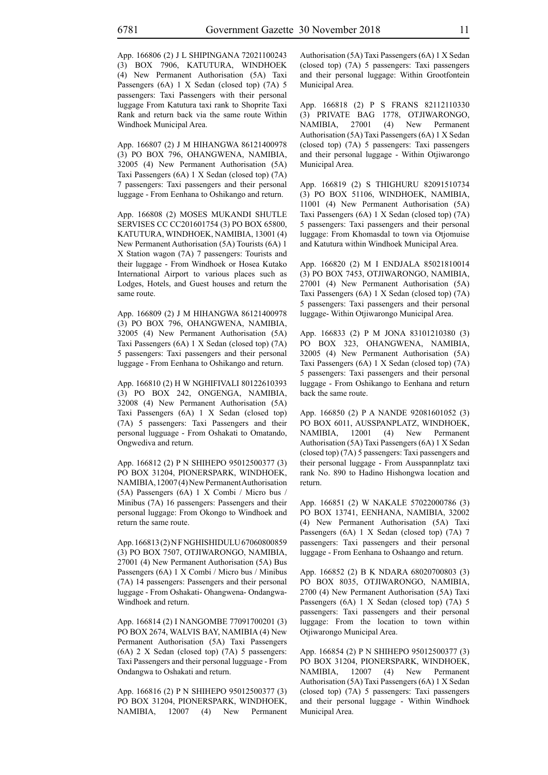App. 166806 (2) J L SHIPINGANA 72021100243 (3) BOX 7906, KATUTURA, WINDHOEK (4) New Permanent Authorisation (5A) Taxi Passengers (6A) 1 X Sedan (closed top) (7A) 5 passengers: Taxi Passengers with their personal luggage From Katutura taxi rank to Shoprite Taxi Rank and return back via the same route Within Windhoek Municipal Area.

App. 166807 (2) J M HIHANGWA 86121400978 (3) PO BOX 796, OHANGWENA, NAMIBIA, 32005 (4) New Permanent Authorisation (5A) Taxi Passengers (6A) 1 X Sedan (closed top) (7A) 7 passengers: Taxi passengers and their personal luggage - From Eenhana to Oshikango and return.

App. 166808 (2) MOSES MUKANDI SHUTLE SERVISES CC CC201601754 (3) PO BOX 65800, KATUTURA, WINDHOEK, NAMIBIA, 13001 (4) New Permanent Authorisation (5A) Tourists (6A) 1 X Station wagon (7A) 7 passengers: Tourists and their luggage - From Windhoek or Hosea Kutako International Airport to various places such as Lodges, Hotels, and Guest houses and return the same route.

App. 166809 (2) J M HIHANGWA 86121400978 (3) PO BOX 796, OHANGWENA, NAMIBIA, 32005 (4) New Permanent Authorisation (5A) Taxi Passengers (6A) 1 X Sedan (closed top) (7A) 5 passengers: Taxi passengers and their personal luggage - From Eenhana to Oshikango and return.

App. 166810 (2) H W NGHIFIVALI 80122610393 (3) PO BOX 242, ONGENGA, NAMIBIA, 32008 (4) New Permanent Authorisation (5A) Taxi Passengers (6A) 1 X Sedan (closed top) (7A) 5 passengers: Taxi Passengers and their personal lugguage - From Oshakati to Omatando, Ongwediva and return.

App. 166812 (2) P N SHIHEPO 95012500377 (3) PO BOX 31204, PIONERSPARK, WINDHOEK, NAMIBIA, 12007 (4) New Permanent Authorisation (5A) Passengers (6A) 1 X Combi / Micro bus / Minibus (7A) 16 passengers: Passengers and their personal luggage: From Okongo to Windhoek and return the same route.

App. 166813 (2) N F NGHISHIDULU 67060800859 (3) PO BOX 7507, OTJIWARONGO, NAMIBIA, 27001 (4) New Permanent Authorisation (5A) Bus Passengers (6A) 1 X Combi / Micro bus / Minibus (7A) 14 passengers: Passengers and their personal luggage - From Oshakati- Ohangwena- Ondangwa-Windhoek and return.

App. 166814 (2) I NANGOMBE 77091700201 (3) PO BOX 2674, WALVIS BAY, NAMIBIA (4) New Permanent Authorisation (5A) Taxi Passengers (6A) 2 X Sedan (closed top) (7A) 5 passengers: Taxi Passengers and their personal lugguage - From Ondangwa to Oshakati and return.

App. 166816 (2) P N SHIHEPO 95012500377 (3) PO BOX 31204, PIONERSPARK, WINDHOEK, NAMIBIA, 12007 (4) New Permanent Authorisation (5A) Taxi Passengers (6A) 1 X Sedan (closed top) (7A) 5 passengers: Taxi passengers and their personal luggage: Within Grootfontein Municipal Area.

App. 166818 (2) P S FRANS 82112110330 (3) PRIVATE BAG 1778, OTJIWARONGO, NAMIBIA,  $27001$  (4) New Authorisation (5A) Taxi Passengers (6A) 1 X Sedan (closed top) (7A) 5 passengers: Taxi passengers and their personal luggage - Within Otjiwarongo Municipal Area.

App. 166819 (2) S THIGHURU 82091510734 (3) PO BOX 51106, WINDHOEK, NAMIBIA, 11001 (4) New Permanent Authorisation (5A) Taxi Passengers (6A) 1 X Sedan (closed top) (7A) 5 passengers: Taxi passengers and their personal luggage: From Khomasdal to town via Otjomuise and Katutura within Windhoek Municipal Area.

App. 166820 (2) M I ENDJALA 85021810014 (3) PO BOX 7453, OTJIWARONGO, NAMIBIA, 27001 (4) New Permanent Authorisation (5A) Taxi Passengers (6A) 1 X Sedan (closed top) (7A) 5 passengers: Taxi passengers and their personal luggage- Within Otjiwarongo Municipal Area.

App. 166833 (2) P M JONA 83101210380 (3) PO BOX 323, OHANGWENA, NAMIBIA, 32005 (4) New Permanent Authorisation (5A) Taxi Passengers (6A) 1 X Sedan (closed top) (7A) 5 passengers: Taxi passengers and their personal luggage - From Oshikango to Eenhana and return back the same route.

App. 166850 (2) P A NANDE 92081601052 (3) PO BOX 6011, AUSSPANPLATZ, WINDHOEK, NAMIBIA, 12001 (4) New Permanent Authorisation (5A) Taxi Passengers (6A) 1 X Sedan (closed top) (7A) 5 passengers: Taxi passengers and their personal luggage - From Ausspannplatz taxi rank No. 890 to Hadino Hishongwa location and return.

App. 166851 (2) W NAKALE 57022000786 (3) PO BOX 13741, EENHANA, NAMIBIA, 32002 (4) New Permanent Authorisation (5A) Taxi Passengers (6A) 1 X Sedan (closed top) (7A) 7 passengers: Taxi passengers and their personal luggage - From Eenhana to Oshaango and return.

App. 166852 (2) B K NDARA 68020700803 (3) PO BOX 8035, OTJIWARONGO, NAMIBIA, 2700 (4) New Permanent Authorisation (5A) Taxi Passengers (6A) 1 X Sedan (closed top) (7A) 5 passengers: Taxi passengers and their personal luggage: From the location to town within Otjiwarongo Municipal Area.

App. 166854 (2) P N SHIHEPO 95012500377 (3) PO BOX 31204, PIONERSPARK, WINDHOEK, NAMIBIA, 12007 (4) New Permanent Authorisation (5A) Taxi Passengers (6A) 1 X Sedan (closed top) (7A) 5 passengers: Taxi passengers and their personal luggage - Within Windhoek Municipal Area.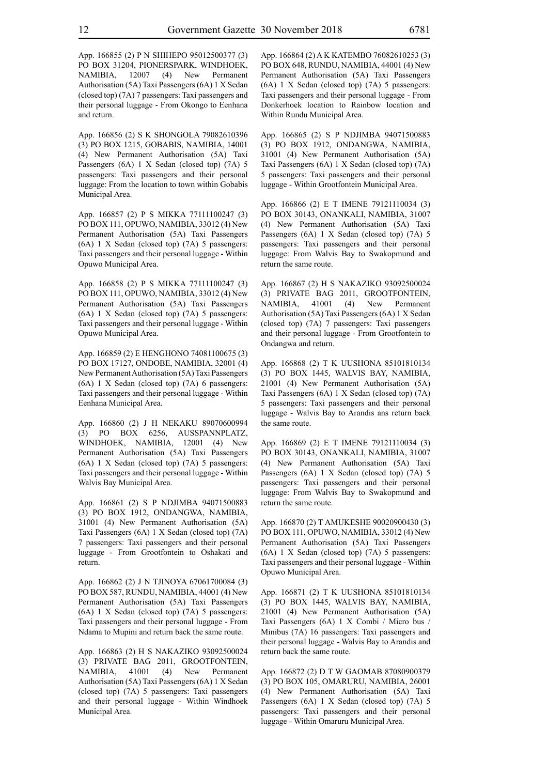App. 166855 (2) P N SHIHEPO 95012500377 (3) PO BOX 31204, PIONERSPARK, WINDHOEK, NAMIBIA, 12007 (4) New Permanent Authorisation (5A) Taxi Passengers (6A) 1 X Sedan (closed top) (7A) 7 passengers: Taxi passengers and their personal luggage - From Okongo to Eenhana and return.

App. 166856 (2) S K SHONGOLA 79082610396 (3) PO BOX 1215, GOBABIS, NAMIBIA, 14001 (4) New Permanent Authorisation (5A) Taxi Passengers (6A) 1 X Sedan (closed top) (7A) 5 passengers: Taxi passengers and their personal luggage: From the location to town within Gobabis Municipal Area.

App. 166857 (2) P S MIKKA 77111100247 (3) PO BOX 111, OPUWO, NAMIBIA, 33012 (4) New Permanent Authorisation (5A) Taxi Passengers (6A) 1 X Sedan (closed top) (7A) 5 passengers: Taxi passengers and their personal luggage - Within Opuwo Municipal Area.

App. 166858 (2) P S MIKKA 77111100247 (3) PO BOX 111, OPUWO, NAMIBIA, 33012 (4) New Permanent Authorisation (5A) Taxi Passengers (6A) 1 X Sedan (closed top) (7A) 5 passengers: Taxi passengers and their personal luggage - Within Opuwo Municipal Area.

App. 166859 (2) E HENGHONO 74081100675 (3) PO BOX 17127, ONDOBE, NAMIBIA, 32001 (4) New Permanent Authorisation (5A) Taxi Passengers (6A) 1 X Sedan (closed top) (7A) 6 passengers: Taxi passengers and their personal luggage - Within Eenhana Municipal Area.

App. 166860 (2) J H NEKAKU 89070600994 (3) PO BOX 6256, AUSSPANNPLATZ, WINDHOEK, NAMIBIA, 12001 (4) New Permanent Authorisation (5A) Taxi Passengers (6A) 1 X Sedan (closed top) (7A) 5 passengers: Taxi passengers and their personal luggage - Within Walvis Bay Municipal Area.

App. 166861 (2) S P NDJIMBA 94071500883 (3) PO BOX 1912, ONDANGWA, NAMIBIA, 31001 (4) New Permanent Authorisation (5A) Taxi Passengers (6A) 1 X Sedan (closed top) (7A) 7 passengers: Taxi passengers and their personal luggage - From Grootfontein to Oshakati and return.

App. 166862 (2) J N TJINOYA 67061700084 (3) PO BOX 587, RUNDU, NAMIBIA, 44001 (4) New Permanent Authorisation (5A) Taxi Passengers (6A) 1 X Sedan (closed top) (7A) 5 passengers: Taxi passengers and their personal luggage - From Ndama to Mupini and return back the same route.

App. 166863 (2) H S NAKAZIKO 93092500024 (3) PRIVATE BAG 2011, GROOTFONTEIN, NAMIBIA, 41001 (4) New Permanent Authorisation (5A) Taxi Passengers (6A) 1 X Sedan (closed top) (7A) 5 passengers: Taxi passengers and their personal luggage - Within Windhoek Municipal Area.

App. 166864 (2) A K KATEMBO 76082610253 (3) PO BOX 648, RUNDU, NAMIBIA, 44001 (4) New Permanent Authorisation (5A) Taxi Passengers (6A) 1 X Sedan (closed top) (7A) 5 passengers: Taxi passengers and their personal luggage - From Donkerhoek location to Rainbow location and Within Rundu Municipal Area.

App. 166865 (2) S P NDJIMBA 94071500883 (3) PO BOX 1912, ONDANGWA, NAMIBIA, 31001 (4) New Permanent Authorisation (5A) Taxi Passengers (6A) 1 X Sedan (closed top) (7A) 5 passengers: Taxi passengers and their personal luggage - Within Grootfontein Municipal Area.

App. 166866 (2) E T IMENE 79121110034 (3) PO BOX 30143, ONANKALI, NAMIBIA, 31007 (4) New Permanent Authorisation (5A) Taxi Passengers (6A) 1 X Sedan (closed top) (7A) 5 passengers: Taxi passengers and their personal luggage: From Walvis Bay to Swakopmund and return the same route.

App. 166867 (2) H S NAKAZIKO 93092500024 (3) PRIVATE BAG 2011, GROOTFONTEIN, NAMIBIA, 41001 (4) New Permanent Authorisation (5A) Taxi Passengers (6A) 1 X Sedan (closed top) (7A) 7 passengers: Taxi passengers and their personal luggage - From Grootfontein to Ondangwa and return.

App. 166868 (2) T K UUSHONA 85101810134 (3) PO BOX 1445, WALVIS BAY, NAMIBIA, 21001 (4) New Permanent Authorisation (5A) Taxi Passengers (6A) 1 X Sedan (closed top) (7A) 5 passengers: Taxi passengers and their personal luggage - Walvis Bay to Arandis ans return back the same route.

App. 166869 (2) E T IMENE 79121110034 (3) PO BOX 30143, ONANKALI, NAMIBIA, 31007 (4) New Permanent Authorisation (5A) Taxi Passengers (6A) 1 X Sedan (closed top) (7A) 5 passengers: Taxi passengers and their personal luggage: From Walvis Bay to Swakopmund and return the same route.

App. 166870 (2) T AMUKESHE 90020900430 (3) PO BOX 111, OPUWO, NAMIBIA, 33012 (4) New Permanent Authorisation (5A) Taxi Passengers (6A) 1 X Sedan (closed top) (7A) 5 passengers: Taxi passengers and their personal luggage - Within Opuwo Municipal Area.

App. 166871 (2) T K UUSHONA 85101810134 (3) PO BOX 1445, WALVIS BAY, NAMIBIA, 21001 (4) New Permanent Authorisation (5A) Taxi Passengers (6A) 1 X Combi / Micro bus / Minibus (7A) 16 passengers: Taxi passengers and their personal luggage - Walvis Bay to Arandis and return back the same route.

App. 166872 (2) D T W GAOMAB 87080900379 (3) PO BOX 105, OMARURU, NAMIBIA, 26001 (4) New Permanent Authorisation (5A) Taxi Passengers (6A) 1 X Sedan (closed top) (7A) 5 passengers: Taxi passengers and their personal luggage - Within Omaruru Municipal Area.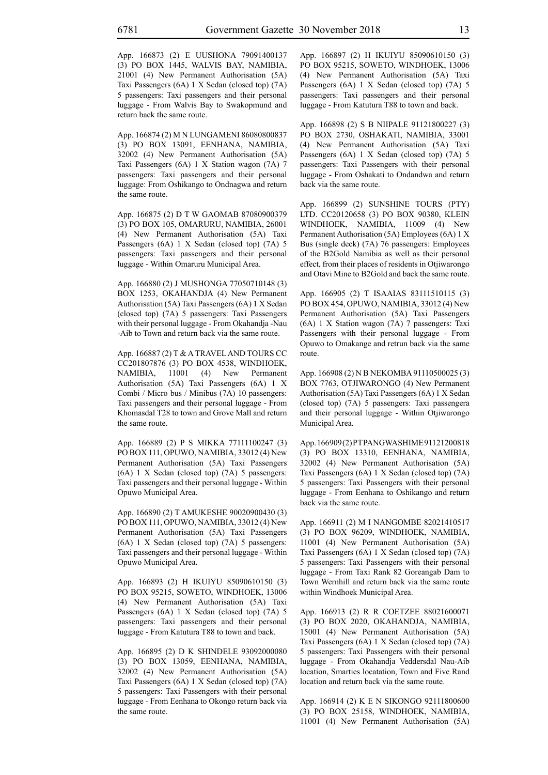App. 166873 (2) E UUSHONA 79091400137 (3) PO BOX 1445, WALVIS BAY, NAMIBIA, 21001 (4) New Permanent Authorisation (5A) Taxi Passengers (6A) 1 X Sedan (closed top) (7A) 5 passengers: Taxi passengers and their personal luggage - From Walvis Bay to Swakopmund and return back the same route.

App. 166874 (2) M N LUNGAMENI 86080800837 (3) PO BOX 13091, EENHANA, NAMIBIA, 32002 (4) New Permanent Authorisation (5A) Taxi Passengers (6A) 1 X Station wagon (7A) 7 passengers: Taxi passengers and their personal luggage: From Oshikango to Ondnagwa and return the same route.

App. 166875 (2) D T W GAOMAB 87080900379 (3) PO BOX 105, OMARURU, NAMIBIA, 26001 (4) New Permanent Authorisation (5A) Taxi Passengers (6A) 1 X Sedan (closed top) (7A) 5 passengers: Taxi passengers and their personal luggage - Within Omaruru Municipal Area.

App. 166880 (2) J MUSHONGA 77050710148 (3) BOX 1253, OKAHANDJA (4) New Permanent Authorisation (5A) Taxi Passengers (6A) 1 X Sedan (closed top) (7A) 5 passengers: Taxi Passengers with their personal luggage - From Okahandja -Nau -Aib to Town and return back via the same route.

App. 166887 (2) T & A TRAVEL AND TOURS CC CC201807876 (3) PO BOX 4538, WINDHOEK, NAMIBIA, 11001 (4) New Permanent Authorisation (5A) Taxi Passengers (6A) 1 X Combi / Micro bus / Minibus (7A) 10 passengers: Taxi passengers and their personal luggage - From Khomasdal T28 to town and Grove Mall and return the same route.

App. 166889 (2) P S MIKKA 77111100247 (3) PO BOX 111, OPUWO, NAMIBIA, 33012 (4) New Permanent Authorisation (5A) Taxi Passengers (6A) 1 X Sedan (closed top) (7A) 5 passengers: Taxi passengers and their personal luggage - Within Opuwo Municipal Area.

App. 166890 (2) T AMUKESHE 90020900430 (3) PO BOX 111, OPUWO, NAMIBIA, 33012 (4) New Permanent Authorisation (5A) Taxi Passengers (6A) 1 X Sedan (closed top) (7A) 5 passengers: Taxi passengers and their personal luggage - Within Opuwo Municipal Area.

App. 166893 (2) H IKUIYU 85090610150 (3) PO BOX 95215, SOWETO, WINDHOEK, 13006 (4) New Permanent Authorisation (5A) Taxi Passengers (6A) 1 X Sedan (closed top) (7A) 5 passengers: Taxi passengers and their personal luggage - From Katutura T88 to town and back.

App. 166895 (2) D K SHINDELE 93092000080 (3) PO BOX 13059, EENHANA, NAMIBIA, 32002 (4) New Permanent Authorisation (5A) Taxi Passengers (6A) 1 X Sedan (closed top) (7A) 5 passengers: Taxi Passengers with their personal luggage - From Eenhana to Okongo return back via the same route.

App. 166897 (2) H IKUIYU 85090610150 (3) PO BOX 95215, SOWETO, WINDHOEK, 13006 (4) New Permanent Authorisation (5A) Taxi Passengers (6A) 1 X Sedan (closed top) (7A) 5 passengers: Taxi passengers and their personal luggage - From Katutura T88 to town and back.

App. 166898 (2) S B NIIPALE 91121800227 (3) PO BOX 2730, OSHAKATI, NAMIBIA, 33001 (4) New Permanent Authorisation (5A) Taxi Passengers (6A) 1 X Sedan (closed top) (7A) 5 passengers: Taxi Passengers with their personal luggage - From Oshakati to Ondandwa and return back via the same route.

App. 166899 (2) SUNSHINE TOURS (PTY) LTD. CC20120658 (3) PO BOX 90380, KLEIN WINDHOEK, NAMIBIA, 11009 (4) New Permanent Authorisation (5A) Employees (6A) 1 X Bus (single deck) (7A) 76 passengers: Employees of the B2Gold Namibia as well as their personal effect, from their places of residents in Otjiwarongo and Otavi Mine to B2Gold and back the same route.

App. 166905 (2) T ISAAIAS 83111510115 (3) PO BOX 454, OPUWO, NAMIBIA, 33012 (4) New Permanent Authorisation (5A) Taxi Passengers (6A) 1 X Station wagon (7A) 7 passengers: Taxi Passengers with their personal luggage - From Opuwo to Omakange and retrun back via the same route.

App. 166908 (2) N B NEKOMBA 91110500025 (3) BOX 7763, OTJIWARONGO (4) New Permanent Authorisation (5A) Taxi Passengers (6A) 1 X Sedan (closed top) (7A) 5 passengers: Taxi passengera and their personal luggage - Within Otjiwarongo Municipal Area.

App. 166909(2) PTPANGWASHIME 91121200818 (3) PO BOX 13310, EENHANA, NAMIBIA, 32002 (4) New Permanent Authorisation (5A) Taxi Passengers (6A) 1 X Sedan (closed top) (7A) 5 passengers: Taxi Passengers with their personal luggage - From Eenhana to Oshikango and return back via the same route.

App. 166911 (2) M I NANGOMBE 82021410517 (3) PO BOX 96209, WINDHOEK, NAMIBIA, 11001 (4) New Permanent Authorisation (5A) Taxi Passengers (6A) 1 X Sedan (closed top) (7A) 5 passengers: Taxi Passengers with their personal luggage - From Taxi Rank 82 Goreangab Dam to Town Wernhill and return back via the same route within Windhoek Municipal Area.

App. 166913 (2) R R COETZEE 88021600071 (3) PO BOX 2020, OKAHANDJA, NAMIBIA, 15001 (4) New Permanent Authorisation (5A) Taxi Passengers (6A) 1 X Sedan (closed top) (7A) 5 passengers: Taxi Passengers with their personal luggage - From Okahandja Veddersdal Nau-Aib location, Smarties locatation, Town and Five Rand location and return back via the same route.

App. 166914 (2) K E N SIKONGO 92111800600 (3) PO BOX 25158, WINDHOEK, NAMIBIA, 11001 (4) New Permanent Authorisation (5A)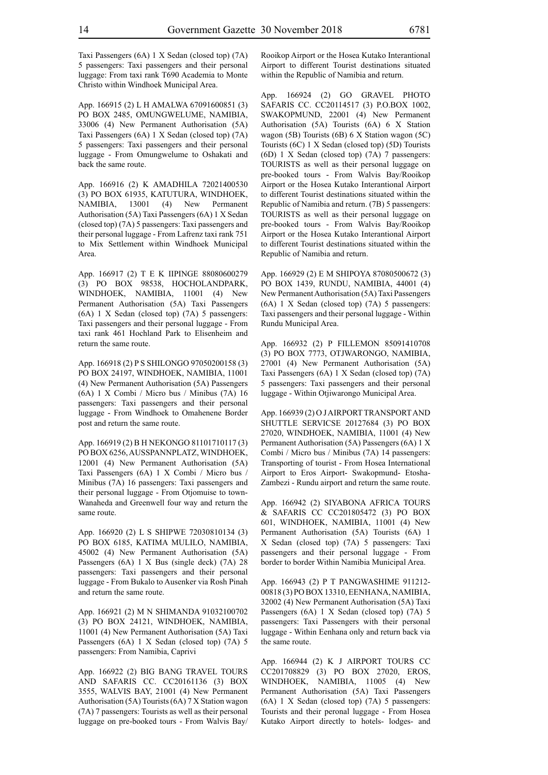Taxi Passengers (6A) 1 X Sedan (closed top) (7A) 5 passengers: Taxi passengers and their personal luggage: From taxi rank T690 Academia to Monte Christo within Windhoek Municipal Area.

App. 166915 (2) L H AMALWA 67091600851 (3) PO BOX 2485, OMUNGWELUME, NAMIBIA, 33006 (4) New Permanent Authorisation (5A) Taxi Passengers (6A) 1 X Sedan (closed top) (7A) 5 passengers: Taxi passengers and their personal luggage - From Omungwelume to Oshakati and back the same route.

App. 166916 (2) K AMADHILA 72021400530 (3) PO BOX 61935, KATUTURA, WINDHOEK, NAMIBIA, 13001 (4) New Permanent Authorisation (5A) Taxi Passengers (6A) 1 X Sedan (closed top) (7A) 5 passengers: Taxi passengers and their personal luggage - From Lafrenz taxi rank 751 to Mix Settlement within Windhoek Municipal Area.

App. 166917 (2) T E K IIPINGE 88080600279 (3) PO BOX 98538, HOCHOLANDPARK, WINDHOEK, NAMIBIA, 11001 (4) New Permanent Authorisation (5A) Taxi Passengers (6A) 1 X Sedan (closed top) (7A) 5 passengers: Taxi passengers and their personal luggage - From taxi rank 461 Hochland Park to Elisenheim and return the same route.

App. 166918 (2) P S SHILONGO 97050200158 (3) PO BOX 24197, WINDHOEK, NAMIBIA, 11001 (4) New Permanent Authorisation (5A) Passengers (6A) 1 X Combi / Micro bus / Minibus (7A) 16 passengers: Taxi passengers and their personal luggage - From Windhoek to Omahenene Border post and return the same route.

App. 166919 (2) B H NEKONGO 81101710117 (3) PO BOX 6256, AUSSPANNPLATZ, WINDHOEK, 12001 (4) New Permanent Authorisation (5A) Taxi Passengers (6A) 1 X Combi / Micro bus / Minibus (7A) 16 passengers: Taxi passengers and their personal luggage - From Otjomuise to town-Wanaheda and Greenwell four way and return the same route.

App. 166920 (2) L S SHIPWE 72030810134 (3) PO BOX 6185, KATIMA MULILO, NAMIBIA, 45002 (4) New Permanent Authorisation (5A) Passengers (6A) 1 X Bus (single deck) (7A) 28 passengers: Taxi passengers and their personal luggage - From Bukalo to Ausenker via Rosh Pinah and return the same route.

App. 166921 (2) M N SHIMANDA 91032100702 (3) PO BOX 24121, WINDHOEK, NAMIBIA, 11001 (4) New Permanent Authorisation (5A) Taxi Passengers (6A) 1 X Sedan (closed top) (7A) 5 passengers: From Namibia, Caprivi

App. 166922 (2) BIG BANG TRAVEL TOURS AND SAFARIS CC. CC20161136 (3) BOX 3555, WALVIS BAY, 21001 (4) New Permanent Authorisation (5A) Tourists (6A) 7 X Station wagon (7A) 7 passengers: Tourists as well as their personal luggage on pre-booked tours - From Walvis Bay/ Rooikop Airport or the Hosea Kutako Interantional Airport to different Tourist destinations situated within the Republic of Namibia and return.

App. 166924 (2) GO GRAVEL PHOTO SAFARIS CC. CC20114517 (3) P.O.BOX 1002, SWAKOPMUND, 22001 (4) New Permanent Authorisation (5A) Tourists (6A) 6 X Station wagon (5B) Tourists (6B) 6 X Station wagon (5C) Tourists (6C) 1 X Sedan (closed top) (5D) Tourists (6D) 1 X Sedan (closed top) (7A) 7 passengers: TOURISTS as well as their personal luggage on pre-booked tours - From Walvis Bay/Rooikop Airport or the Hosea Kutako Interantional Airport to different Tourist destinations situated within the Republic of Namibia and return. (7B) 5 passengers: TOURISTS as well as their personal luggage on pre-booked tours - From Walvis Bay/Rooikop Airport or the Hosea Kutako Interantional Airport to different Tourist destinations situated within the Republic of Namibia and return.

App. 166929 (2) E M SHIPOYA 87080500672 (3) PO BOX 1439, RUNDU, NAMIBIA, 44001 (4) New Permanent Authorisation (5A) Taxi Passengers (6A) 1 X Sedan (closed top) (7A) 5 passengers: Taxi passengers and their personal luggage - Within Rundu Municipal Area.

App. 166932 (2) P FILLEMON 85091410708 (3) PO BOX 7773, OTJWARONGO, NAMIBIA, 27001 (4) New Permanent Authorisation (5A) Taxi Passengers (6A) 1 X Sedan (closed top) (7A) 5 passengers: Taxi passengers and their personal luggage - Within Otjiwarongo Municipal Area.

App. 166939 (2) O J AIRPORT TRANSPORT AND SHUTTLE SERVICSE 20127684 (3) PO BOX 27020, WINDHOEK, NAMIBIA, 11001 (4) New Permanent Authorisation (5A) Passengers (6A) 1 X Combi / Micro bus / Minibus (7A) 14 passengers: Transporting of tourist - From Hosea International Airport to Eros Airport- Swakopmund- Etosha-Zambezi - Rundu airport and return the same route.

App. 166942 (2) SIYABONA AFRICA TOURS & SAFARIS CC CC201805472 (3) PO BOX 601, WINDHOEK, NAMIBIA, 11001 (4) New Permanent Authorisation (5A) Tourists (6A) 1 X Sedan (closed top) (7A) 5 passengers: Taxi passengers and their personal luggage - From border to border Within Namibia Municipal Area.

App. 166943 (2) P T PANGWASHIME 911212- 00818 (3) PO BOX 13310, EENHANA, NAMIBIA, 32002 (4) New Permanent Authorisation (5A) Taxi Passengers (6A) 1 X Sedan (closed top) (7A) 5 passengers: Taxi Passengers with their personal luggage - Within Eenhana only and return back via the same route.

App. 166944 (2) K J AIRPORT TOURS CC CC201708829 (3) PO BOX 27020, EROS, WINDHOEK, NAMIBIA, 11005 (4) New Permanent Authorisation (5A) Taxi Passengers (6A) 1 X Sedan (closed top) (7A) 5 passengers: Tourists and their peronal luggage - From Hosea Kutako Airport directly to hotels- lodges- and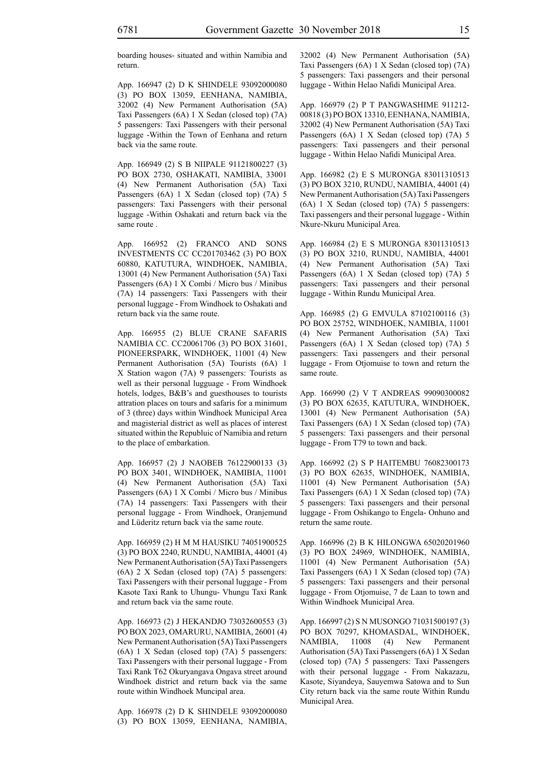boarding houses- situated and within Namibia and return.

App. 166947 (2) D K SHINDELE 93092000080 (3) PO BOX 13059, EENHANA, NAMIBIA, 32002 (4) New Permanent Authorisation (5A) Taxi Passengers (6A) 1 X Sedan (closed top) (7A) 5 passengers: Taxi Passengers with their personal luggage -Within the Town of Eenhana and return back via the same route.

App. 166949 (2) S B NIIPALE 91121800227 (3) PO BOX 2730, OSHAKATI, NAMIBIA, 33001 (4) New Permanent Authorisation (5A) Taxi Passengers (6A) 1 X Sedan (closed top) (7A) 5 passengers: Taxi Passengers with their personal luggage -Within Oshakati and return back via the same route .

App. 166952 (2) FRANCO AND SONS INVESTMENTS CC CC201703462 (3) PO BOX 60880, KATUTURA, WINDHOEK, NAMIBIA, 13001 (4) New Permanent Authorisation (5A) Taxi Passengers (6A) 1 X Combi / Micro bus / Minibus (7A) 14 passengers: Taxi Passengers with their personal luggage - From Windhoek to Oshakati and return back via the same route.

App. 166955 (2) BLUE CRANE SAFARIS NAMIBIA CC. CC20061706 (3) PO BOX 31601, PIONEERSPARK, WINDHOEK, 11001 (4) New Permanent Authorisation (5A) Tourists (6A) 1 X Station wagon (7A) 9 passengers: Tourists as well as their personal lugguage - From Windhoek hotels, lodges, B&B's and guesthouses to tourists attration places on tours and safaris for a minimum of 3 (three) days within Windhoek Municipal Area and magisterial district as well as places of interest situated within the Republuic of Namibia and return to the place of embarkation.

App. 166957 (2) J NAOBEB 76122900133 (3) PO BOX 3401, WINDHOEK, NAMIBIA, 11001 (4) New Permanent Authorisation (5A) Taxi Passengers (6A) 1 X Combi / Micro bus / Minibus (7A) 14 passengers: Taxi Passengers with their personal luggage - From Windhoek, Oranjemund and Lüderitz return back via the same route.

App. 166959 (2) H M M HAUSIKU 74051900525 (3) PO BOX 2240, RUNDU, NAMIBIA, 44001 (4) New Permanent Authorisation (5A) Taxi Passengers (6A) 2 X Sedan (closed top) (7A) 5 passengers: Taxi Passengers with their personal luggage - From Kasote Taxi Rank to Uhungu- Vhungu Taxi Rank and return back via the same route.

App. 166973 (2) J HEKANDJO 73032600553 (3) PO BOX 2023, OMARURU, NAMIBIA, 26001 (4) New Permanent Authorisation (5A) Taxi Passengers (6A) 1 X Sedan (closed top) (7A) 5 passengers: Taxi Passengers with their personal luggage - From Taxi Rank T62 Okuryangava Ongava street around Windhoek district and return back via the same route within Windhoek Muncipal area.

App. 166978 (2) D K SHINDELE 93092000080 (3) PO BOX 13059, EENHANA, NAMIBIA, 32002 (4) New Permanent Authorisation (5A) Taxi Passengers (6A) 1 X Sedan (closed top) (7A) 5 passengers: Taxi passengers and their personal luggage - Within Helao Nafidi Municipal Area.

App. 166979 (2) P T PANGWASHIME 911212- 00818 (3) PO BOX 13310, EENHANA, NAMIBIA, 32002 (4) New Permanent Authorisation (5A) Taxi Passengers (6A) 1 X Sedan (closed top) (7A) 5 passengers: Taxi passengers and their personal luggage - Within Helao Nafidi Municipal Area.

App. 166982 (2) E S MURONGA 83011310513 (3) PO BOX 3210, RUNDU, NAMIBIA, 44001 (4) New Permanent Authorisation (5A) Taxi Passengers (6A) 1 X Sedan (closed top) (7A) 5 passengers: Taxi passengers and their personal luggage - Within Nkure-Nkuru Municipal Area.

App. 166984 (2) E S MURONGA 83011310513 (3) PO BOX 3210, RUNDU, NAMIBIA, 44001 (4) New Permanent Authorisation (5A) Taxi Passengers (6A) 1 X Sedan (closed top) (7A) 5 passengers: Taxi passengers and their personal luggage - Within Rundu Municipal Area.

App. 166985 (2) G EMVULA 87102100116 (3) PO BOX 25752, WINDHOEK, NAMIBIA, 11001 (4) New Permanent Authorisation (5A) Taxi Passengers (6A) 1 X Sedan (closed top) (7A) 5 passengers: Taxi passengers and their personal luggage - From Otjomuise to town and return the same route.

App. 166990 (2) V T ANDREAS 99090300082 (3) PO BOX 62635, KATUTURA, WINDHOEK, 13001 (4) New Permanent Authorisation (5A) Taxi Passengers (6A) 1 X Sedan (closed top) (7A) 5 passengers: Taxi passengers and their personal luggage - From T79 to town and back.

App. 166992 (2) S P HAITEMBU 76082300173 (3) PO BOX 62635, WINDHOEK, NAMIBIA, 11001 (4) New Permanent Authorisation (5A) Taxi Passengers (6A) 1 X Sedan (closed top) (7A) 5 passengers: Taxi passengers and their personal luggage - From Oshikango to Engela- Onhuno and return the same route.

App. 166996 (2) B K HILONGWA 65020201960 (3) PO BOX 24969, WINDHOEK, NAMIBIA, 11001 (4) New Permanent Authorisation (5A) Taxi Passengers (6A) 1 X Sedan (closed top) (7A) 5 passengers: Taxi passengers and their personal luggage - From Otjomuise, 7 de Laan to town and Within Windhoek Municipal Area.

App. 166997 (2) S N MUSONGO 71031500197 (3) PO BOX 70297, KHOMASDAL, WINDHOEK, NAMIBIA, 11008 (4) New Permanent Authorisation (5A) Taxi Passengers (6A) 1 X Sedan (closed top) (7A) 5 passengers: Taxi Passengers with their personal luggage - From Nakazazu, Kasote, Siyandeya, Sauyemwa Satowa and to Sun City return back via the same route Within Rundu Municipal Area.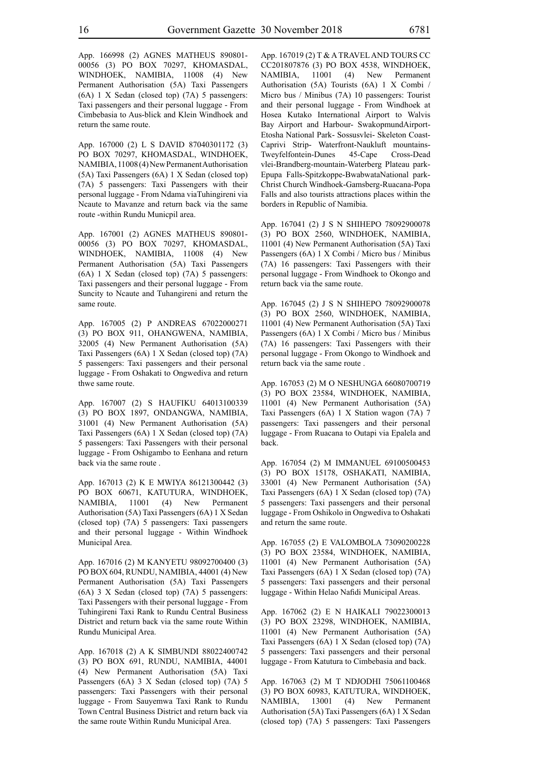App. 166998 (2) AGNES MATHEUS 890801- 00056 (3) PO BOX 70297, KHOMASDAL, WINDHOEK, NAMIBIA, 11008 (4) New Permanent Authorisation (5A) Taxi Passengers (6A) 1 X Sedan (closed top) (7A) 5 passengers: Taxi passengers and their personal luggage - From Cimbebasia to Aus-blick and Klein Windhoek and return the same route.

App. 167000 (2) L S DAVID 87040301172 (3) PO BOX 70297, KHOMASDAL, WINDHOEK, NAMIBIA, 11008 (4) New Permanent Authorisation (5A) Taxi Passengers (6A) 1 X Sedan (closed top) (7A) 5 passengers: Taxi Passengers with their personal luggage - From Ndama viaTuhingireni via Ncaute to Mavanze and return back via the same route -within Rundu Municpil area.

App. 167001 (2) AGNES MATHEUS 890801- 00056 (3) PO BOX 70297, KHOMASDAL, WINDHOEK, NAMIBIA, 11008 (4) New Permanent Authorisation (5A) Taxi Passengers (6A) 1 X Sedan (closed top) (7A) 5 passengers: Taxi passengers and their personal luggage - From Suncity to Ncaute and Tuhangireni and return the same route.

App. 167005 (2) P ANDREAS 67022000271 (3) PO BOX 911, OHANGWENA, NAMIBIA, 32005 (4) New Permanent Authorisation (5A) Taxi Passengers (6A) 1 X Sedan (closed top) (7A) 5 passengers: Taxi passengers and their personal luggage - From Oshakati to Ongwediva and return thwe same route.

App. 167007 (2) S HAUFIKU 64013100339 (3) PO BOX 1897, ONDANGWA, NAMIBIA, 31001 (4) New Permanent Authorisation (5A) Taxi Passengers (6A) 1 X Sedan (closed top) (7A) 5 passengers: Taxi Passengers with their personal luggage - From Oshigambo to Eenhana and return back via the same route .

App. 167013 (2) K E MWIYA 86121300442 (3) PO BOX 60671, KATUTURA, WINDHOEK, NAMIBIA, 11001 (4) New Permanent Authorisation (5A) Taxi Passengers (6A) 1 X Sedan (closed top) (7A) 5 passengers: Taxi passengers and their personal luggage - Within Windhoek Municipal Area.

App. 167016 (2) M KANYETU 98092700400 (3) PO BOX 604, RUNDU, NAMIBIA, 44001 (4) New Permanent Authorisation (5A) Taxi Passengers (6A) 3 X Sedan (closed top) (7A) 5 passengers: Taxi Passengers with their personal luggage - From Tuhingireni Taxi Rank to Rundu Central Business District and return back via the same route Within Rundu Municipal Area.

App. 167018 (2) A K SIMBUNDI 88022400742 (3) PO BOX 691, RUNDU, NAMIBIA, 44001 (4) New Permanent Authorisation (5A) Taxi Passengers (6A) 3 X Sedan (closed top) (7A) 5 passengers: Taxi Passengers with their personal luggage - From Sauyemwa Taxi Rank to Rundu Town Central Business District and return back via the same route Within Rundu Municipal Area.

App. 167019 (2) T & A TRAVEL AND TOURS CC CC201807876 (3) PO BOX 4538, WINDHOEK, NAMIBIA, 11001 (4) New Permanent Authorisation (5A) Tourists (6A) 1 X Combi / Micro bus / Minibus (7A) 10 passengers: Tourist and their personal luggage - From Windhoek at Hosea Kutako International Airport to Walvis Bay Airport and Harbour- SwakopmundAirport-Etosha National Park- Sossusvlei- Skeleton Coast-Caprivi Strip- Waterfront-Naukluft mountains-Tweyfelfontein-Dunes 45-Cape Cross-Dead vlei-Brandberg-mountain-Waterberg Plateau park-Epupa Falls-Spitzkoppe-BwabwataNational park-Christ Church Windhoek-Gamsberg-Ruacana-Popa Falls and also tourists attractions places within the borders in Republic of Namibia.

App. 167041 (2) J S N SHIHEPO 78092900078 (3) PO BOX 2560, WINDHOEK, NAMIBIA, 11001 (4) New Permanent Authorisation (5A) Taxi Passengers (6A) 1 X Combi / Micro bus / Minibus (7A) 16 passengers: Taxi Passengers with their personal luggage - From Windhoek to Okongo and return back via the same route.

App. 167045 (2) J S N SHIHEPO 78092900078 (3) PO BOX 2560, WINDHOEK, NAMIBIA, 11001 (4) New Permanent Authorisation (5A) Taxi Passengers (6A) 1 X Combi / Micro bus / Minibus (7A) 16 passengers: Taxi Passengers with their personal luggage - From Okongo to Windhoek and return back via the same route .

App. 167053 (2) M O NESHUNGA 66080700719 (3) PO BOX 23584, WINDHOEK, NAMIBIA, 11001 (4) New Permanent Authorisation (5A) Taxi Passengers (6A) 1 X Station wagon (7A) 7 passengers: Taxi passengers and their personal luggage - From Ruacana to Outapi via Epalela and back.

App. 167054 (2) M IMMANUEL 69100500453 (3) PO BOX 15178, OSHAKATI, NAMIBIA, 33001 (4) New Permanent Authorisation (5A) Taxi Passengers (6A) 1 X Sedan (closed top) (7A) 5 passengers: Taxi passengers and their personal luggage - From Oshikolo in Ongwediva to Oshakati and return the same route.

App. 167055 (2) E VALOMBOLA 73090200228 (3) PO BOX 23584, WINDHOEK, NAMIBIA, 11001 (4) New Permanent Authorisation (5A) Taxi Passengers (6A) 1 X Sedan (closed top) (7A) 5 passengers: Taxi passengers and their personal luggage - Within Helao Nafidi Municipal Areas.

App. 167062 (2) E N HAIKALI 79022300013 (3) PO BOX 23298, WINDHOEK, NAMIBIA, 11001 (4) New Permanent Authorisation (5A) Taxi Passengers (6A) 1 X Sedan (closed top) (7A) 5 passengers: Taxi passengers and their personal luggage - From Katutura to Cimbebasia and back.

App. 167063 (2) M T NDJODHI 75061100468 (3) PO BOX 60983, KATUTURA, WINDHOEK, NAMIBIA, 13001 (4) New Permanent Authorisation (5A) Taxi Passengers (6A) 1 X Sedan (closed top) (7A) 5 passengers: Taxi Passengers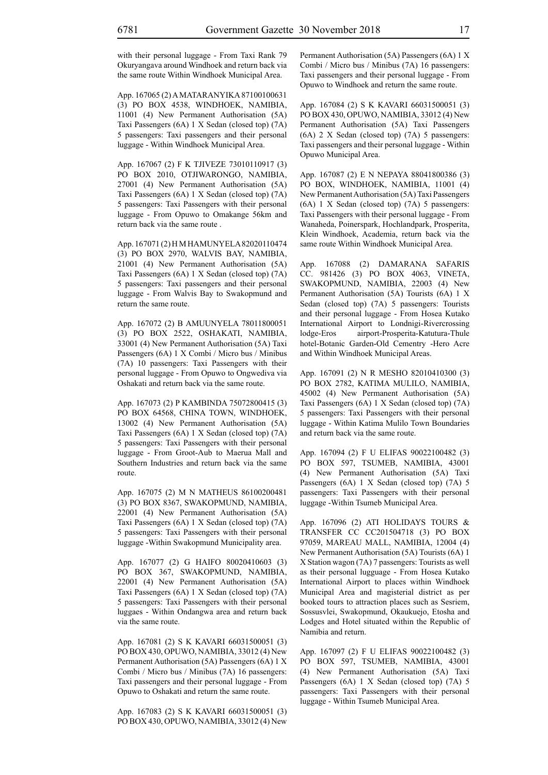with their personal luggage - From Taxi Rank 79 Okuryangava around Windhoek and return back via the same route Within Windhoek Municipal Area.

App. 167065 (2) A MATARANYIKA 87100100631 (3) PO BOX 4538, WINDHOEK, NAMIBIA, 11001 (4) New Permanent Authorisation (5A) Taxi Passengers (6A) 1 X Sedan (closed top) (7A) 5 passengers: Taxi passengers and their personal luggage - Within Windhoek Municipal Area.

App. 167067 (2) F K TJIVEZE 73010110917 (3) PO BOX 2010, OTJIWARONGO, NAMIBIA, 27001 (4) New Permanent Authorisation (5A) Taxi Passengers (6A) 1 X Sedan (closed top) (7A) 5 passengers: Taxi Passengers with their personal luggage - From Opuwo to Omakange 56km and return back via the same route .

App. 167071 (2) H M HAMUNYELA 82020110474 (3) PO BOX 2970, WALVIS BAY, NAMIBIA, 21001 (4) New Permanent Authorisation (5A) Taxi Passengers (6A) 1 X Sedan (closed top) (7A) 5 passengers: Taxi passengers and their personal luggage - From Walvis Bay to Swakopmund and return the same route.

App. 167072 (2) B AMUUNYELA 78011800051 (3) PO BOX 2522, OSHAKATI, NAMIBIA, 33001 (4) New Permanent Authorisation (5A) Taxi Passengers (6A) 1 X Combi / Micro bus / Minibus (7A) 10 passengers: Taxi Passengers with their personal luggage - From Opuwo to Ongwediva via Oshakati and return back via the same route.

App. 167073 (2) P KAMBINDA 75072800415 (3) PO BOX 64568, CHINA TOWN, WINDHOEK, 13002 (4) New Permanent Authorisation (5A) Taxi Passengers (6A) 1 X Sedan (closed top) (7A) 5 passengers: Taxi Passengers with their personal luggage - From Groot-Aub to Maerua Mall and Southern Industries and return back via the same route.

App. 167075 (2) M N MATHEUS 86100200481 (3) PO BOX 8367, SWAKOPMUND, NAMIBIA, 22001 (4) New Permanent Authorisation (5A) Taxi Passengers (6A) 1 X Sedan (closed top) (7A) 5 passengers: Taxi Passengers with their personal luggage -Within Swakopmund Municipality area.

App. 167077 (2) G HAIFO 80020410603 (3) PO BOX 367, SWAKOPMUND, NAMIBIA, 22001 (4) New Permanent Authorisation (5A) Taxi Passengers (6A) 1 X Sedan (closed top) (7A) 5 passengers: Taxi Passengers with their personal luggaes - Within Ondangwa area and return back via the same route.

App. 167081 (2) S K KAVARI 66031500051 (3) PO BOX 430, OPUWO, NAMIBIA, 33012 (4) New Permanent Authorisation (5A) Passengers (6A) 1 X Combi / Micro bus / Minibus (7A) 16 passengers: Taxi passengers and their personal luggage - From Opuwo to Oshakati and return the same route.

App. 167083 (2) S K KAVARI 66031500051 (3) PO BOX 430, OPUWO, NAMIBIA, 33012 (4) New Permanent Authorisation (5A) Passengers (6A) 1 X Combi / Micro bus / Minibus (7A) 16 passengers: Taxi passengers and their personal luggage - From Opuwo to Windhoek and return the same route.

App. 167084 (2) S K KAVARI 66031500051 (3) PO BOX 430, OPUWO, NAMIBIA, 33012 (4) New Permanent Authorisation (5A) Taxi Passengers (6A) 2 X Sedan (closed top) (7A) 5 passengers: Taxi passengers and their personal luggage - Within Opuwo Municipal Area.

App. 167087 (2) E N NEPAYA 88041800386 (3) PO BOX, WINDHOEK, NAMIBIA, 11001 (4) New Permanent Authorisation (5A) Taxi Passengers (6A) 1 X Sedan (closed top) (7A) 5 passengers: Taxi Passengers with their personal luggage - From Wanaheda, Poinerspark, Hochlandpark, Prosperita, Klein Windhoek, Academia, return back via the same route Within Windhoek Municipal Area.

App. 167088 (2) DAMARANA SAFARIS CC. 981426 (3) PO BOX 4063, VINETA, SWAKOPMUND, NAMIBIA, 22003 (4) New Permanent Authorisation (5A) Tourists (6A) 1 X Sedan (closed top) (7A) 5 passengers: Tourists and their personal luggage - From Hosea Kutako International Airport to Londnigi-Rivercrossing lodge-Eros airport-Prosperita-Katutura-Thule hotel-Botanic Garden-Old Cementry -Hero Acre and Within Windhoek Municipal Areas.

App. 167091 (2) N R MESHO 82010410300 (3) PO BOX 2782, KATIMA MULILO, NAMIBIA, 45002 (4) New Permanent Authorisation (5A) Taxi Passengers (6A) 1 X Sedan (closed top) (7A) 5 passengers: Taxi Passengers with their personal luggage - Within Katima Mulilo Town Boundaries and return back via the same route.

App. 167094 (2) F U ELIFAS 90022100482 (3) PO BOX 597, TSUMEB, NAMIBIA, 43001 (4) New Permanent Authorisation (5A) Taxi Passengers (6A) 1 X Sedan (closed top) (7A) 5 passengers: Taxi Passengers with their personal luggage -Within Tsumeb Municipal Area.

App. 167096 (2) ATI HOLIDAYS TOURS & TRANSFER CC CC201504718 (3) PO BOX 97059, MAREAU MALL, NAMIBIA, 12004 (4) New Permanent Authorisation (5A) Tourists (6A) 1 X Station wagon (7A) 7 passengers: Tourists as well as their personal lugguage - From Hosea Kutako International Airport to places within Windhoek Municipal Area and magisterial district as per booked tours to attraction places such as Sesriem, Sossusvlei, Swakopmund, Okaukuejo, Etosha and Lodges and Hotel situated within the Republic of Namibia and return.

App. 167097 (2) F U ELIFAS 90022100482 (3) PO BOX 597, TSUMEB, NAMIBIA, 43001 (4) New Permanent Authorisation (5A) Taxi Passengers (6A) 1 X Sedan (closed top) (7A) 5 passengers: Taxi Passengers with their personal luggage - Within Tsumeb Municipal Area.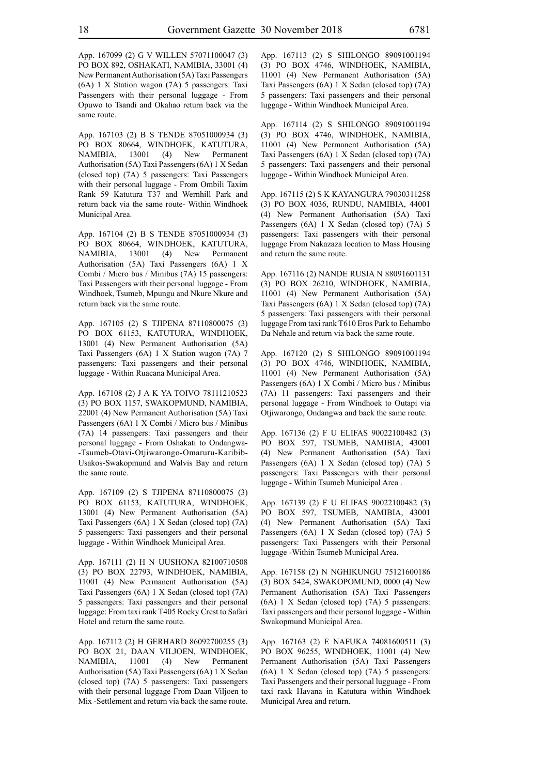App. 167099 (2) G V WILLEN 57071100047 (3) PO BOX 892, OSHAKATI, NAMIBIA, 33001 (4) New Permanent Authorisation (5A) Taxi Passengers (6A) 1 X Station wagon (7A) 5 passengers: Taxi Passengers with their personal luggage - From Opuwo to Tsandi and Okahao return back via the same route.

App. 167103 (2) B S TENDE 87051000934 (3) PO BOX 80664, WINDHOEK, KATUTURA, NAMIBIA, 13001 (4) New Permanent Authorisation (5A) Taxi Passengers (6A) 1 X Sedan (closed top) (7A) 5 passengers: Taxi Passengers with their personal luggage - From Ombili Taxim Rank 59 Katutura T37 and Wernhill Park and return back via the same route- Within Windhoek Municipal Area.

App. 167104 (2) B S TENDE 87051000934 (3) PO BOX 80664, WINDHOEK, KATUTURA, NAMIBIA, 13001 (4) New Permanent Authorisation (5A) Taxi Passengers (6A) 1 X Combi / Micro bus / Minibus (7A) 15 passengers: Taxi Passengers with their personal luggage - From Windhoek, Tsumeb, Mpungu and Nkure Nkure and return back via the same route.

App. 167105 (2) S TJIPENA 87110800075 (3) PO BOX 61153, KATUTURA, WINDHOEK, 13001 (4) New Permanent Authorisation (5A) Taxi Passengers (6A) 1 X Station wagon (7A) 7 passengers: Taxi passengers and their personal luggage - Within Ruacana Municipal Area.

App. 167108 (2) J A K YA TOIVO 78111210523 (3) PO BOX 1157, SWAKOPMUND, NAMIBIA, 22001 (4) New Permanent Authorisation (5A) Taxi Passengers (6A) 1 X Combi / Micro bus / Minibus (7A) 14 passengers: Taxi passengers and their personal luggage - From Oshakati to Ondangwa- -Tsumeb-Otavi-Otjiwarongo-Omaruru-Karibib-Usakos-Swakopmund and Walvis Bay and return the same route.

App. 167109 (2) S TJIPENA 87110800075 (3) PO BOX 61153, KATUTURA, WINDHOEK, 13001 (4) New Permanent Authorisation (5A) Taxi Passengers (6A) 1 X Sedan (closed top) (7A) 5 passengers: Taxi passengers and their personal luggage - Within Windhoek Municipal Area.

App. 167111 (2) H N UUSHONA 82100710508 (3) PO BOX 22793, WINDHOEK, NAMIBIA, 11001 (4) New Permanent Authorisation (5A) Taxi Passengers (6A) 1 X Sedan (closed top) (7A) 5 passengers: Taxi passengers and their personal luggage: From taxi rank T405 Rocky Crest to Safari Hotel and return the same route.

App. 167112 (2) H GERHARD 86092700255 (3) PO BOX 21, DAAN VILJOEN, WINDHOEK, NAMIBIA, 11001 (4) New Permanent Authorisation (5A) Taxi Passengers (6A) 1 X Sedan (closed top) (7A) 5 passengers: Taxi passengers with their personal luggage From Daan Viljoen to Mix -Settlement and return via back the same route. App. 167113 (2) S SHILONGO 89091001194 (3) PO BOX 4746, WINDHOEK, NAMIBIA, 11001 (4) New Permanent Authorisation (5A) Taxi Passengers (6A) 1 X Sedan (closed top) (7A) 5 passengers: Taxi passengers and their personal luggage - Within Windhoek Municipal Area.

App. 167114 (2) S SHILONGO 89091001194 (3) PO BOX 4746, WINDHOEK, NAMIBIA, 11001 (4) New Permanent Authorisation (5A) Taxi Passengers (6A) 1 X Sedan (closed top) (7A) 5 passengers: Taxi passengers and their personal luggage - Within Windhoek Municipal Area.

App. 167115 (2) S K KAYANGURA 79030311258 (3) PO BOX 4036, RUNDU, NAMIBIA, 44001 (4) New Permanent Authorisation (5A) Taxi Passengers (6A) 1 X Sedan (closed top) (7A) 5 passengers: Taxi passengers with their personal luggage From Nakazaza location to Mass Housing and return the same route.

App. 167116 (2) NANDE RUSIA N 88091601131 (3) PO BOX 26210, WINDHOEK, NAMIBIA, 11001 (4) New Permanent Authorisation (5A) Taxi Passengers (6A) 1 X Sedan (closed top) (7A) 5 passengers: Taxi passengers with their personal luggage From taxi rank T610 Eros Park to Eehambo Da Nehale and return via back the same route.

App. 167120 (2) S SHILONGO 89091001194 (3) PO BOX 4746, WINDHOEK, NAMIBIA, 11001 (4) New Permanent Authorisation (5A) Passengers (6A) 1 X Combi / Micro bus / Minibus (7A) 11 passengers: Taxi passengers and their personal luggage - From Windhoek to Outapi via Otjiwarongo, Ondangwa and back the same route.

App. 167136 (2) F U ELIFAS 90022100482 (3) PO BOX 597, TSUMEB, NAMIBIA, 43001 (4) New Permanent Authorisation (5A) Taxi Passengers (6A) 1 X Sedan (closed top) (7A) 5 passengers: Taxi Passengers with their personal luggage - Within Tsumeb Municipal Area .

App. 167139 (2) F U ELIFAS 90022100482 (3) PO BOX 597, TSUMEB, NAMIBIA, 43001 (4) New Permanent Authorisation (5A) Taxi Passengers (6A) 1 X Sedan (closed top) (7A) 5 passengers: Taxi Passengers with their Personal luggage -Within Tsumeb Municipal Area.

App. 167158 (2) N NGHIKUNGU 75121600186 (3) BOX 5424, SWAKOPOMUND, 0000 (4) New Permanent Authorisation (5A) Taxi Passengers (6A) 1 X Sedan (closed top) (7A) 5 passengers: Taxi passengers and their personal luggage - Within Swakopmund Municipal Area.

App. 167163 (2) E NAFUKA 74081600511 (3) PO BOX 96255, WINDHOEK, 11001 (4) New Permanent Authorisation (5A) Taxi Passengers (6A) 1 X Sedan (closed top) (7A) 5 passengers: Taxi Passengers and their personal lugguage - From taxi raxk Havana in Katutura within Windhoek Municipal Area and return.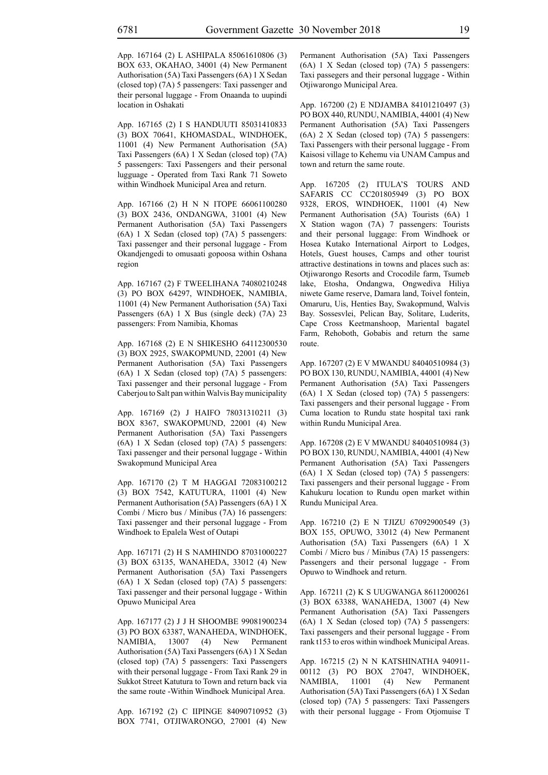App. 167164 (2) L ASHIPALA 85061610806 (3) BOX 633, OKAHAO, 34001 (4) New Permanent Authorisation (5A) Taxi Passengers (6A) 1 X Sedan (closed top) (7A) 5 passengers: Taxi passenger and their personal luggage - From Onaanda to uupindi location in Oshakati

App. 167165 (2) I S HANDUUTI 85031410833 (3) BOX 70641, KHOMASDAL, WINDHOEK, 11001 (4) New Permanent Authorisation (5A) Taxi Passengers (6A) 1 X Sedan (closed top) (7A) 5 passengers: Taxi Passengers and their personal lugguage - Operated from Taxi Rank 71 Soweto within Windhoek Municipal Area and return.

App. 167166 (2) H N N ITOPE 66061100280 (3) BOX 2436, ONDANGWA, 31001 (4) New Permanent Authorisation (5A) Taxi Passengers (6A) 1 X Sedan (closed top) (7A) 5 passengers: Taxi passenger and their personal luggage - From Okandjengedi to omusaati gopoosa within Oshana region

App. 167167 (2) F TWEELIHANA 74080210248 (3) PO BOX 64297, WINDHOEK, NAMIBIA, 11001 (4) New Permanent Authorisation (5A) Taxi Passengers (6A) 1 X Bus (single deck) (7A) 23 passengers: From Namibia, Khomas

App. 167168 (2) E N SHIKESHO 64112300530 (3) BOX 2925, SWAKOPMUND, 22001 (4) New Permanent Authorisation (5A) Taxi Passengers (6A) 1 X Sedan (closed top) (7A) 5 passengers: Taxi passenger and their personal luggage - From Caberjou to Salt pan within Walvis Bay municipality

App. 167169 (2) J HAIFO 78031310211 (3) BOX 8367, SWAKOPMUND, 22001 (4) New Permanent Authorisation (5A) Taxi Passengers (6A) 1 X Sedan (closed top) (7A) 5 passengers: Taxi passenger and their personal luggage - Within Swakopmund Municipal Area

App. 167170 (2) T M HAGGAI 72083100212 (3) BOX 7542, KATUTURA, 11001 (4) New Permanent Authorisation (5A) Passengers (6A) 1 X Combi / Micro bus / Minibus (7A) 16 passengers: Taxi passenger and their personal luggage - From Windhoek to Epalela West of Outapi

App. 167171 (2) H S NAMHINDO 87031000227 (3) BOX 63135, WANAHEDA, 33012 (4) New Permanent Authorisation (5A) Taxi Passengers (6A) 1 X Sedan (closed top) (7A) 5 passengers: Taxi passenger and their personal luggage - Within Opuwo Municipal Area

App. 167177 (2) J J H SHOOMBE 99081900234 (3) PO BOX 63387, WANAHEDA, WINDHOEK, NAMIBIA, 13007 (4) New Permanent Authorisation (5A) Taxi Passengers (6A) 1 X Sedan (closed top) (7A) 5 passengers: Taxi Passengers with their personal luggage - From Taxi Rank 29 in Sukkot Street Katutura to Town and return back via the same route -Within Windhoek Municipal Area.

App. 167192 (2) C IIPINGE 84090710952 (3) BOX 7741, OTJIWARONGO, 27001 (4) New Permanent Authorisation (5A) Taxi Passengers (6A) 1 X Sedan (closed top) (7A) 5 passengers: Taxi passegers and their personal luggage - Within Otjiwarongo Municipal Area.

App. 167200 (2) E NDJAMBA 84101210497 (3) PO BOX 440, RUNDU, NAMIBIA, 44001 (4) New Permanent Authorisation (5A) Taxi Passengers (6A) 2 X Sedan (closed top) (7A) 5 passengers: Taxi Passengers with their personal luggage - From Kaisosi village to Kehemu via UNAM Campus and town and return the same route.

App. 167205 (2) ITULA'S TOURS AND SAFARIS CC CC201805949 (3) PO BOX 9328, EROS, WINDHOEK, 11001 (4) New Permanent Authorisation (5A) Tourists (6A) 1 X Station wagon (7A) 7 passengers: Tourists and their personal luggage: From Windhoek or Hosea Kutako International Airport to Lodges, Hotels, Guest houses, Camps and other tourist attractive destinations in towns and places such as: Otjiwarongo Resorts and Crocodile farm, Tsumeb lake, Etosha, Ondangwa, Ongwediva Hiliya niwete Game reserve, Damara land, Toivel fontein, Omaruru, Uis, Henties Bay, Swakopmund, Walvis Bay. Sossesvlei, Pelican Bay, Solitare, Luderits, Cape Cross Keetmanshoop, Mariental bagatel Farm, Rehoboth, Gobabis and return the same route.

App. 167207 (2) E V MWANDU 84040510984 (3) PO BOX 130, RUNDU, NAMIBIA, 44001 (4) New Permanent Authorisation (5A) Taxi Passengers (6A) 1 X Sedan (closed top) (7A) 5 passengers: Taxi passengers and their personal luggage - From Cuma location to Rundu state hospital taxi rank within Rundu Municipal Area.

App. 167208 (2) E V MWANDU 84040510984 (3) PO BOX 130, RUNDU, NAMIBIA, 44001 (4) New Permanent Authorisation (5A) Taxi Passengers (6A) 1 X Sedan (closed top) (7A) 5 passengers: Taxi passengers and their personal luggage - From Kahukuru location to Rundu open market within Rundu Municipal Area.

App. 167210 (2) E N TJIZU 67092900549 (3) BOX 155, OPUWO, 33012 (4) New Permanent Authorisation (5A) Taxi Passengers (6A) 1 X Combi / Micro bus / Minibus (7A) 15 passengers: Passengers and their personal luggage - From Opuwo to Windhoek and return.

App. 167211 (2) K S UUGWANGA 86112000261 (3) BOX 63388, WANAHEDA, 13007 (4) New Permanent Authorisation (5A) Taxi Passengers (6A) 1 X Sedan (closed top) (7A) 5 passengers: Taxi passengers and their personal luggage - From rank t153 to eros within windhoek Municipal Areas.

App. 167215 (2) N N KATSHINATHA 940911- 00112 (3) PO BOX 27047, WINDHOEK, NAMIBIA, 11001 (4) New Permanent Authorisation (5A) Taxi Passengers (6A) 1 X Sedan (closed top) (7A) 5 passengers: Taxi Passengers with their personal luggage - From Otjomuise T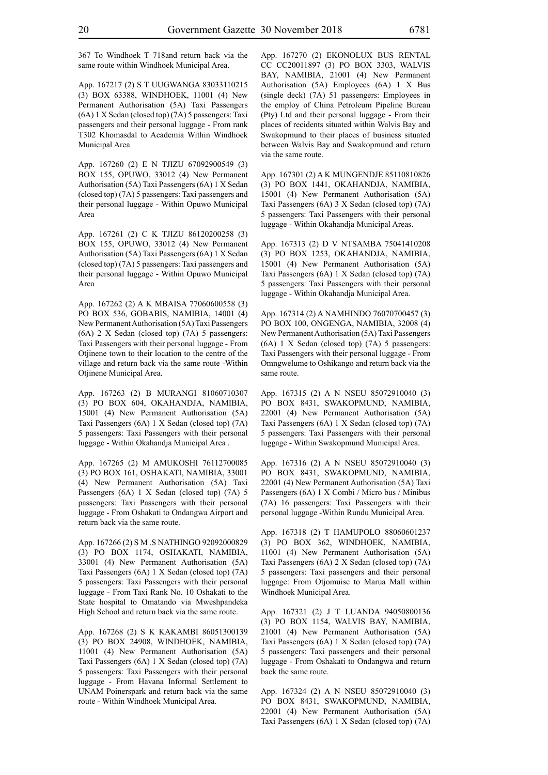367 To Windhoek T 718and return back via the same route within Windhoek Municipal Area.

App. 167217 (2) S T UUGWANGA 83033110215 (3) BOX 63388, WINDHOEK, 11001 (4) New Permanent Authorisation (5A) Taxi Passengers (6A) 1 X Sedan (closed top) (7A) 5 passengers: Taxi passengers and their personal luggage - From rank T302 Khomasdal to Academia Within Windhoek Municipal Area

App. 167260 (2) E N TJIZU 67092900549 (3) BOX 155, OPUWO, 33012 (4) New Permanent Authorisation (5A) Taxi Passengers (6A) 1 X Sedan (closed top) (7A) 5 passengers: Taxi passengers and their personal luggage - Within Opuwo Municipal Area

App. 167261 (2) C K TJIZU 86120200258 (3) BOX 155, OPUWO, 33012 (4) New Permanent Authorisation (5A) Taxi Passengers (6A) 1 X Sedan (closed top) (7A) 5 passengers: Taxi passengers and their personal luggage - Within Opuwo Municipal Area

App. 167262 (2) A K MBAISA 77060600558 (3) PO BOX 536, GOBABIS, NAMIBIA, 14001 (4) New Permanent Authorisation (5A) Taxi Passengers (6A) 2 X Sedan (closed top) (7A) 5 passengers: Taxi Passengers with their personal luggage - From Otjinene town to their location to the centre of the village and return back via the same route -Within Otjinene Municipal Area.

App. 167263 (2) B MURANGI 81060710307 (3) PO BOX 604, OKAHANDJA, NAMIBIA, 15001 (4) New Permanent Authorisation (5A) Taxi Passengers (6A) 1 X Sedan (closed top) (7A) 5 passengers: Taxi Passengers with their personal luggage - Within Okahandja Municipal Area .

App. 167265 (2) M AMUKOSHI 76112700085 (3) PO BOX 161, OSHAKATI, NAMIBIA, 33001 (4) New Permanent Authorisation (5A) Taxi Passengers (6A) 1 X Sedan (closed top) (7A) 5 passengers: Taxi Passengers with their personal luggage - From Oshakati to Ondangwa Airport and return back via the same route.

App. 167266 (2) S M .S NATHINGO 92092000829 (3) PO BOX 1174, OSHAKATI, NAMIBIA, 33001 (4) New Permanent Authorisation (5A) Taxi Passengers (6A) 1 X Sedan (closed top) (7A) 5 passengers: Taxi Passengers with their personal luggage - From Taxi Rank No. 10 Oshakati to the State hospital to Omatando via Mweshpandeka High School and return back via the same route.

App. 167268 (2) S K KAKAMBI 86051300139 (3) PO BOX 24908, WINDHOEK, NAMIBIA, 11001 (4) New Permanent Authorisation (5A) Taxi Passengers (6A) 1 X Sedan (closed top) (7A) 5 passengers: Taxi Passengers with their personal luggage - From Havana Informal Settlement to UNAM Poinerspark and return back via the same route - Within Windhoek Municipal Area.

App. 167270 (2) EKONOLUX BUS RENTAL CC CC20011897 (3) PO BOX 3303, WALVIS BAY, NAMIBIA, 21001 (4) New Permanent Authorisation (5A) Employees (6A) 1 X Bus (single deck) (7A) 51 passengers: Employees in the employ of China Petroleum Pipeline Bureau (Pty) Ltd and their personal luggage - From their places of recidents situated within Walvis Bay and Swakopmund to their places of business situated between Walvis Bay and Swakopmund and return via the same route.

App. 167301 (2) A K MUNGENDJE 85110810826 (3) PO BOX 1441, OKAHANDJA, NAMIBIA, 15001 (4) New Permanent Authorisation (5A) Taxi Passengers (6A) 3 X Sedan (closed top) (7A) 5 passengers: Taxi Passengers with their personal luggage - Within Okahandja Municipal Areas.

App. 167313 (2) D V NTSAMBA 75041410208 (3) PO BOX 1253, OKAHANDJA, NAMIBIA, 15001 (4) New Permanent Authorisation (5A) Taxi Passengers (6A) 1 X Sedan (closed top) (7A) 5 passengers: Taxi Passengers with their personal luggage - Within Okahandja Municipal Area.

App. 167314 (2) A NAMHINDO 76070700457 (3) PO BOX 100, ONGENGA, NAMIBIA, 32008 (4) New Permanent Authorisation (5A) Taxi Passengers (6A) 1 X Sedan (closed top) (7A) 5 passengers: Taxi Passengers with their personal luggage - From Omngwelume to Oshikango and return back via the same route.

App. 167315 (2) A N NSEU 85072910040 (3) PO BOX 8431, SWAKOPMUND, NAMIBIA, 22001 (4) New Permanent Authorisation (5A) Taxi Passengers (6A) 1 X Sedan (closed top) (7A) 5 passengers: Taxi Passengers with their personal luggage - Within Swakopmund Municipal Area.

App. 167316 (2) A N NSEU 85072910040 (3) PO BOX 8431, SWAKOPMUND, NAMIBIA, 22001 (4) New Permanent Authorisation (5A) Taxi Passengers (6A) 1 X Combi / Micro bus / Minibus (7A) 16 passengers: Taxi Passengers with their personal luggage -Within Rundu Municipal Area.

App. 167318 (2) T HAMUPOLO 88060601237 (3) PO BOX 362, WINDHOEK, NAMIBIA, 11001 (4) New Permanent Authorisation (5A) Taxi Passengers (6A) 2 X Sedan (closed top) (7A) 5 passengers: Taxi passengers and their personal luggage: From Otjomuise to Marua Mall within Windhoek Municipal Area.

App. 167321 (2) J T LUANDA 94050800136 (3) PO BOX 1154, WALVIS BAY, NAMIBIA, 21001 (4) New Permanent Authorisation (5A) Taxi Passengers (6A) 1 X Sedan (closed top) (7A) 5 passengers: Taxi passengers and their personal luggage - From Oshakati to Ondangwa and return back the same route.

App. 167324 (2) A N NSEU 85072910040 (3) PO BOX 8431, SWAKOPMUND, NAMIBIA, 22001 (4) New Permanent Authorisation (5A) Taxi Passengers (6A) 1 X Sedan (closed top) (7A)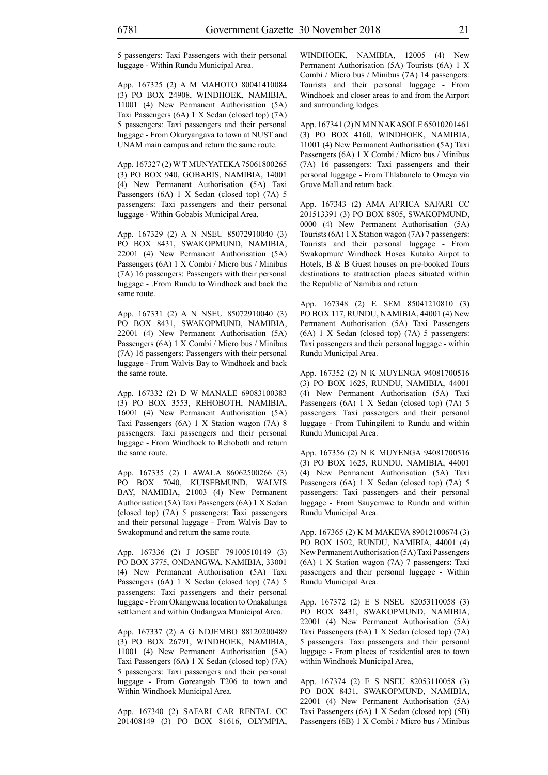App. 167325 (2) A M MAHOTO 80041410084 (3) PO BOX 24908, WINDHOEK, NAMIBIA, 11001 (4) New Permanent Authorisation (5A) Taxi Passengers (6A) 1 X Sedan (closed top) (7A) 5 passengers: Taxi passengers and their personal luggage - From Okuryangava to town at NUST and UNAM main campus and return the same route.

App. 167327 (2) W T MUNYATEKA 75061800265 (3) PO BOX 940, GOBABIS, NAMIBIA, 14001 (4) New Permanent Authorisation (5A) Taxi Passengers (6A) 1 X Sedan (closed top) (7A) 5 passengers: Taxi passengers and their personal luggage - Within Gobabis Municipal Area.

App. 167329 (2) A N NSEU 85072910040 (3) PO BOX 8431, SWAKOPMUND, NAMIBIA, 22001 (4) New Permanent Authorisation (5A) Passengers (6A) 1 X Combi / Micro bus / Minibus (7A) 16 passengers: Passengers with their personal luggage - .From Rundu to Windhoek and back the same route.

App. 167331 (2) A N NSEU 85072910040 (3) PO BOX 8431, SWAKOPMUND, NAMIBIA, 22001 (4) New Permanent Authorisation (5A) Passengers (6A) 1 X Combi / Micro bus / Minibus (7A) 16 passengers: Passengers with their personal luggage - From Walvis Bay to Windhoek and back the same route.

App. 167332 (2) D W MANALE 69083100383 (3) PO BOX 3553, REHOBOTH, NAMIBIA, 16001 (4) New Permanent Authorisation (5A) Taxi Passengers (6A) 1 X Station wagon (7A) 8 passengers: Taxi passengers and their personal luggage - From Windhoek to Rehoboth and return the same route.

App. 167335 (2) I AWALA 86062500266 (3) PO BOX 7040, KUISEBMUND, WALVIS BAY, NAMIBIA, 21003 (4) New Permanent Authorisation (5A) Taxi Passengers (6A) 1 X Sedan (closed top) (7A) 5 passengers: Taxi passengers and their personal luggage - From Walvis Bay to Swakopmund and return the same route.

App. 167336 (2) J JOSEF 79100510149 (3) PO BOX 3775, ONDANGWA, NAMIBIA, 33001 (4) New Permanent Authorisation (5A) Taxi Passengers (6A) 1 X Sedan (closed top) (7A) 5 passengers: Taxi passengers and their personal luggage - From Okangwena location to Onakalunga settlement and within Ondangwa Municipal Area.

App. 167337 (2) A G NDJEMBO 88120200489 (3) PO BOX 26791, WINDHOEK, NAMIBIA, 11001 (4) New Permanent Authorisation (5A) Taxi Passengers (6A) 1 X Sedan (closed top) (7A) 5 passengers: Taxi passengers and their personal luggage - From Goreangab T206 to town and Within Windhoek Municipal Area.

App. 167340 (2) SAFARI CAR RENTAL CC 201408149 (3) PO BOX 81616, OLYMPIA, WINDHOEK, NAMIBIA, 12005 (4) New Permanent Authorisation (5A) Tourists (6A) 1 X Combi / Micro bus / Minibus (7A) 14 passengers: Tourists and their personal luggage - From Windhoek and closer areas to and from the Airport and surrounding lodges.

App. 167341 (2) N M N NAKASOLE 65010201461 (3) PO BOX 4160, WINDHOEK, NAMIBIA, 11001 (4) New Permanent Authorisation (5A) Taxi Passengers (6A) 1 X Combi / Micro bus / Minibus (7A) 16 passengers: Taxi passengers and their personal luggage - From Thlabanelo to Omeya via Grove Mall and return back.

App. 167343 (2) AMA AFRICA SAFARI CC 201513391 (3) PO BOX 8805, SWAKOPMUND, 0000 (4) New Permanent Authorisation (5A) Tourists (6A) 1 X Station wagon (7A) 7 passengers: Tourists and their personal luggage - From Swakopmun/ Windhoek Hosea Kutako Airpot to Hotels, B & B Guest houses on pre-booked Tours destinations to atattraction places situated within the Republic of Namibia and return

App. 167348 (2) E SEM 85041210810 (3) PO BOX 117, RUNDU, NAMIBIA, 44001 (4) New Permanent Authorisation (5A) Taxi Passengers (6A) 1 X Sedan (closed top) (7A) 5 passengers: Taxi passengers and their personal luggage - within Rundu Municipal Area.

App. 167352 (2) N K MUYENGA 94081700516 (3) PO BOX 1625, RUNDU, NAMIBIA, 44001 (4) New Permanent Authorisation (5A) Taxi Passengers (6A) 1 X Sedan (closed top) (7A) 5 passengers: Taxi passengers and their personal luggage - From Tuhingileni to Rundu and within Rundu Municipal Area.

App. 167356 (2) N K MUYENGA 94081700516 (3) PO BOX 1625, RUNDU, NAMIBIA, 44001 (4) New Permanent Authorisation (5A) Taxi Passengers (6A) 1 X Sedan (closed top) (7A) 5 passengers: Taxi passengers and their personal luggage - From Sauyemwe to Rundu and within Rundu Municipal Area.

App. 167365 (2) K M MAKEVA 89012100674 (3) PO BOX 1502, RUNDU, NAMIBIA, 44001 (4) New Permanent Authorisation (5A) Taxi Passengers (6A) 1 X Station wagon (7A) 7 passengers: Taxi passengers and their personal luggage - Within Rundu Municipal Area.

App. 167372 (2) E S NSEU 82053110058 (3) PO BOX 8431, SWAKOPMUND, NAMIBIA, 22001 (4) New Permanent Authorisation (5A) Taxi Passengers (6A) 1 X Sedan (closed top) (7A) 5 passengers: Taxi passengers and their personal luggage - From places of residential area to town within Windhoek Municipal Area,

App. 167374 (2) E S NSEU 82053110058 (3) PO BOX 8431, SWAKOPMUND, NAMIBIA, 22001 (4) New Permanent Authorisation (5A) Taxi Passengers (6A) 1 X Sedan (closed top) (5B) Passengers (6B) 1 X Combi / Micro bus / Minibus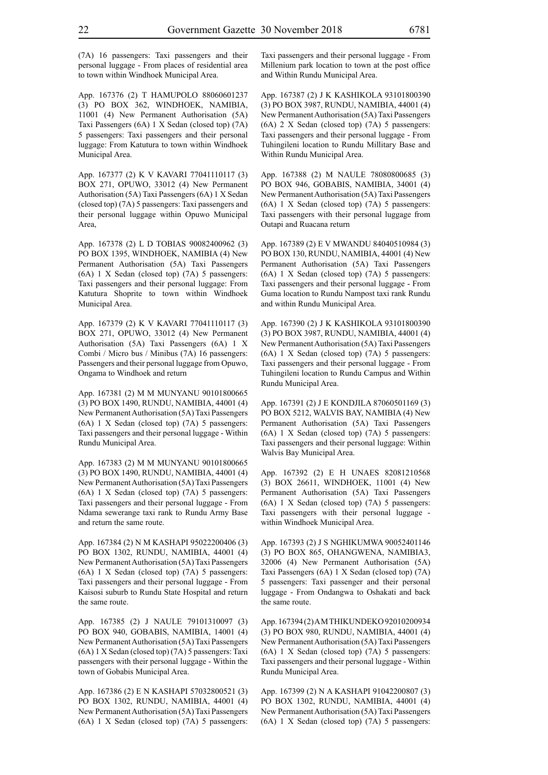(7A) 16 passengers: Taxi passengers and their personal luggage - From places of residential area to town within Windhoek Municipal Area.

App. 167376 (2) T HAMUPOLO 88060601237 (3) PO BOX 362, WINDHOEK, NAMIBIA, 11001 (4) New Permanent Authorisation (5A) Taxi Passengers (6A) 1 X Sedan (closed top) (7A) 5 passengers: Taxi passengers and their personal luggage: From Katutura to town within Windhoek Municipal Area.

App. 167377 (2) K V KAVARI 77041110117 (3) BOX 271, OPUWO, 33012 (4) New Permanent Authorisation (5A) Taxi Passengers (6A) 1 X Sedan (closed top) (7A) 5 passengers: Taxi passengers and their personal luggage within Opuwo Municipal Area,

App. 167378 (2) L D TOBIAS 90082400962 (3) PO BOX 1395, WINDHOEK, NAMIBIA (4) New Permanent Authorisation (5A) Taxi Passengers (6A) 1 X Sedan (closed top) (7A) 5 passengers: Taxi passengers and their personal luggage: From Katutura Shoprite to town within Windhoek Municipal Area.

App. 167379 (2) K V KAVARI 77041110117 (3) BOX 271, OPUWO, 33012 (4) New Permanent Authorisation (5A) Taxi Passengers (6A) 1 X Combi / Micro bus / Minibus (7A) 16 passengers: Passengers and their personal luggage from Opuwo, Ongama to Windhoek and return

App. 167381 (2) M M MUNYANU 90101800665 (3) PO BOX 1490, RUNDU, NAMIBIA, 44001 (4) New Permanent Authorisation (5A) Taxi Passengers (6A) 1 X Sedan (closed top) (7A) 5 passengers: Taxi passengers and their personal luggage - Within Rundu Municipal Area.

App. 167383 (2) M M MUNYANU 90101800665 (3) PO BOX 1490, RUNDU, NAMIBIA, 44001 (4) New Permanent Authorisation (5A) Taxi Passengers (6A) 1 X Sedan (closed top) (7A) 5 passengers: Taxi passengers and their personal luggage - From Ndama sewerange taxi rank to Rundu Army Base and return the same route.

App. 167384 (2) N M KASHAPI 95022200406 (3) PO BOX 1302, RUNDU, NAMIBIA, 44001 (4) New Permanent Authorisation (5A) Taxi Passengers (6A) 1 X Sedan (closed top) (7A) 5 passengers: Taxi passengers and their personal luggage - From Kaisosi suburb to Rundu State Hospital and return the same route.

App. 167385 (2) J NAULE 79101310097 (3) PO BOX 940, GOBABIS, NAMIBIA, 14001 (4) New Permanent Authorisation (5A) Taxi Passengers (6A) 1 X Sedan (closed top) (7A) 5 passengers: Taxi passengers with their personal luggage - Within the town of Gobabis Municipal Area.

App. 167386 (2) E N KASHAPI 57032800521 (3) PO BOX 1302, RUNDU, NAMIBIA, 44001 (4) New Permanent Authorisation (5A) Taxi Passengers (6A) 1 X Sedan (closed top) (7A) 5 passengers: Taxi passengers and their personal luggage - From Millenium park location to town at the post office and Within Rundu Municipal Area.

App. 167387 (2) J K KASHIKOLA 93101800390 (3) PO BOX 3987, RUNDU, NAMIBIA, 44001 (4) New Permanent Authorisation (5A) Taxi Passengers (6A) 2 X Sedan (closed top) (7A) 5 passengers: Taxi passengers and their personal luggage - From Tuhingileni location to Rundu Millitary Base and Within Rundu Municipal Area.

App. 167388 (2) M NAULE 78080800685 (3) PO BOX 946, GOBABIS, NAMIBIA, 34001 (4) New Permanent Authorisation (5A) Taxi Passengers (6A) 1 X Sedan (closed top) (7A) 5 passengers: Taxi passengers with their personal luggage from Outapi and Ruacana return

App. 167389 (2) E V MWANDU 84040510984 (3) PO BOX 130, RUNDU, NAMIBIA, 44001 (4) New Permanent Authorisation (5A) Taxi Passengers (6A) 1 X Sedan (closed top) (7A) 5 passengers: Taxi passengers and their personal luggage - From Guma location to Rundu Nampost taxi rank Rundu and within Rundu Municipal Area.

App. 167390 (2) J K KASHIKOLA 93101800390 (3) PO BOX 3987, RUNDU, NAMIBIA, 44001 (4) New Permanent Authorisation (5A) Taxi Passengers (6A) 1 X Sedan (closed top) (7A) 5 passengers: Taxi passengers and their personal luggage - From Tuhingileni location to Rundu Campus and Within Rundu Municipal Area.

App. 167391 (2) J E KONDJILA 87060501169 (3) PO BOX 5212, WALVIS BAY, NAMIBIA (4) New Permanent Authorisation (5A) Taxi Passengers (6A) 1 X Sedan (closed top) (7A) 5 passengers: Taxi passengers and their personal luggage: Within Walvis Bay Municipal Area.

App. 167392 (2) E H UNAES 82081210568 (3) BOX 26611, WINDHOEK, 11001 (4) New Permanent Authorisation (5A) Taxi Passengers (6A) 1 X Sedan (closed top) (7A) 5 passengers: Taxi passengers with their personal luggage within Windhoek Municipal Area.

App. 167393 (2) J S NGHIKUMWA 90052401146 (3) PO BOX 865, OHANGWENA, NAMIBIA3, 32006 (4) New Permanent Authorisation (5A) Taxi Passengers (6A) 1 X Sedan (closed top) (7A) 5 passengers: Taxi passenger and their personal luggage - From Ondangwa to Oshakati and back the same route.

App. 167394 (2) A M THIKUNDEKO 92010200934 (3) PO BOX 980, RUNDU, NAMIBIA, 44001 (4) New Permanent Authorisation (5A) Taxi Passengers (6A) 1 X Sedan (closed top) (7A) 5 passengers: Taxi passengers and their personal luggage - Within Rundu Municipal Area.

App. 167399 (2) N A KASHAPI 91042200807 (3) PO BOX 1302, RUNDU, NAMIBIA, 44001 (4) New Permanent Authorisation (5A) Taxi Passengers (6A) 1 X Sedan (closed top) (7A) 5 passengers: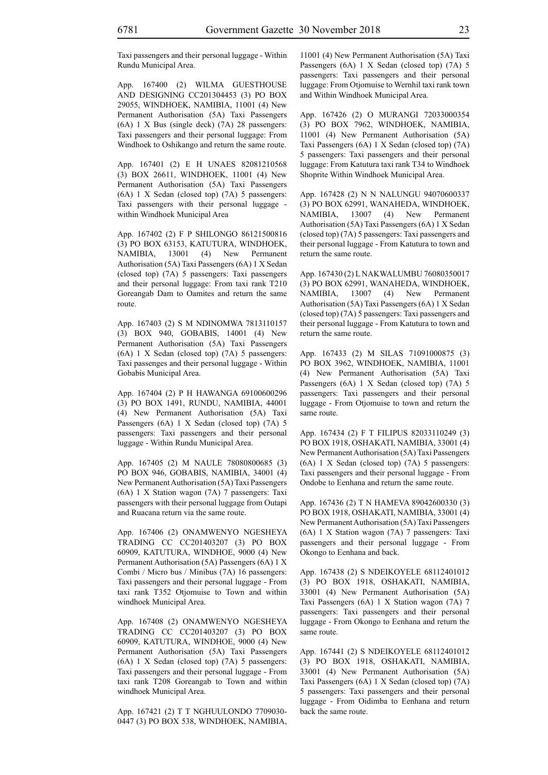Taxi passengers and their personal luggage - Within Rundu Municipal Area.

App. 167400 (2) WILMA GUESTHOUSE AND DESIGNING CC201304453 (3) PO BOX 29055, WINDHOEK, NAMIBIA, 11001 (4) New Permanent Authorisation (5A) Taxi Passengers (6A) 1 X Bus (single deck) (7A) 28 passengers: Taxi passengers and their personal luggage: From Windhoek to Oshikango and return the same route.

App. 167401 (2) E H UNAES 82081210568 (3) BOX 26611, WINDHOEK, 11001 (4) New Permanent Authorisation (5A) Taxi Passengers (6A) 1 X Sedan (closed top) (7A) 5 passengers: Taxi passengers with their personal luggage within Windhoek Municipal Area

App. 167402 (2) F P SHILONGO 86121500816 (3) PO BOX 63153, KATUTURA, WINDHOEK, NAMIBIA, 13001 (4) New Permanent Authorisation (5A) Taxi Passengers (6A) 1 X Sedan (closed top) (7A) 5 passengers: Taxi passengers and their personal luggage: From taxi rank T210 Goreangab Dam to Oamites and return the same route.

App. 167403 (2) S M NDINOMWA 7813110157 (3) BOX 940, GOBABIS, 14001 (4) New Permanent Authorisation (5A) Taxi Passengers (6A) 1 X Sedan (closed top) (7A) 5 passengers: Taxi passenges and their personal luggage - Within Gobabis Municipal Area.

App. 167404 (2) P H HAWANGA 69100600296 (3) PO BOX 1491, RUNDU, NAMIBIA, 44001 (4) New Permanent Authorisation (5A) Taxi Passengers (6A) 1 X Sedan (closed top) (7A) 5 passengers: Taxi passengers and their personal luggage - Within Rundu Municipal Area.

App. 167405 (2) M NAULE 78080800685 (3) PO BOX 946, GOBABIS, NAMIBIA, 34001 (4) New Permanent Authorisation (5A) Taxi Passengers (6A) 1 X Station wagon (7A) 7 passengers: Taxi passengers with their personal luggage from Outapi and Ruacana return via the same route.

App. 167406 (2) ONAMWENYO NGESHEYA TRADING CC CC201403207 (3) PO BOX 60909, KATUTURA, WINDHOE, 9000 (4) New Permanent Authorisation (5A) Passengers (6A) 1 X Combi / Micro bus / Minibus (7A) 16 passengers: Taxi passengers and their personal luggage - From taxi rank T352 Otjomuise to Town and within windhoek Municipal Area.

App. 167408 (2) ONAMWENYO NGESHEYA TRADING CC CC201403207 (3) PO BOX 60909, KATUTURA, WINDHOE, 9000 (4) New Permanent Authorisation (5A) Taxi Passengers (6A) 1 X Sedan (closed top) (7A) 5 passengers: Taxi passengers and their personal luggage - From taxi rank T208 Goreangab to Town and within windhoek Municipal Area.

App. 167421 (2) T T NGHUULONDO 7709030- 0447 (3) PO BOX 538, WINDHOEK, NAMIBIA, 11001 (4) New Permanent Authorisation (5A) Taxi Passengers (6A) 1 X Sedan (closed top) (7A) 5 passengers: Taxi passengers and their personal luggage: From Otjomuise to Wernhil taxi rank town and Within Windhoek Municipal Area.

App. 167426 (2) O MURANGI 72033000354 (3) PO BOX 7962, WINDHOEK, NAMIBIA, 11001 (4) New Permanent Authorisation (5A) Taxi Passengers (6A) 1 X Sedan (closed top) (7A) 5 passengers: Taxi passengers and their personal luggage: From Katutura taxi rank T34 to Windhoek Shoprite Within Windhoek Municipal Area.

App. 167428 (2) N N NALUNGU 94070600337 (3) PO BOX 62991, WANAHEDA, WINDHOEK, NAMIBIA, 13007 (4) New Permanent Authorisation (5A) Taxi Passengers (6A) 1 X Sedan (closed top) (7A) 5 passengers: Taxi passengers and their personal luggage - From Katutura to town and return the same route.

App. 167430 (2) L NAKWALUMBU 76080350017 (3) PO BOX 62991, WANAHEDA, WINDHOEK, NAMIBIA, 13007 (4) New Permanent Authorisation (5A) Taxi Passengers (6A) 1 X Sedan (closed top) (7A) 5 passengers: Taxi passengers and their personal luggage - From Katutura to town and return the same route.

App. 167433 (2) M SILAS 71091000875 (3) PO BOX 3962, WINDHOEK, NAMIBIA, 11001 (4) New Permanent Authorisation (5A) Taxi Passengers (6A) 1 X Sedan (closed top) (7A) 5 passengers: Taxi passengers and their personal luggage - From Otjomuise to town and return the same route.

App. 167434 (2) F T FILIPUS 82033110249 (3) PO BOX 1918, OSHAKATI, NAMIBIA, 33001 (4) New Permanent Authorisation (5A) Taxi Passengers (6A) 1 X Sedan (closed top) (7A) 5 passengers: Taxi passengers and their personal luggage - From Ondobe to Eenhana and return the same route.

App. 167436 (2) T N HAMEVA 89042600330 (3) PO BOX 1918, OSHAKATI, NAMIBIA, 33001 (4) New Permanent Authorisation (5A) Taxi Passengers (6A) 1 X Station wagon (7A) 7 passengers: Taxi passengers and their personal luggage - From Okongo to Eenhana and back.

App. 167438 (2) S NDEIKOYELE 68112401012 (3) PO BOX 1918, OSHAKATI, NAMIBIA, 33001 (4) New Permanent Authorisation (5A) Taxi Passengers (6A) 1 X Station wagon (7A) 7 passengers: Taxi passengers and their personal luggage - From Okongo to Eenhana and return the same route.

App. 167441 (2) S NDEIKOYELE 68112401012 (3) PO BOX 1918, OSHAKATI, NAMIBIA, 33001 (4) New Permanent Authorisation (5A) Taxi Passengers (6A) 1 X Sedan (closed top) (7A) 5 passengers: Taxi passengers and their personal luggage - From Oidimba to Eenhana and return back the same route.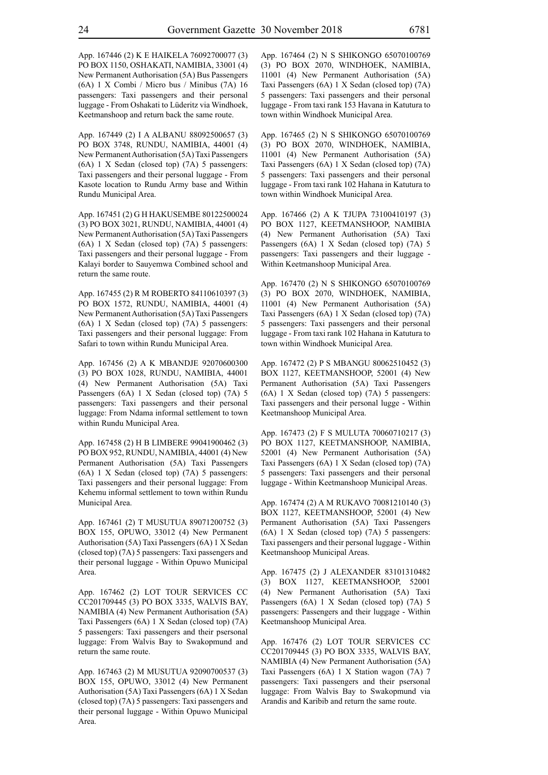App. 167446 (2) K E HAIKELA 76092700077 (3) PO BOX 1150, OSHAKATI, NAMIBIA, 33001 (4) New Permanent Authorisation (5A) Bus Passengers (6A) 1 X Combi / Micro bus / Minibus (7A) 16 passengers: Taxi passengers and their personal luggage - From Oshakati to Lüderitz via Windhoek, Keetmanshoop and return back the same route.

App. 167449 (2) I A ALBANU 88092500657 (3) PO BOX 3748, RUNDU, NAMIBIA, 44001 (4) New Permanent Authorisation (5A) Taxi Passengers (6A) 1 X Sedan (closed top) (7A) 5 passengers: Taxi passengers and their personal luggage - From Kasote location to Rundu Army base and Within Rundu Municipal Area.

App. 167451 (2) G H HAKUSEMBE 80122500024 (3) PO BOX 3021, RUNDU, NAMIBIA, 44001 (4) New Permanent Authorisation (5A) Taxi Passengers (6A) 1 X Sedan (closed top) (7A) 5 passengers: Taxi passengers and their personal luggage - From Kalayi border to Sauyemwa Combined school and return the same route.

App. 167455 (2) R M ROBERTO 84110610397 (3) PO BOX 1572, RUNDU, NAMIBIA, 44001 (4) New Permanent Authorisation (5A) Taxi Passengers (6A) 1 X Sedan (closed top) (7A) 5 passengers: Taxi passengers and their personal luggage: From Safari to town within Rundu Municipal Area.

App. 167456 (2) A K MBANDJE 92070600300 (3) PO BOX 1028, RUNDU, NAMIBIA, 44001 (4) New Permanent Authorisation (5A) Taxi Passengers (6A) 1 X Sedan (closed top) (7A) 5 passengers: Taxi passengers and their personal luggage: From Ndama informal settlement to town within Rundu Municipal Area.

App. 167458 (2) H B LIMBERE 99041900462 (3) PO BOX 952, RUNDU, NAMIBIA, 44001 (4) New Permanent Authorisation (5A) Taxi Passengers (6A) 1 X Sedan (closed top) (7A) 5 passengers: Taxi passengers and their personal luggage: From Kehemu informal settlement to town within Rundu Municipal Area.

App. 167461 (2) T MUSUTUA 89071200752 (3) BOX 155, OPUWO, 33012 (4) New Permanent Authorisation (5A) Taxi Passengers (6A) 1 X Sedan (closed top) (7A) 5 passengers: Taxi passengers and their personal luggage - Within Opuwo Municipal Area.

App. 167462 (2) LOT TOUR SERVICES CC CC201709445 (3) PO BOX 3335, WALVIS BAY, NAMIBIA (4) New Permanent Authorisation (5A) Taxi Passengers (6A) 1 X Sedan (closed top) (7A) 5 passengers: Taxi passengers and their psersonal luggage: From Walvis Bay to Swakopmund and return the same route.

App. 167463 (2) M MUSUTUA 92090700537 (3) BOX 155, OPUWO, 33012 (4) New Permanent Authorisation (5A) Taxi Passengers (6A) 1 X Sedan (closed top) (7A) 5 passengers: Taxi passengers and their personal luggage - Within Opuwo Municipal Area.

App. 167464 (2) N S SHIKONGO 65070100769 (3) PO BOX 2070, WINDHOEK, NAMIBIA, 11001 (4) New Permanent Authorisation (5A) Taxi Passengers (6A) 1 X Sedan (closed top) (7A) 5 passengers: Taxi passengers and their personal luggage - From taxi rank 153 Havana in Katutura to town within Windhoek Municipal Area.

App. 167465 (2) N S SHIKONGO 65070100769 (3) PO BOX 2070, WINDHOEK, NAMIBIA, 11001 (4) New Permanent Authorisation (5A) Taxi Passengers (6A) 1 X Sedan (closed top) (7A) 5 passengers: Taxi passengers and their personal luggage - From taxi rank 102 Hahana in Katutura to town within Windhoek Municipal Area.

App. 167466 (2) A K TJUPA 73100410197 (3) PO BOX 1127, KEETMANSHOOP, NAMIBIA (4) New Permanent Authorisation (5A) Taxi Passengers (6A) 1 X Sedan (closed top) (7A) 5 passengers: Taxi passengers and their luggage - Within Keetmanshoop Municipal Area.

App. 167470 (2) N S SHIKONGO 65070100769 (3) PO BOX 2070, WINDHOEK, NAMIBIA, 11001 (4) New Permanent Authorisation (5A) Taxi Passengers (6A) 1 X Sedan (closed top) (7A) 5 passengers: Taxi passengers and their personal luggage - From taxi rank 102 Hahana in Katutura to town within Windhoek Municipal Area.

App. 167472 (2) P S MBANGU 80062510452 (3) BOX 1127, KEETMANSHOOP, 52001 (4) New Permanent Authorisation (5A) Taxi Passengers (6A) 1 X Sedan (closed top) (7A) 5 passengers: Taxi passengers and their personal lugge - Within Keetmanshoop Municipal Area.

App. 167473 (2) F S MULUTA 70060710217 (3) PO BOX 1127, KEETMANSHOOP, NAMIBIA, 52001 (4) New Permanent Authorisation (5A) Taxi Passengers (6A) 1 X Sedan (closed top) (7A) 5 passengers: Taxi passengers and their personal luggage - Within Keetmanshoop Municipal Areas.

App. 167474 (2) A M RUKAVO 70081210140 (3) BOX 1127, KEETMANSHOOP, 52001 (4) New Permanent Authorisation (5A) Taxi Passengers (6A) 1 X Sedan (closed top) (7A) 5 passengers: Taxi passengers and their personal luggage - Within Keetmanshoop Municipal Areas.

App. 167475 (2) J ALEXANDER 83101310482 (3) BOX 1127, KEETMANSHOOP, 52001 (4) New Permanent Authorisation (5A) Taxi Passengers (6A) 1 X Sedan (closed top) (7A) 5 passengers: Passengers and their luggage - Within Keetmanshoop Municipal Area.

App. 167476 (2) LOT TOUR SERVICES CC CC201709445 (3) PO BOX 3335, WALVIS BAY, NAMIBIA (4) New Permanent Authorisation (5A) Taxi Passengers (6A) 1 X Station wagon (7A) 7 passengers: Taxi passengers and their psersonal luggage: From Walvis Bay to Swakopmund via Arandis and Karibib and return the same route.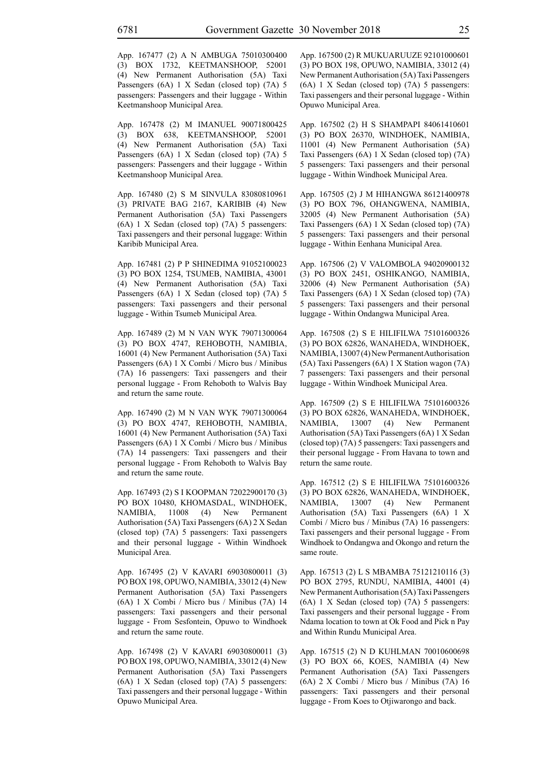App. 167477 (2) A N AMBUGA 75010300400 (3) BOX 1732, KEETMANSHOOP, 52001 (4) New Permanent Authorisation (5A) Taxi Passengers (6A) 1 X Sedan (closed top) (7A) 5 passengers: Passengers and their luggage - Within Keetmanshoop Municipal Area.

App. 167478 (2) M IMANUEL 90071800425 (3) BOX 638, KEETMANSHOOP, 52001 (4) New Permanent Authorisation (5A) Taxi Passengers (6A) 1 X Sedan (closed top) (7A) 5 passengers: Passengers and their luggage - Within Keetmanshoop Municipal Area.

App. 167480 (2) S M SINVULA 83080810961 (3) PRIVATE BAG 2167, KARIBIB (4) New Permanent Authorisation (5A) Taxi Passengers (6A) 1 X Sedan (closed top) (7A) 5 passengers: Taxi passengers and their personal luggage: Within Karibib Municipal Area.

App. 167481 (2) P P SHINEDIMA 91052100023 (3) PO BOX 1254, TSUMEB, NAMIBIA, 43001 (4) New Permanent Authorisation (5A) Taxi Passengers (6A) 1 X Sedan (closed top) (7A) 5 passengers: Taxi passengers and their personal luggage - Within Tsumeb Municipal Area.

App. 167489 (2) M N VAN WYK 79071300064 (3) PO BOX 4747, REHOBOTH, NAMIBIA, 16001 (4) New Permanent Authorisation (5A) Taxi Passengers (6A) 1 X Combi / Micro bus / Minibus (7A) 16 passengers: Taxi passengers and their personal luggage - From Rehoboth to Walvis Bay and return the same route.

App. 167490 (2) M N VAN WYK 79071300064 (3) PO BOX 4747, REHOBOTH, NAMIBIA, 16001 (4) New Permanent Authorisation (5A) Taxi Passengers (6A) 1 X Combi / Micro bus / Minibus (7A) 14 passengers: Taxi passengers and their personal luggage - From Rehoboth to Walvis Bay and return the same route.

App. 167493 (2) S I KOOPMAN 72022900170 (3) PO BOX 10480, KHOMASDAL, WINDHOEK, NAMIBIA, 11008 (4) New Permanent Authorisation (5A) Taxi Passengers (6A) 2 X Sedan (closed top) (7A) 5 passengers: Taxi passengers and their personal luggage - Within Windhoek Municipal Area.

App. 167495 (2) V KAVARI 69030800011 (3) PO BOX 198, OPUWO, NAMIBIA, 33012 (4) New Permanent Authorisation (5A) Taxi Passengers (6A) 1 X Combi / Micro bus / Minibus (7A) 14 passengers: Taxi passengers and their personal luggage - From Sesfontein, Opuwo to Windhoek and return the same route.

App. 167498 (2) V KAVARI 69030800011 (3) PO BOX 198, OPUWO, NAMIBIA, 33012 (4) New Permanent Authorisation (5A) Taxi Passengers (6A) 1 X Sedan (closed top) (7A) 5 passengers: Taxi passengers and their personal luggage - Within Opuwo Municipal Area.

App. 167500 (2) R MUKUARUUZE 92101000601 (3) PO BOX 198, OPUWO, NAMIBIA, 33012 (4) New Permanent Authorisation (5A) Taxi Passengers (6A) 1 X Sedan (closed top) (7A) 5 passengers: Taxi passengers and their personal luggage - Within Opuwo Municipal Area.

App. 167502 (2) H S SHAMPAPI 84061410601 (3) PO BOX 26370, WINDHOEK, NAMIBIA, 11001 (4) New Permanent Authorisation (5A) Taxi Passengers (6A) 1 X Sedan (closed top) (7A) 5 passengers: Taxi passengers and their personal luggage - Within Windhoek Municipal Area.

App. 167505 (2) J M HIHANGWA 86121400978 (3) PO BOX 796, OHANGWENA, NAMIBIA, 32005 (4) New Permanent Authorisation (5A) Taxi Passengers (6A) 1 X Sedan (closed top) (7A) 5 passengers: Taxi passengers and their personal luggage - Within Eenhana Municipal Area.

App. 167506 (2) V VALOMBOLA 94020900132 (3) PO BOX 2451, OSHIKANGO, NAMIBIA, 32006 (4) New Permanent Authorisation (5A) Taxi Passengers (6A) 1 X Sedan (closed top) (7A) 5 passengers: Taxi passengers and their personal luggage - Within Ondangwa Municipal Area.

App. 167508 (2) S E HILIFILWA 75101600326 (3) PO BOX 62826, WANAHEDA, WINDHOEK, NAMIBIA, 13007 (4) New Permanent Authorisation (5A) Taxi Passengers (6A) 1 X Station wagon (7A) 7 passengers: Taxi passengers and their personal luggage - Within Windhoek Municipal Area.

App. 167509 (2) S E HILIFILWA 75101600326 (3) PO BOX 62826, WANAHEDA, WINDHOEK, NAMIBIA, 13007 (4) New Permanent Authorisation (5A) Taxi Passengers (6A) 1 X Sedan (closed top) (7A) 5 passengers: Taxi passengers and their personal luggage - From Havana to town and return the same route.

App. 167512 (2) S E HILIFILWA 75101600326 (3) PO BOX 62826, WANAHEDA, WINDHOEK, NAMIBIA, 13007 (4) New Permanent Authorisation (5A) Taxi Passengers (6A) 1 X Combi / Micro bus / Minibus (7A) 16 passengers: Taxi passengers and their personal luggage - From Windhoek to Ondangwa and Okongo and return the same route.

App. 167513 (2) L S MBAMBA 75121210116 (3) PO BOX 2795, RUNDU, NAMIBIA, 44001 (4) New Permanent Authorisation (5A) Taxi Passengers (6A) 1 X Sedan (closed top) (7A) 5 passengers: Taxi passengers and their personal luggage - From Ndama location to town at Ok Food and Pick n Pay and Within Rundu Municipal Area.

App. 167515 (2) N D KUHLMAN 70010600698 (3) PO BOX 66, KOES, NAMIBIA (4) New Permanent Authorisation (5A) Taxi Passengers (6A) 2 X Combi / Micro bus / Minibus (7A) 16 passengers: Taxi passengers and their personal luggage - From Koes to Otjiwarongo and back.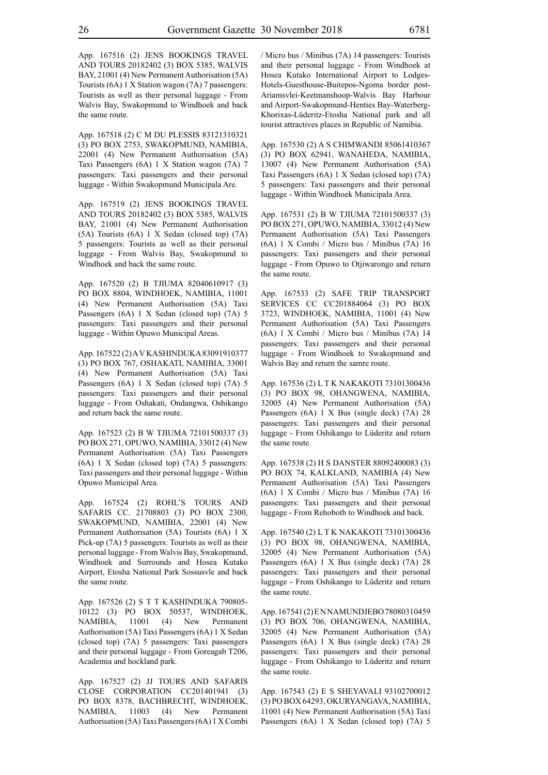App. 167516 (2) JENS BOOKINGS TRAVEL AND TOURS 20182402 (3) BOX 5385, WALVIS BAY, 21001 (4) New Permanent Authorisation (5A) Tourists (6A) 1 X Station wagon (7A) 7 passengers: Tourists as well as their personal luggage - From Walvis Bay, Swakopmund to Windhoek and back the same route.

App. 167518 (2) C M DU PLESSIS 83121310321 (3) PO BOX 2753, SWAKOPMUND, NAMIBIA, 22001 (4) New Permanent Authorisation (5A) Taxi Passengers (6A) 1 X Station wagon (7A) 7 passengers: Taxi passengers and their personal luggage - Within Swakopmund Municipala Are.

App. 167519 (2) JENS BOOKINGS TRAVEL AND TOURS 20182402 (3) BOX 5385, WALVIS BAY, 21001 (4) New Permanent Authorisation (5A) Tourists (6A) 1 X Sedan (closed top) (7A) 5 passengers: Tourists as well as their personal luggage - From Walvis Bay, Swakopmund to Windhoek and back the same route.

App. 167520 (2) B TJIUMA 82040610917 (3) PO BOX 8804, WINDHOEK, NAMIBIA, 11001 (4) New Permanent Authorisation (5A) Taxi Passengers (6A) 1 X Sedan (closed top) (7A) 5 passengers: Taxi passengers and their personal luggage - Within Opuwo Municipal Areas.

App. 167522 (2) A V KASHINDUKA 83091910377 (3) PO BOX 767, OSHAKATI, NAMIBIA, 33001 (4) New Permanent Authorisation (5A) Taxi Passengers (6A) 1 X Sedan (closed top) (7A) 5 passengers: Taxi passengers and their personal luggage - From Oshakati, Ondangwa, Oshikango and return back the same route.

App. 167523 (2) B W TJIUMA 72101500337 (3) PO BOX 271, OPUWO, NAMIBIA, 33012 (4) New Permanent Authorisation (5A) Taxi Passengers (6A) 1 X Sedan (closed top) (7A) 5 passengers: Taxi passengers and their personal luggage - Within Opuwo Municipal Area.

App. 167524 (2) ROHL'S TOURS AND SAFARIS CC. 21708803 (3) PO BOX 2300, SWAKOPMUND, NAMIBIA, 22001 (4) New Permanent Authorisation (5A) Tourists (6A) 1 X Pick-up (7A) 5 passengers: Tourists as well as their personal luggage - From Walvis Bay, Swakopmund, Windhoek and Surrounds and Hosea Kutako Airport, Etosha National Park Sossusvle and back the same route.

App. 167526 (2) S T T KASHINDUKA 790805- 10122 (3) PO BOX 50537, WINDHOEK, NAMIBIA, 11001 (4) New Permanent Authorisation (5A) Taxi Passengers (6A) 1 X Sedan (closed top) (7A) 5 passengers: Taxi passengers and their personal luggage - From Goreagab T206, Academia and hockland park.

App. 167527 (2) JJ TOURS AND SAFARIS CLOSE CORPORATION CC201401941 (3) PO BOX 8378, BACHBRECHT, WINDHOEK, NAMIBIA, 11003 (4) New Permanent Authorisation (5A) Taxi Passengers (6A) 1 X Combi / Micro bus / Minibus (7A) 14 passengers: Tourists and their personal luggage - From Windhoek at Hosea Kutako International Airport to Lodges-Hotels-Guesthouse-Buitepos-Ngoma border post-Ariamsvlei-Keetmanshoop-Walvis Bay Harbour and Airport-Swakopmund-Henties Bay-Waterberg-Khorixas-Lüderitz-Etosha National park and all tourist attractives places in Republic of Namibia.

App. 167530 (2) A S CHIMWANDI 85061410367 (3) PO BOX 62941, WANAHEDA, NAMIBIA, 13007 (4) New Permanent Authorisation (5A) Taxi Passengers (6A) 1 X Sedan (closed top) (7A) 5 passengers: Taxi passengers and their personal luggage - Within Windhoek Municipala Area.

App. 167531 (2) B W TJIUMA 72101500337 (3) PO BOX 271, OPUWO, NAMIBIA, 33012 (4) New Permanent Authorisation (5A) Taxi Passengers (6A) 1 X Combi / Micro bus / Minibus (7A) 16 passengers: Taxi passengers and their personal luggage - From Opuwo to Otjiwarongo and return the same route.

App. 167533 (2) SAFE TRIP TRANSPORT SERVICES CC CC201884064 (3) PO BOX 3723, WINDHOEK, NAMIBIA, 11001 (4) New Permanent Authorisation (5A) Taxi Passengers (6A) 1 X Combi / Micro bus / Minibus (7A) 14 passengers: Taxi passengers and their personal luggage - From Windhoek to Swakopmund and Walvis Bay and return the samre route.

App. 167536 (2) L T K NAKAKOTI 73101300436 (3) PO BOX 98, OHANGWENA, NAMIBIA, 32005 (4) New Permanent Authorisation (5A) Passengers (6A) 1 X Bus (single deck) (7A) 28 passengers: Taxi passengers and their personal luggage - From Oshikango to Lüderitz and return the same route.

App. 167538 (2) H S DANSTER 88092400083 (3) PO BOX 74, KALKLAND, NAMIBIA (4) New Permanent Authorisation (5A) Taxi Passengers (6A) 1 X Combi / Micro bus / Minibus (7A) 16 passengers: Taxi passengers and their personal luggage - From Rehoboth to Windhoek and back.

App. 167540 (2) L T K NAKAKOTI 73101300436 (3) PO BOX 98, OHANGWENA, NAMIBIA, 32005 (4) New Permanent Authorisation (5A) Passengers (6A) 1 X Bus (single deck) (7A) 28 passengers: Taxi passengers and their personal luggage - From Oshikango to Lüderitz and return the same route.

App. 167541 (2) E N NAMUNDJEBO 78080310459 (3) PO BOX 706, OHANGWENA, NAMIBIA, 32005 (4) New Permanent Authorisation (5A) Passengers (6A) 1 X Bus (single deck) (7A) 28 passengers: Taxi passengers and their personal luggage - From Oshikango to Lüderitz and return the same route.

App. 167543 (2) E S SHEYAVALI 93102700012 (3) PO BOX 64293, OKURYANGAVA, NAMIBIA, 11001 (4) New Permanent Authorisation (5A) Taxi Passengers (6A) 1 X Sedan (closed top) (7A) 5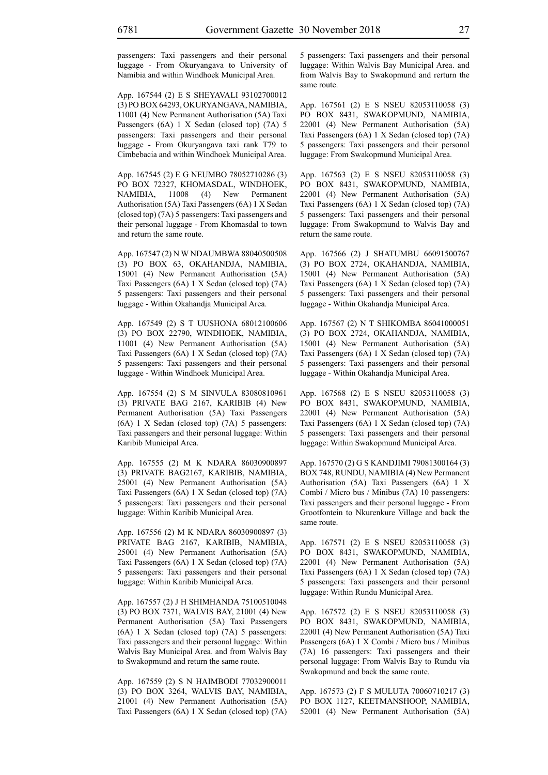passengers: Taxi passengers and their personal luggage - From Okuryangava to University of Namibia and within Windhoek Municipal Area.

App. 167544 (2) E S SHEYAVALI 93102700012 (3) PO BOX 64293, OKURYANGAVA, NAMIBIA, 11001 (4) New Permanent Authorisation (5A) Taxi Passengers (6A) 1 X Sedan (closed top) (7A) 5 passengers: Taxi passengers and their personal luggage - From Okuryangava taxi rank T79 to Cimbebacia and within Windhoek Municipal Area.

App. 167545 (2) E G NEUMBO 78052710286 (3) PO BOX 72327, KHOMASDAL, WINDHOEK, NAMIBIA, 11008 (4) New Permanent Authorisation (5A) Taxi Passengers (6A) 1 X Sedan (closed top) (7A) 5 passengers: Taxi passengers and their personal luggage - From Khomasdal to town and return the same route.

App. 167547 (2) N W NDAUMBWA 88040500508 (3) PO BOX 63, OKAHANDJA, NAMIBIA, 15001 (4) New Permanent Authorisation (5A) Taxi Passengers (6A) 1 X Sedan (closed top) (7A) 5 passengers: Taxi passengers and their personal luggage - Within Okahandja Municipal Area.

App. 167549 (2) S T UUSHONA 68012100606 (3) PO BOX 22790, WINDHOEK, NAMIBIA, 11001 (4) New Permanent Authorisation (5A) Taxi Passengers (6A) 1 X Sedan (closed top) (7A) 5 passengers: Taxi passengers and their personal luggage - Within Windhoek Municipal Area.

App. 167554 (2) S M SINVULA 83080810961 (3) PRIVATE BAG 2167, KARIBIB (4) New Permanent Authorisation (5A) Taxi Passengers (6A) 1 X Sedan (closed top) (7A) 5 passengers: Taxi passengers and their personal luggage: Within Karibib Municipal Area.

App. 167555 (2) M K NDARA 86030900897 (3) PRIVATE BAG2167, KARIBIB, NAMIBIA, 25001 (4) New Permanent Authorisation (5A) Taxi Passengers (6A) 1 X Sedan (closed top) (7A) 5 passengers: Taxi passengers and their personal luggage: Within Karibib Municipal Area.

App. 167556 (2) M K NDARA 86030900897 (3) PRIVATE BAG 2167, KARIBIB, NAMIBIA, 25001 (4) New Permanent Authorisation (5A) Taxi Passengers (6A) 1 X Sedan (closed top) (7A) 5 passengers: Taxi passengers and their personal luggage: Within Karibib Municipal Area.

App. 167557 (2) J H SHIMHANDA 75100510048 (3) PO BOX 7371, WALVIS BAY, 21001 (4) New Permanent Authorisation (5A) Taxi Passengers (6A) 1 X Sedan (closed top) (7A) 5 passengers: Taxi passengers and their personal luggage: Within Walvis Bay Municipal Area. and from Walvis Bay to Swakopmund and return the same route.

App. 167559 (2) S N HAIMBODI 77032900011 (3) PO BOX 3264, WALVIS BAY, NAMIBIA, 21001 (4) New Permanent Authorisation (5A) Taxi Passengers (6A) 1 X Sedan (closed top) (7A) 5 passengers: Taxi passengers and their personal luggage: Within Walvis Bay Municipal Area. and from Walvis Bay to Swakopmund and rerturn the same route.

App. 167561 (2) E S NSEU 82053110058 (3) PO BOX 8431, SWAKOPMUND, NAMIBIA, 22001 (4) New Permanent Authorisation (5A) Taxi Passengers (6A) 1 X Sedan (closed top) (7A) 5 passengers: Taxi passengers and their personal luggage: From Swakopmund Municipal Area.

App. 167563 (2) E S NSEU 82053110058 (3) PO BOX 8431, SWAKOPMUND, NAMIBIA, 22001 (4) New Permanent Authorisation (5A) Taxi Passengers (6A) 1 X Sedan (closed top) (7A) 5 passengers: Taxi passengers and their personal luggage: From Swakopmund to Walvis Bay and return the same route.

App. 167566 (2) J SHATUMBU 66091500767 (3) PO BOX 2724, OKAHANDJA, NAMIBIA, 15001 (4) New Permanent Authorisation (5A) Taxi Passengers (6A) 1 X Sedan (closed top) (7A) 5 passengers: Taxi passengers and their personal luggage - Within Okahandja Municipal Area.

App. 167567 (2) N T SHIKOMBA 86041000051 (3) PO BOX 2724, OKAHANDJA, NAMIBIA, 15001 (4) New Permanent Authorisation (5A) Taxi Passengers (6A) 1 X Sedan (closed top) (7A) 5 passengers: Taxi passengers and their personal luggage - Within Okahandja Municipal Area.

App. 167568 (2) E S NSEU 82053110058 (3) PO BOX 8431, SWAKOPMUND, NAMIBIA, 22001 (4) New Permanent Authorisation (5A) Taxi Passengers (6A) 1 X Sedan (closed top) (7A) 5 passengers: Taxi passengers and their personal luggage: Within Swakopmund Municipal Area.

App. 167570 (2) G S KANDJIMI 79081300164 (3) BOX 748, RUNDU, NAMIBIA (4) New Permanent Authorisation (5A) Taxi Passengers (6A) 1 X Combi / Micro bus / Minibus (7A) 10 passengers: Taxi passengers and their personal luggage - From Grootfontein to Nkurenkure Village and back the same route.

App. 167571 (2) E S NSEU 82053110058 (3) PO BOX 8431, SWAKOPMUND, NAMIBIA, 22001 (4) New Permanent Authorisation (5A) Taxi Passengers (6A) 1 X Sedan (closed top) (7A) 5 passengers: Taxi passengers and their personal luggage: Within Rundu Municipal Area.

App. 167572 (2) E S NSEU 82053110058 (3) PO BOX 8431, SWAKOPMUND, NAMIBIA, 22001 (4) New Permanent Authorisation (5A) Taxi Passengers (6A) 1 X Combi / Micro bus / Minibus (7A) 16 passengers: Taxi passengers and their personal luggage: From Walvis Bay to Rundu via Swakopmund and back the same route.

App. 167573 (2) F S MULUTA 70060710217 (3) PO BOX 1127, KEETMANSHOOP, NAMIBIA, 52001 (4) New Permanent Authorisation (5A)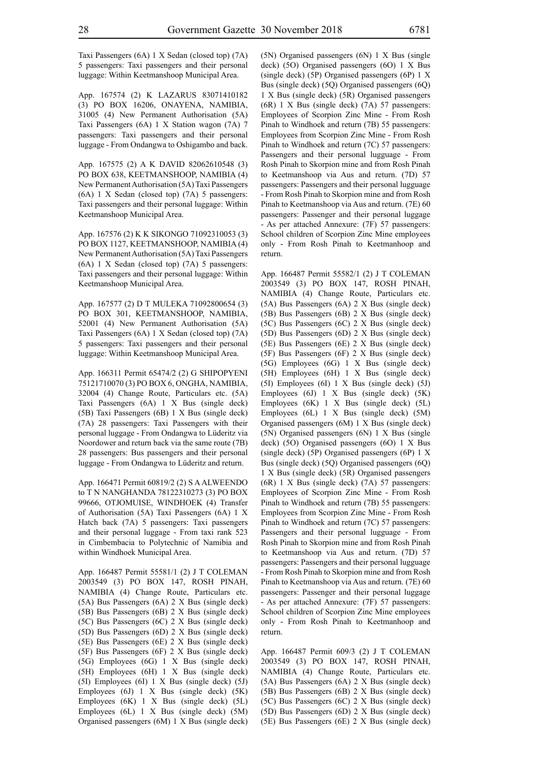Taxi Passengers (6A) 1 X Sedan (closed top) (7A) 5 passengers: Taxi passengers and their personal luggage: Within Keetmanshoop Municipal Area.

App. 167574 (2) K LAZARUS 83071410182 (3) PO BOX 16206, ONAYENA, NAMIBIA, 31005 (4) New Permanent Authorisation (5A) Taxi Passengers (6A) 1 X Station wagon (7A) 7 passengers: Taxi passengers and their personal luggage - From Ondangwa to Oshigambo and back.

App. 167575 (2) A K DAVID 82062610548 (3) PO BOX 638, KEETMANSHOOP, NAMIBIA (4) New Permanent Authorisation (5A) Taxi Passengers (6A) 1 X Sedan (closed top) (7A) 5 passengers: Taxi passengers and their personal luggage: Within Keetmanshoop Municipal Area.

App. 167576 (2) K K SIKONGO 71092310053 (3) PO BOX 1127, KEETMANSHOOP, NAMIBIA (4) New Permanent Authorisation (5A) Taxi Passengers (6A) 1 X Sedan (closed top) (7A) 5 passengers: Taxi passengers and their personal luggage: Within Keetmanshoop Municipal Area.

App. 167577 (2) D T MULEKA 71092800654 (3) PO BOX 301, KEETMANSHOOP, NAMIBIA, 52001 (4) New Permanent Authorisation (5A) Taxi Passengers (6A) 1 X Sedan (closed top) (7A) 5 passengers: Taxi passengers and their personal luggage: Within Keetmanshoop Municipal Area.

App. 166311 Permit 65474/2 (2) G SHIPOPYENI 75121710070 (3) PO BOX 6, ONGHA, NAMIBIA, 32004 (4) Change Route, Particulars etc. (5A) Taxi Passengers (6A) 1 X Bus (single deck) (5B) Taxi Passengers (6B) 1 X Bus (single deck) (7A) 28 passengers: Taxi Passengers with their personal luggage - From Ondangwa to Lüderitz via Noordower and return back via the same route (7B) 28 passengers: Bus passengers and their personal luggage - From Ondangwa to Lüderitz and return.

App. 166471 Permit 60819/2 (2) S A ALWEENDO to T N NANGHANDA 78122310273 (3) PO BOX 99666, OTJOMUISE, WINDHOEK (4) Transfer of Authorisation (5A) Taxi Passengers (6A) 1 X Hatch back (7A) 5 passengers: Taxi passengers and their personal luggage - From taxi rank 523 in Cimbembacia to Polytechnic of Namibia and within Windhoek Municipal Area.

App. 166487 Permit 55581/1 (2) J T COLEMAN 2003549 (3) PO BOX 147, ROSH PINAH, NAMIBIA (4) Change Route, Particulars etc. (5A) Bus Passengers (6A) 2 X Bus (single deck) (5B) Bus Passengers (6B) 2 X Bus (single deck) (5C) Bus Passengers (6C) 2 X Bus (single deck) (5D) Bus Passengers (6D) 2 X Bus (single deck) (5E) Bus Passengers (6E) 2 X Bus (single deck) (5F) Bus Passengers (6F) 2 X Bus (single deck) (5G) Employees (6G) 1 X Bus (single deck) (5H) Employees (6H) 1 X Bus (single deck) (5I) Employees (6I) 1 X Bus (single deck) (5J) Employees (6J) 1 X Bus (single deck) (5K) Employees (6K) 1 X Bus (single deck) (5L) Employees (6L) 1 X Bus (single deck) (5M) Organised passengers (6M) 1 X Bus (single deck) (5N) Organised passengers (6N) 1 X Bus (single deck) (5O) Organised passengers (6O) 1 X Bus (single deck) (5P) Organised passengers (6P) 1 X Bus (single deck) (5Q) Organised passengers (6Q) 1 X Bus (single deck) (5R) Organised passengers (6R) 1 X Bus (single deck) (7A) 57 passengers: Employees of Scorpion Zinc Mine - From Rosh Pinah to Windhoek and return (7B) 55 passengers: Employees from Scorpion Zinc Mine - From Rosh Pinah to Windhoek and return (7C) 57 passengers: Passengers and their personal lugguage - From Rosh Pinah to Skorpion mine and from Rosh Pinah to Keetmanshoop via Aus and return. (7D) 57 passengers: Passengers and their personal lugguage - From Rosh Pinah to Skorpion mine and from Rosh Pinah to Keetmanshoop via Aus and return. (7E) 60 passengers: Passenger and their personal luggage - As per attached Annexure: (7F) 57 passengers: School children of Scorpion Zinc Mine employees only - From Rosh Pinah to Keetmanhoop and return.

App. 166487 Permit 55582/1 (2) J T COLEMAN 2003549 (3) PO BOX 147, ROSH PINAH, NAMIBIA (4) Change Route, Particulars etc. (5A) Bus Passengers (6A) 2 X Bus (single deck) (5B) Bus Passengers (6B) 2 X Bus (single deck) (5C) Bus Passengers (6C) 2 X Bus (single deck) (5D) Bus Passengers (6D) 2 X Bus (single deck) (5E) Bus Passengers (6E) 2 X Bus (single deck) (5F) Bus Passengers (6F) 2 X Bus (single deck) (5G) Employees (6G) 1 X Bus (single deck) (5H) Employees (6H) 1 X Bus (single deck) (5I) Employees (6I) 1 X Bus (single deck) (5J) Employees (6J) 1 X Bus (single deck) (5K) Employees (6K) 1 X Bus (single deck) (5L) Employees (6L) 1 X Bus (single deck) (5M) Organised passengers (6M) 1 X Bus (single deck) (5N) Organised passengers (6N) 1 X Bus (single deck) (5O) Organised passengers (6O) 1 X Bus (single deck) (5P) Organised passengers (6P) 1 X Bus (single deck) (5Q) Organised passengers (6Q) 1 X Bus (single deck) (5R) Organised passengers (6R) 1 X Bus (single deck) (7A) 57 passengers: Employees of Scorpion Zinc Mine - From Rosh Pinah to Windhoek and return (7B) 55 passengers: Employees from Scorpion Zinc Mine - From Rosh Pinah to Windhoek and return (7C) 57 passengers: Passengers and their personal lugguage - From Rosh Pinah to Skorpion mine and from Rosh Pinah to Keetmanshoop via Aus and return. (7D) 57 passengers: Passengers and their personal lugguage - From Rosh Pinah to Skorpion mine and from Rosh Pinah to Keetmanshoop via Aus and return. (7E) 60 passengers: Passenger and their personal luggage - As per attached Annexure: (7F) 57 passengers: School children of Scorpion Zinc Mine employees only - From Rosh Pinah to Keetmanhoop and return.

App. 166487 Permit 609/3 (2) J T COLEMAN 2003549 (3) PO BOX 147, ROSH PINAH, NAMIBIA (4) Change Route, Particulars etc. (5A) Bus Passengers (6A) 2 X Bus (single deck) (5B) Bus Passengers (6B) 2 X Bus (single deck) (5C) Bus Passengers (6C) 2 X Bus (single deck) (5D) Bus Passengers (6D) 2 X Bus (single deck) (5E) Bus Passengers (6E) 2 X Bus (single deck)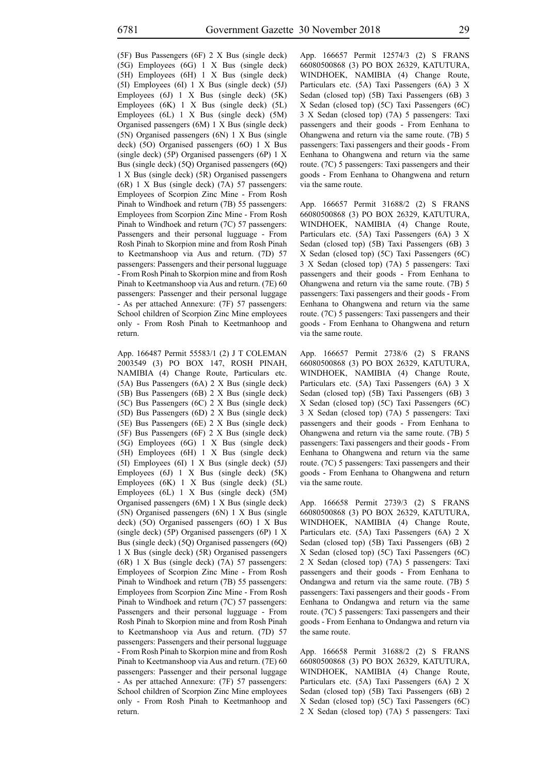(5F) Bus Passengers (6F) 2 X Bus (single deck) (5G) Employees (6G) 1 X Bus (single deck) (5H) Employees (6H) 1 X Bus (single deck) (5I) Employees (6I) 1 X Bus (single deck) (5J) Employees (6J) 1 X Bus (single deck) (5K) Employees (6K) 1 X Bus (single deck) (5L) Employees (6L) 1 X Bus (single deck) (5M) Organised passengers (6M) 1 X Bus (single deck) (5N) Organised passengers (6N) 1 X Bus (single deck) (5O) Organised passengers (6O) 1 X Bus (single deck) (5P) Organised passengers (6P) 1 X Bus (single deck) (5Q) Organised passengers (6Q) 1 X Bus (single deck) (5R) Organised passengers (6R) 1 X Bus (single deck) (7A) 57 passengers: Employees of Scorpion Zinc Mine - From Rosh Pinah to Windhoek and return (7B) 55 passengers: Employees from Scorpion Zinc Mine - From Rosh Pinah to Windhoek and return (7C) 57 passengers: Passengers and their personal lugguage - From Rosh Pinah to Skorpion mine and from Rosh Pinah to Keetmanshoop via Aus and return. (7D) 57 passengers: Passengers and their personal lugguage - From Rosh Pinah to Skorpion mine and from Rosh Pinah to Keetmanshoop via Aus and return. (7E) 60 passengers: Passenger and their personal luggage - As per attached Annexure: (7F) 57 passengers: School children of Scorpion Zinc Mine employees only - From Rosh Pinah to Keetmanhoop and return.

App. 166487 Permit 55583/1 (2) J T COLEMAN 2003549 (3) PO BOX 147, ROSH PINAH, NAMIBIA (4) Change Route, Particulars etc. (5A) Bus Passengers (6A) 2 X Bus (single deck) (5B) Bus Passengers (6B) 2 X Bus (single deck) (5C) Bus Passengers (6C) 2 X Bus (single deck) (5D) Bus Passengers (6D) 2 X Bus (single deck) (5E) Bus Passengers (6E) 2 X Bus (single deck) (5F) Bus Passengers (6F) 2 X Bus (single deck) (5G) Employees (6G) 1 X Bus (single deck) (5H) Employees (6H) 1 X Bus (single deck) (5I) Employees (6I) 1 X Bus (single deck) (5J) Employees (6J) 1 X Bus (single deck) (5K) Employees (6K) 1 X Bus (single deck) (5L) Employees (6L) 1 X Bus (single deck) (5M) Organised passengers (6M) 1 X Bus (single deck) (5N) Organised passengers (6N) 1 X Bus (single deck) (5O) Organised passengers (6O) 1 X Bus (single deck) (5P) Organised passengers (6P) 1 X Bus (single deck) (5Q) Organised passengers (6Q) 1 X Bus (single deck) (5R) Organised passengers (6R) 1 X Bus (single deck) (7A) 57 passengers: Employees of Scorpion Zinc Mine - From Rosh Pinah to Windhoek and return (7B) 55 passengers: Employees from Scorpion Zinc Mine - From Rosh Pinah to Windhoek and return (7C) 57 passengers: Passengers and their personal lugguage - From Rosh Pinah to Skorpion mine and from Rosh Pinah to Keetmanshoop via Aus and return. (7D) 57 passengers: Passengers and their personal lugguage - From Rosh Pinah to Skorpion mine and from Rosh Pinah to Keetmanshoop via Aus and return. (7E) 60 passengers: Passenger and their personal luggage - As per attached Annexure: (7F) 57 passengers: School children of Scorpion Zinc Mine employees only - From Rosh Pinah to Keetmanhoop and return.

App. 166657 Permit 12574/3 (2) S FRANS 66080500868 (3) PO BOX 26329, KATUTURA, WINDHOEK, NAMIBIA (4) Change Route, Particulars etc. (5A) Taxi Passengers (6A) 3 X Sedan (closed top) (5B) Taxi Passengers (6B) 3 X Sedan (closed top) (5C) Taxi Passengers (6C) 3 X Sedan (closed top) (7A) 5 passengers: Taxi passengers and their goods - From Eenhana to Ohangwena and return via the same route. (7B) 5 passengers: Taxi passengers and their goods - From Eenhana to Ohangwena and return via the same route. (7C) 5 passengers: Taxi passengers and their goods - From Eenhana to Ohangwena and return via the same route.

App. 166657 Permit 31688/2 (2) S FRANS 66080500868 (3) PO BOX 26329, KATUTURA, WINDHOEK, NAMIBIA (4) Change Route, Particulars etc. (5A) Taxi Passengers (6A) 3 X Sedan (closed top) (5B) Taxi Passengers (6B) 3 X Sedan (closed top) (5C) Taxi Passengers (6C) 3 X Sedan (closed top) (7A) 5 passengers: Taxi passengers and their goods - From Eenhana to Ohangwena and return via the same route. (7B) 5 passengers: Taxi passengers and their goods - From Eenhana to Ohangwena and return via the same route. (7C) 5 passengers: Taxi passengers and their goods - From Eenhana to Ohangwena and return via the same route.

App. 166657 Permit 2738/6 (2) S FRANS 66080500868 (3) PO BOX 26329, KATUTURA, WINDHOEK, NAMIBIA (4) Change Route, Particulars etc. (5A) Taxi Passengers (6A) 3 X Sedan (closed top) (5B) Taxi Passengers (6B) 3 X Sedan (closed top) (5C) Taxi Passengers (6C) 3 X Sedan (closed top) (7A) 5 passengers: Taxi passengers and their goods - From Eenhana to Ohangwena and return via the same route. (7B) 5 passengers: Taxi passengers and their goods - From Eenhana to Ohangwena and return via the same route. (7C) 5 passengers: Taxi passengers and their goods - From Eenhana to Ohangwena and return via the same route.

App. 166658 Permit 2739/3 (2) S FRANS 66080500868 (3) PO BOX 26329, KATUTURA, WINDHOEK, NAMIBIA (4) Change Route, Particulars etc. (5A) Taxi Passengers (6A) 2 X Sedan (closed top) (5B) Taxi Passengers (6B) 2 X Sedan (closed top) (5C) Taxi Passengers (6C) 2 X Sedan (closed top) (7A) 5 passengers: Taxi passengers and their goods - From Eenhana to Ondangwa and return via the same route. (7B) 5 passengers: Taxi passengers and their goods - From Eenhana to Ondangwa and return via the same route. (7C) 5 passengers: Taxi passengers and their goods - From Eenhana to Ondangwa and return via the same route.

App. 166658 Permit 31688/2 (2) S FRANS 66080500868 (3) PO BOX 26329, KATUTURA, WINDHOEK, NAMIBIA (4) Change Route, Particulars etc. (5A) Taxi Passengers (6A) 2 X Sedan (closed top) (5B) Taxi Passengers (6B) 2 X Sedan (closed top) (5C) Taxi Passengers (6C) 2 X Sedan (closed top) (7A) 5 passengers: Taxi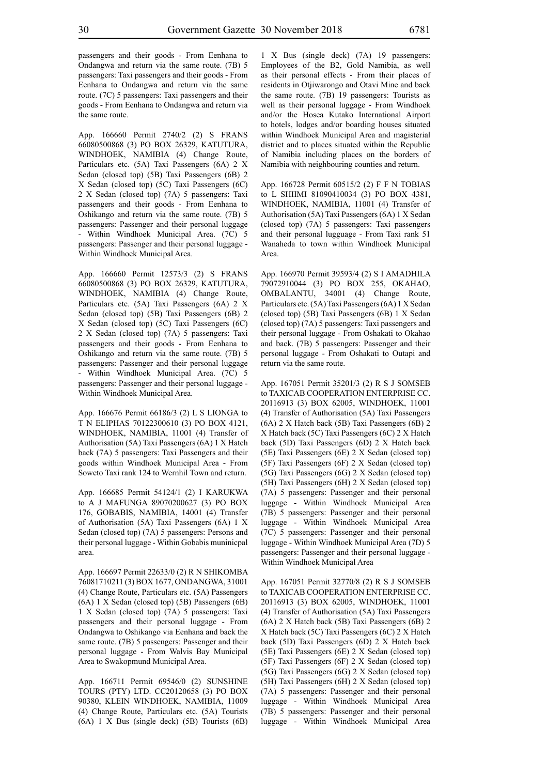passengers and their goods - From Eenhana to Ondangwa and return via the same route. (7B) 5 passengers: Taxi passengers and their goods - From Eenhana to Ondangwa and return via the same route. (7C) 5 passengers: Taxi passengers and their goods - From Eenhana to Ondangwa and return via the same route.

App. 166660 Permit 2740/2 (2) S FRANS 66080500868 (3) PO BOX 26329, KATUTURA, WINDHOEK, NAMIBIA (4) Change Route, Particulars etc. (5A) Taxi Passengers (6A) 2 X Sedan (closed top) (5B) Taxi Passengers (6B) 2 X Sedan (closed top) (5C) Taxi Passengers (6C) 2 X Sedan (closed top) (7A) 5 passengers: Taxi passengers and their goods - From Eenhana to Oshikango and return via the same route. (7B) 5 passengers: Passenger and their personal luggage - Within Windhoek Municipal Area. (7C) 5 passengers: Passenger and their personal luggage - Within Windhoek Municipal Area.

App. 166660 Permit 12573/3 (2) S FRANS 66080500868 (3) PO BOX 26329, KATUTURA, WINDHOEK, NAMIBIA (4) Change Route, Particulars etc. (5A) Taxi Passengers (6A) 2 X Sedan (closed top) (5B) Taxi Passengers (6B) 2 X Sedan (closed top) (5C) Taxi Passengers (6C) 2 X Sedan (closed top) (7A) 5 passengers: Taxi passengers and their goods - From Eenhana to Oshikango and return via the same route. (7B) 5 passengers: Passenger and their personal luggage - Within Windhoek Municipal Area. (7C) 5 passengers: Passenger and their personal luggage - Within Windhoek Municipal Area.

App. 166676 Permit 66186/3 (2) L S LIONGA to T N ELIPHAS 70122300610 (3) PO BOX 4121, WINDHOEK, NAMIBIA, 11001 (4) Transfer of Authorisation (5A) Taxi Passengers (6A) 1 X Hatch back (7A) 5 passengers: Taxi Passengers and their goods within Windhoek Municipal Area - From Soweto Taxi rank 124 to Wernhil Town and return.

App. 166685 Permit 54124/1 (2) I KARUKWA to A J MAFUNGA 89070200627 (3) PO BOX 176, GOBABIS, NAMIBIA, 14001 (4) Transfer of Authorisation (5A) Taxi Passengers (6A) 1 X Sedan (closed top) (7A) 5 passengers: Persons and their personal luggage - Within Gobabis muninicpal area.

App. 166697 Permit 22633/0 (2) R N SHIKOMBA 76081710211 (3) BOX 1677, ONDANGWA, 31001 (4) Change Route, Particulars etc. (5A) Passengers (6A) 1 X Sedan (closed top) (5B) Passengers (6B) 1 X Sedan (closed top) (7A) 5 passengers: Taxi passengers and their personal luggage - From Ondangwa to Oshikango via Eenhana and back the same route. (7B) 5 passengers: Passenger and their personal luggage - From Walvis Bay Municipal Area to Swakopmund Municipal Area.

App. 166711 Permit 69546/0 (2) SUNSHINE TOURS (PTY) LTD. CC20120658 (3) PO BOX 90380, KLEIN WINDHOEK, NAMIBIA, 11009 (4) Change Route, Particulars etc. (5A) Tourists (6A) 1 X Bus (single deck) (5B) Tourists (6B) 1 X Bus (single deck) (7A) 19 passengers: Employees of the B2, Gold Namibia, as well as their personal effects - From their places of residents in Otjiwarongo and Otavi Mine and back the same route. (7B) 19 passengers: Tourists as well as their personal luggage - From Windhoek and/or the Hosea Kutako International Airport to hotels, lodges and/or boarding houses situated within Windhoek Municipal Area and magisterial district and to places situated within the Republic of Namibia including places on the borders of Namibia with neighbouring counties and return.

App. 166728 Permit 60515/2 (2) F F N TOBIAS to L SHIIMI 81090410034 (3) PO BOX 4381, WINDHOEK, NAMIBIA, 11001 (4) Transfer of Authorisation (5A) Taxi Passengers (6A) 1 X Sedan (closed top) (7A) 5 passengers: Taxi passengers and their personal lugguage - From Taxi rank 51 Wanaheda to town within Windhoek Municipal Area.

App. 166970 Permit 39593/4 (2) S I AMADHILA 79072910044 (3) PO BOX 255, OKAHAO, OMBALANTU, 34001 (4) Change Route, Particulars etc. (5A) Taxi Passengers (6A) 1 X Sedan (closed top) (5B) Taxi Passengers (6B) 1 X Sedan (closed top) (7A) 5 passengers: Taxi passengers and their personal luggage - From Oshakati to Okahao and back. (7B) 5 passengers: Passenger and their personal luggage - From Oshakati to Outapi and return via the same route.

App. 167051 Permit 35201/3 (2) R S J SOMSEB to TAXICAB COOPERATION ENTERPRISE CC. 20116913 (3) BOX 62005, WINDHOEK, 11001 (4) Transfer of Authorisation (5A) Taxi Passengers (6A) 2 X Hatch back (5B) Taxi Passengers (6B) 2 X Hatch back (5C) Taxi Passengers (6C) 2 X Hatch back (5D) Taxi Passengers (6D) 2 X Hatch back (5E) Taxi Passengers (6E) 2 X Sedan (closed top) (5F) Taxi Passengers (6F) 2 X Sedan (closed top) (5G) Taxi Passengers (6G) 2 X Sedan (closed top) (5H) Taxi Passengers (6H) 2 X Sedan (closed top) (7A) 5 passengers: Passenger and their personal luggage - Within Windhoek Municipal Area (7B) 5 passengers: Passenger and their personal luggage - Within Windhoek Municipal Area (7C) 5 passengers: Passenger and their personal luggage - Within Windhoek Municipal Area (7D) 5 passengers: Passenger and their personal luggage - Within Windhoek Municipal Area

App. 167051 Permit 32770/8 (2) R S J SOMSEB to TAXICAB COOPERATION ENTERPRISE CC. 20116913 (3) BOX 62005, WINDHOEK, 11001 (4) Transfer of Authorisation (5A) Taxi Passengers (6A) 2 X Hatch back (5B) Taxi Passengers (6B) 2 X Hatch back (5C) Taxi Passengers (6C) 2 X Hatch back (5D) Taxi Passengers (6D) 2 X Hatch back (5E) Taxi Passengers (6E) 2 X Sedan (closed top) (5F) Taxi Passengers (6F) 2 X Sedan (closed top) (5G) Taxi Passengers (6G) 2 X Sedan (closed top) (5H) Taxi Passengers (6H) 2 X Sedan (closed top) (7A) 5 passengers: Passenger and their personal luggage - Within Windhoek Municipal Area (7B) 5 passengers: Passenger and their personal luggage - Within Windhoek Municipal Area